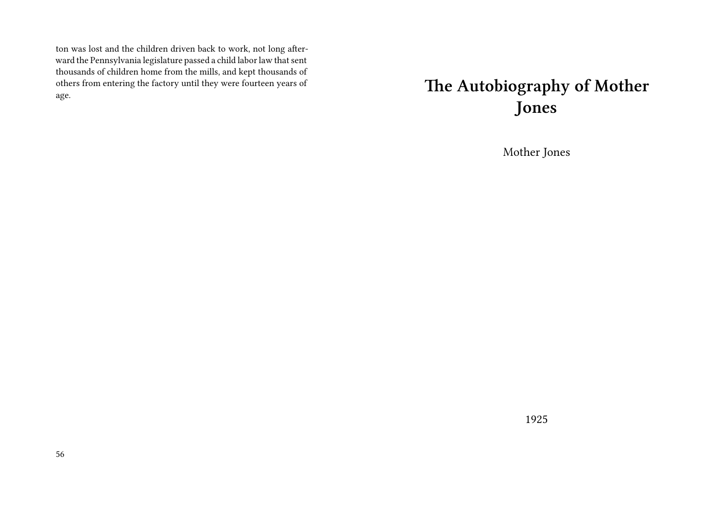ton was lost and the children driven back to work, not long afterward the Pennsylvania legislature passed a child labor law that sent thousands of children home from the mills, and kept thousands of others from entering the factory until they were fourteen years of age.

# **The Autobiography of Mother Jones**

Mother Jones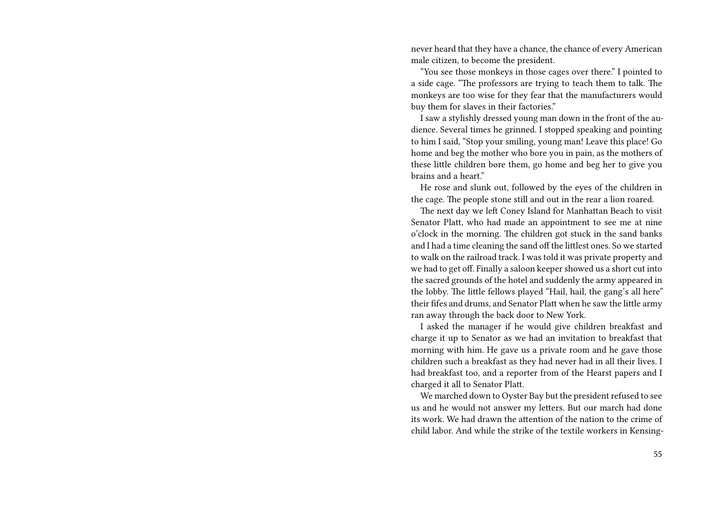never heard that they have a chance, the chance of every American male citizen, to become the president.

"You see those monkeys in those cages over there." I pointed to a side cage. "The professors are trying to teach them to talk. The monkeys are too wise for they fear that the manufacturers would buy them for slaves in their factories."

I saw a stylishly dressed young man down in the front of the audience. Several times he grinned. I stopped speaking and pointing to him I said, "Stop your smiling, young man! Leave this place! Go home and beg the mother who bore you in pain, as the mothers of these little children bore them, go home and beg her to give you brains and a heart."

He rose and slunk out, followed by the eyes of the children in the cage. The people stone still and out in the rear a lion roared.

The next day we left Coney Island for Manhattan Beach to visit Senator Platt, who had made an appointment to see me at nine o'clock in the morning. The children got stuck in the sand banks and I had a time cleaning the sand off the littlest ones. So we started to walk on the railroad track. I was told it was private property and we had to get off. Finally a saloon keeper showed us a short cut into the sacred grounds of the hotel and suddenly the army appeared in the lobby. The little fellows played "Hail, hail, the gang's all here" their fifes and drums, and Senator Platt when he saw the little army ran away through the back door to New York.

I asked the manager if he would give children breakfast and charge it up to Senator as we had an invitation to breakfast that morning with him. He gave us a private room and he gave those children such a breakfast as they had never had in all their lives. I had breakfast too, and a reporter from of the Hearst papers and I charged it all to Senator Platt.

We marched down to Oyster Bay but the president refused to see us and he would not answer my letters. But our march had done its work. We had drawn the attention of the nation to the crime of child labor. And while the strike of the textile workers in Kensing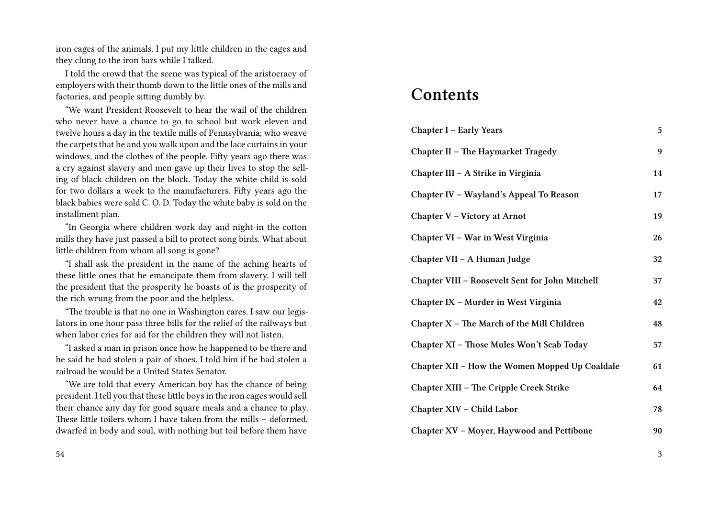iron cages of the animals. I put my little children in the cages and they clung to the iron bars while I talked.

I told the crowd that the scene was typical of the aristocracy of employers with their thumb down to the little ones of the mills and factories, and people sitting dumbly by.

"We want President Roosevelt to hear the wail of the children who never have a chance to go to school but work eleven and twelve hours a day in the textile mills of Pennsylvania; who weave the carpets that he and you walk upon and the lace curtains in your windows, and the clothes of the people. Fifty years ago there was a cry against slavery and men gave up their lives to stop the selling of black children on the block. Today the white child is sold for two dollars a week to the manufacturers. Fifty years ago the black babies were sold C. O. D. Today the white baby is sold on the installment plan.

"In Georgia where children work day and night in the cotton mills they have just passed a bill to protect song birds. What about little children from whom all song is gone?

"I shall ask the president in the name of the aching hearts of these little ones that he emancipate them from slavery. I will tell the president that the prosperity he boasts of is the prosperity of the rich wrung from the poor and the helpless.

"The trouble is that no one in Washington cares. I saw our legislators in one hour pass three bills for the relief of the railways but when labor cries for aid for the children they will not listen.

"I asked a man in prison once how he happened to be there and he said he had stolen a pair of shoes. I told him if he had stolen a railroad he would be a United States Senator.

"We are told that every American boy has the chance of being president. I tell you that these little boys in the iron cages would sell their chance any day for good square meals and a chance to play. These little toilers whom I have taken from the mills – deformed, dwarfed in body and soul, with nothing but toil before them have

#### **Contents**

| Chapter I – Early Years                         | 5  |
|-------------------------------------------------|----|
| Chapter II - The Haymarket Tragedy              | 9  |
| Chapter III – A Strike in Virginia              | 14 |
| Chapter IV – Wayland's Appeal To Reason         | 17 |
| Chapter V – Victory at Arnot                    | 19 |
| Chapter VI – War in West Virginia               | 26 |
| Chapter VII - A Human Judge                     | 32 |
| Chapter VIII - Roosevelt Sent for John Mitchell | 37 |
| Chapter IX - Murder in West Virginia            | 42 |
| Chapter $X$ – The March of the Mill Children    | 48 |
| Chapter XI - Those Mules Won't Scab Today       | 57 |
| Chapter XII - How the Women Mopped Up Coaldale  | 61 |
| Chapter XIII - The Cripple Creek Strike         | 64 |
| Chapter XIV - Child Labor                       | 78 |
| Chapter XV - Moyer, Haywood and Pettibone       | 90 |

3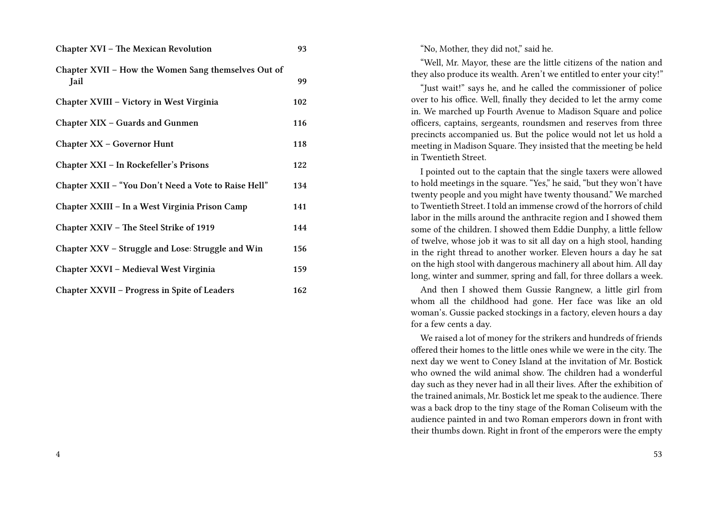| Chapter XVI – The Mexican Revolution                        | 93  |
|-------------------------------------------------------------|-----|
| Chapter XVII - How the Women Sang themselves Out of<br>Jail | 99  |
| Chapter XVIII - Victory in West Virginia                    | 102 |
| Chapter XIX - Guards and Gunmen                             | 116 |
| <b>Chapter XX - Governor Hunt</b>                           | 118 |
| Chapter XXI - In Rockefeller's Prisons                      | 122 |
| Chapter XXII - "You Don't Need a Vote to Raise Hell"        | 134 |
| Chapter XXIII – In a West Virginia Prison Camp              | 141 |
| Chapter XXIV - The Steel Strike of 1919                     | 144 |
| Chapter XXV – Struggle and Lose: Struggle and Win           | 156 |
| Chapter XXVI - Medieval West Virginia                       | 159 |
| Chapter XXVII - Progress in Spite of Leaders                | 162 |

"No, Mother, they did not," said he.

"Well, Mr. Mayor, these are the little citizens of the nation and they also produce its wealth. Aren't we entitled to enter your city!"

"Just wait!" says he, and he called the commissioner of police over to his office. Well, finally they decided to let the army come in. We marched up Fourth Avenue to Madison Square and police officers, captains, sergeants, roundsmen and reserves from three precincts accompanied us. But the police would not let us hold a meeting in Madison Square. They insisted that the meeting be held in Twentieth Street.

I pointed out to the captain that the single taxers were allowed to hold meetings in the square. "Yes," he said, "but they won't have twenty people and you might have twenty thousand." We marched to Twentieth Street. I told an immense crowd of the horrors of child labor in the mills around the anthracite region and I showed them some of the children. I showed them Eddie Dunphy, a little fellow of twelve, whose job it was to sit all day on a high stool, handing in the right thread to another worker. Eleven hours a day he sat on the high stool with dangerous machinery all about him. All day long, winter and summer, spring and fall, for three dollars a week.

And then I showed them Gussie Rangnew, a little girl from whom all the childhood had gone. Her face was like an old woman's. Gussie packed stockings in a factory, eleven hours a day for a few cents a day.

We raised a lot of money for the strikers and hundreds of friends offered their homes to the little ones while we were in the city. The next day we went to Coney Island at the invitation of Mr. Bostick who owned the wild animal show. The children had a wonderful day such as they never had in all their lives. After the exhibition of the trained animals, Mr. Bostick let me speak to the audience. There was a back drop to the tiny stage of the Roman Coliseum with the audience painted in and two Roman emperors down in front with their thumbs down. Right in front of the emperors were the empty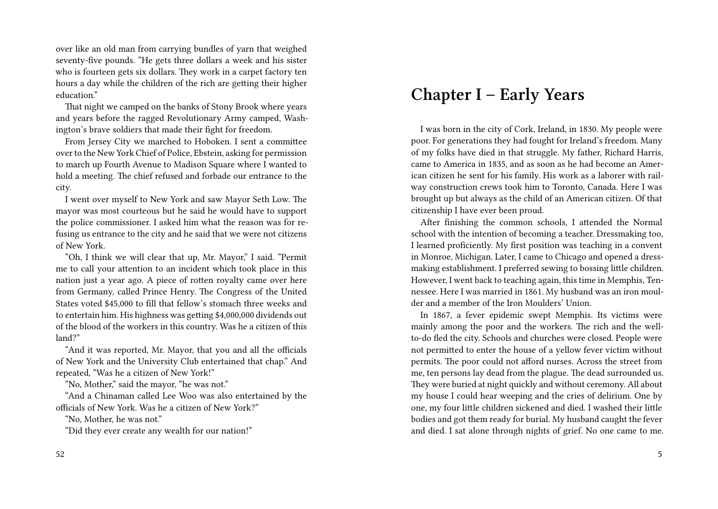over like an old man from carrying bundles of yarn that weighed seventy-five pounds. "He gets three dollars a week and his sister who is fourteen gets six dollars. They work in a carpet factory ten hours a day while the children of the rich are getting their higher education."

That night we camped on the banks of Stony Brook where years and years before the ragged Revolutionary Army camped, Washington's brave soldiers that made their fight for freedom.

From Jersey City we marched to Hoboken. I sent a committee over to the New York Chief of Police, Ebstein, asking for permission to march up Fourth Avenue to Madison Square where I wanted to hold a meeting. The chief refused and forbade our entrance to the city.

I went over myself to New York and saw Mayor Seth Low. The mayor was most courteous but he said he would have to support the police commissioner. I asked him what the reason was for refusing us entrance to the city and he said that we were not citizens of New York.

"Oh, I think we will clear that up, Mr. Mayor," I said. "Permit me to call your attention to an incident which took place in this nation just a year ago. A piece of rotten royalty came over here from Germany, called Prince Henry. The Congress of the United States voted \$45,000 to fill that fellow's stomach three weeks and to entertain him. His highness was getting \$4,000,000 dividends out of the blood of the workers in this country. Was he a citizen of this land?"

"And it was reported, Mr. Mayor, that you and all the officials of New York and the University Club entertained that chap." And repeated, "Was he a citizen of New York!"

"No, Mother," said the mayor, "he was not."

"And a Chinaman called Lee Woo was also entertained by the officials of New York. Was he a citizen of New York?"

"No, Mother, he was not."

"Did they ever create any wealth for our nation!"

## **Chapter I – Early Years**

I was born in the city of Cork, Ireland, in 1830. My people were poor. For generations they had fought for Ireland's freedom. Many of my folks have died in that struggle. My father, Richard Harris, came to America in 1835, and as soon as he had become an American citizen he sent for his family. His work as a laborer with railway construction crews took him to Toronto, Canada. Here I was brought up but always as the child of an American citizen. Of that citizenship I have ever been proud.

After finishing the common schools, I attended the Normal school with the intention of becoming a teacher. Dressmaking too, I learned proficiently. My first position was teaching in a convent in Monroe, Michigan. Later, I came to Chicago and opened a dressmaking establishment. I preferred sewing to bossing little children. However, I went back to teaching again, this time in Memphis, Tennessee. Here I was married in 1861. My husband was an iron moulder and a member of the Iron Moulders' Union.

In 1867, a fever epidemic swept Memphis. Its victims were mainly among the poor and the workers. The rich and the wellto-do fled the city. Schools and churches were closed. People were not permitted to enter the house of a yellow fever victim without permits. The poor could not afford nurses. Across the street from me, ten persons lay dead from the plague. The dead surrounded us. They were buried at night quickly and without ceremony. All about my house I could hear weeping and the cries of delirium. One by one, my four little children sickened and died. I washed their little bodies and got them ready for burial. My husband caught the fever and died. I sat alone through nights of grief. No one came to me.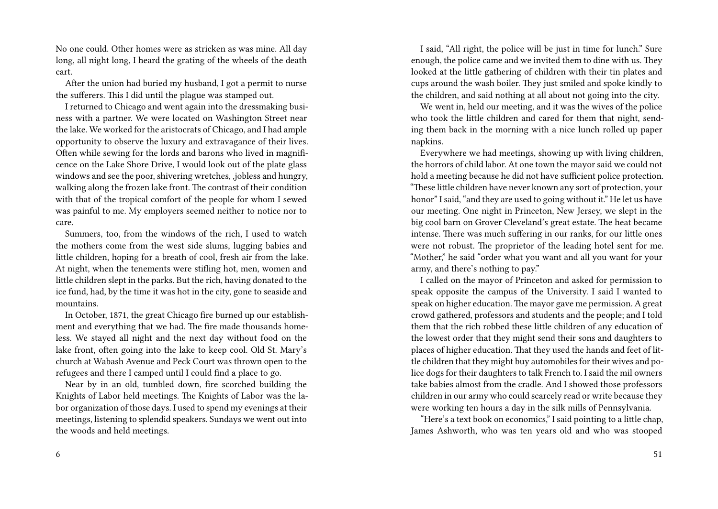No one could. Other homes were as stricken as was mine. All day long, all night long, I heard the grating of the wheels of the death cart.

After the union had buried my husband, I got a permit to nurse the sufferers. This I did until the plague was stamped out.

I returned to Chicago and went again into the dressmaking business with a partner. We were located on Washington Street near the lake. We worked for the aristocrats of Chicago, and I had ample opportunity to observe the luxury and extravagance of their lives. Often while sewing for the lords and barons who lived in magnificence on the Lake Shore Drive, I would look out of the plate glass windows and see the poor, shivering wretches, ,jobless and hungry, walking along the frozen lake front. The contrast of their condition with that of the tropical comfort of the people for whom I sewed was painful to me. My employers seemed neither to notice nor to care.

Summers, too, from the windows of the rich, I used to watch the mothers come from the west side slums, lugging babies and little children, hoping for a breath of cool, fresh air from the lake. At night, when the tenements were stifling hot, men, women and little children slept in the parks. But the rich, having donated to the ice fund, had, by the time it was hot in the city, gone to seaside and mountains.

In October, 1871, the great Chicago fire burned up our establishment and everything that we had. The fire made thousands homeless. We stayed all night and the next day without food on the lake front, often going into the lake to keep cool. Old St. Mary's church at Wabash Avenue and Peck Court was thrown open to the refugees and there I camped until I could find a place to go.

Near by in an old, tumbled down, fire scorched building the Knights of Labor held meetings. The Knights of Labor was the labor organization of those days. I used to spend my evenings at their meetings, listening to splendid speakers. Sundays we went out into the woods and held meetings.

6

I said, "All right, the police will be just in time for lunch." Sure enough, the police came and we invited them to dine with us. They looked at the little gathering of children with their tin plates and cups around the wash boiler. They just smiled and spoke kindly to the children, and said nothing at all about not going into the city.

We went in, held our meeting, and it was the wives of the police who took the little children and cared for them that night, sending them back in the morning with a nice lunch rolled up paper napkins.

Everywhere we had meetings, showing up with living children, the horrors of child labor. At one town the mayor said we could not hold a meeting because he did not have sufficient police protection. "These little children have never known any sort of protection, your honor" I said, "and they are used to going without it." He let us have our meeting. One night in Princeton, New Jersey, we slept in the big cool barn on Grover Cleveland's great estate. The heat became intense. There was much suffering in our ranks, for our little ones were not robust. The proprietor of the leading hotel sent for me. "Mother," he said "order what you want and all you want for your army, and there's nothing to pay."

I called on the mayor of Princeton and asked for permission to speak opposite the campus of the University. I said I wanted to speak on higher education. The mayor gave me permission. A great crowd gathered, professors and students and the people; and I told them that the rich robbed these little children of any education of the lowest order that they might send their sons and daughters to places of higher education. That they used the hands and feet of little children that they might buy automobiles for their wives and police dogs for their daughters to talk French to. I said the mil owners take babies almost from the cradle. And I showed those professors children in our army who could scarcely read or write because they were working ten hours a day in the silk mills of Pennsylvania.

"Here's a text book on economics," I said pointing to a little chap, James Ashworth, who was ten years old and who was stooped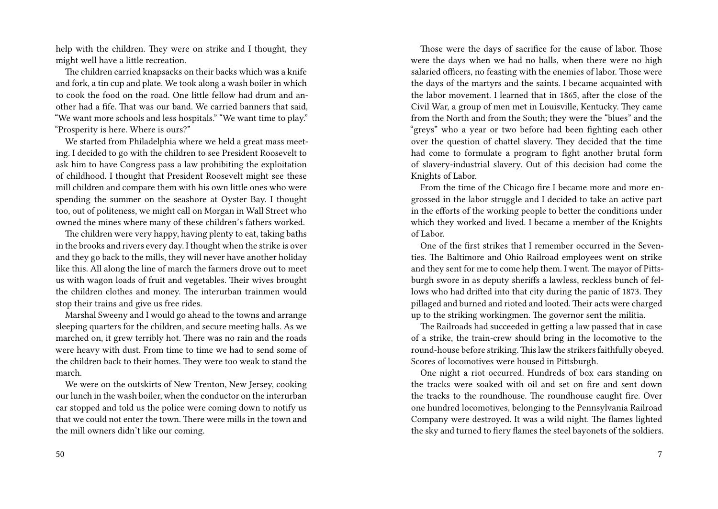help with the children. They were on strike and I thought, they might well have a little recreation.

The children carried knapsacks on their backs which was a knife and fork, a tin cup and plate. We took along a wash boiler in which to cook the food on the road. One little fellow had drum and another had a fife. That was our band. We carried banners that said, "We want more schools and less hospitals." "We want time to play." "Prosperity is here. Where is ours?"

We started from Philadelphia where we held a great mass meeting. I decided to go with the children to see President Roosevelt to ask him to have Congress pass a law prohibiting the exploitation of childhood. I thought that President Roosevelt might see these mill children and compare them with his own little ones who were spending the summer on the seashore at Oyster Bay. I thought too, out of politeness, we might call on Morgan in Wall Street who owned the mines where many of these children's fathers worked.

The children were very happy, having plenty to eat, taking baths in the brooks and rivers every day. I thought when the strike is over and they go back to the mills, they will never have another holiday like this. All along the line of march the farmers drove out to meet us with wagon loads of fruit and vegetables. Their wives brought the children clothes and money. The interurban trainmen would stop their trains and give us free rides.

Marshal Sweeny and I would go ahead to the towns and arrange sleeping quarters for the children, and secure meeting halls. As we marched on, it grew terribly hot. There was no rain and the roads were heavy with dust. From time to time we had to send some of the children back to their homes. They were too weak to stand the march.

We were on the outskirts of New Trenton, New Jersey, cooking our lunch in the wash boiler, when the conductor on the interurban car stopped and told us the police were coming down to notify us that we could not enter the town. There were mills in the town and the mill owners didn't like our coming.

Those were the days of sacrifice for the cause of labor. Those were the days when we had no halls, when there were no high salaried officers, no feasting with the enemies of labor. Those were the days of the martyrs and the saints. I became acquainted with the labor movement. I learned that in 1865, after the close of the Civil War, a group of men met in Louisville, Kentucky. They came from the North and from the South; they were the "blues" and the "greys" who a year or two before had been fighting each other over the question of chattel slavery. They decided that the time had come to formulate a program to fight another brutal form of slavery-industrial slavery. Out of this decision had come the Knights of Labor.

From the time of the Chicago fire I became more and more engrossed in the labor struggle and I decided to take an active part in the efforts of the working people to better the conditions under which they worked and lived. I became a member of the Knights of Labor.

One of the first strikes that I remember occurred in the Seventies. The Baltimore and Ohio Railroad employees went on strike and they sent for me to come help them. I went. The mayor of Pittsburgh swore in as deputy sheriffs a lawless, reckless bunch of fellows who had drifted into that city during the panic of 1873. They pillaged and burned and rioted and looted. Their acts were charged up to the striking workingmen. The governor sent the militia.

The Railroads had succeeded in getting a law passed that in case of a strike, the train-crew should bring in the locomotive to the round-house before striking. This law the strikers faithfully obeyed. Scores of locomotives were housed in Pittsburgh.

One night a riot occurred. Hundreds of box cars standing on the tracks were soaked with oil and set on fire and sent down the tracks to the roundhouse. The roundhouse caught fire. Over one hundred locomotives, belonging to the Pennsylvania Railroad Company were destroyed. It was a wild night. The flames lighted the sky and turned to fiery flames the steel bayonets of the soldiers.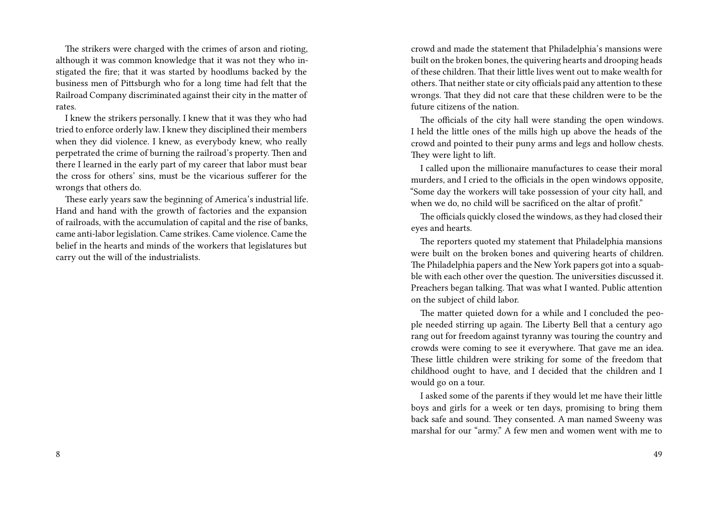The strikers were charged with the crimes of arson and rioting, although it was common knowledge that it was not they who instigated the fire; that it was started by hoodlums backed by the business men of Pittsburgh who for a long time had felt that the Railroad Company discriminated against their city in the matter of rates.

I knew the strikers personally. I knew that it was they who had tried to enforce orderly law. I knew they disciplined their members when they did violence. I knew, as everybody knew, who really perpetrated the crime of burning the railroad's property. Then and there I learned in the early part of my career that labor must bear the cross for others' sins, must be the vicarious sufferer for the wrongs that others do.

These early years saw the beginning of America's industrial life. Hand and hand with the growth of factories and the expansion of railroads, with the accumulation of capital and the rise of banks, came anti-labor legislation. Came strikes. Came violence. Came the belief in the hearts and minds of the workers that legislatures but carry out the will of the industrialists.

crowd and made the statement that Philadelphia's mansions were built on the broken bones, the quivering hearts and drooping heads of these children. That their little lives went out to make wealth for others. That neither state or city officials paid any attention to these wrongs. That they did not care that these children were to be the future citizens of the nation.

The officials of the city hall were standing the open windows. I held the little ones of the mills high up above the heads of the crowd and pointed to their puny arms and legs and hollow chests. They were light to lift.

I called upon the millionaire manufactures to cease their moral murders, and I cried to the officials in the open windows opposite, "Some day the workers will take possession of your city hall, and when we do, no child will be sacrificed on the altar of profit."

The officials quickly closed the windows, as they had closed their eyes and hearts.

The reporters quoted my statement that Philadelphia mansions were built on the broken bones and quivering hearts of children. The Philadelphia papers and the New York papers got into a squabble with each other over the question. The universities discussed it. Preachers began talking. That was what I wanted. Public attention on the subject of child labor.

The matter quieted down for a while and I concluded the people needed stirring up again. The Liberty Bell that a century ago rang out for freedom against tyranny was touring the country and crowds were coming to see it everywhere. That gave me an idea. These little children were striking for some of the freedom that childhood ought to have, and I decided that the children and I would go on a tour.

I asked some of the parents if they would let me have their little boys and girls for a week or ten days, promising to bring them back safe and sound. They consented. A man named Sweeny was marshal for our "army." A few men and women went with me to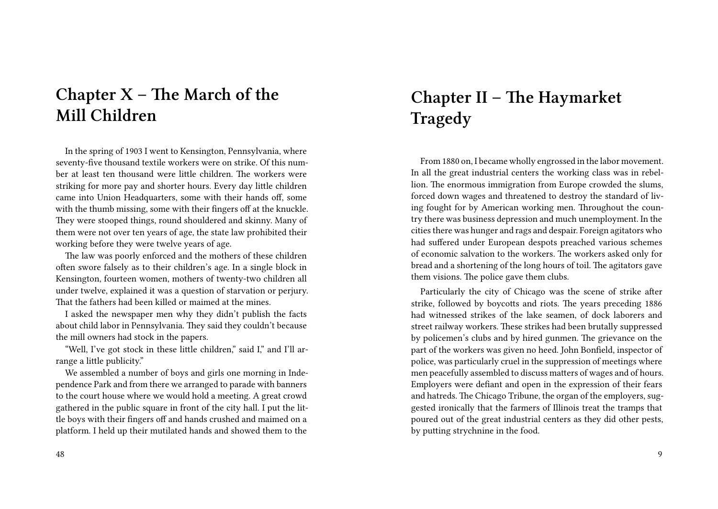# **Chapter X – The March of the Mill Children**

In the spring of 1903 I went to Kensington, Pennsylvania, where seventy-five thousand textile workers were on strike. Of this number at least ten thousand were little children. The workers were striking for more pay and shorter hours. Every day little children came into Union Headquarters, some with their hands off, some with the thumb missing, some with their fingers off at the knuckle. They were stooped things, round shouldered and skinny. Many of them were not over ten years of age, the state law prohibited their working before they were twelve years of age.

The law was poorly enforced and the mothers of these children often swore falsely as to their children's age. In a single block in Kensington, fourteen women, mothers of twenty-two children all under twelve, explained it was a question of starvation or perjury. That the fathers had been killed or maimed at the mines.

I asked the newspaper men why they didn't publish the facts about child labor in Pennsylvania. They said they couldn't because the mill owners had stock in the papers.

"Well, I've got stock in these little children," said I," and I'll arrange a little publicity."

We assembled a number of boys and girls one morning in Independence Park and from there we arranged to parade with banners to the court house where we would hold a meeting. A great crowd gathered in the public square in front of the city hall. I put the little boys with their fingers off and hands crushed and maimed on a platform. I held up their mutilated hands and showed them to the

# **Chapter II – The Haymarket Tragedy**

From 1880 on, I became wholly engrossed in the labor movement. In all the great industrial centers the working class was in rebellion. The enormous immigration from Europe crowded the slums, forced down wages and threatened to destroy the standard of living fought for by American working men. Throughout the country there was business depression and much unemployment. In the cities there was hunger and rags and despair. Foreign agitators who had suffered under European despots preached various schemes of economic salvation to the workers. The workers asked only for bread and a shortening of the long hours of toil. The agitators gave them visions. The police gave them clubs.

Particularly the city of Chicago was the scene of strike after strike, followed by boycotts and riots. The years preceding 1886 had witnessed strikes of the lake seamen, of dock laborers and street railway workers. These strikes had been brutally suppressed by policemen's clubs and by hired gunmen. The grievance on the part of the workers was given no heed. John Bonfield, inspector of police, was particularly cruel in the suppression of meetings where men peacefully assembled to discuss matters of wages and of hours. Employers were defiant and open in the expression of their fears and hatreds. The Chicago Tribune, the organ of the employers, suggested ironically that the farmers of Illinois treat the tramps that poured out of the great industrial centers as they did other pests, by putting strychnine in the food.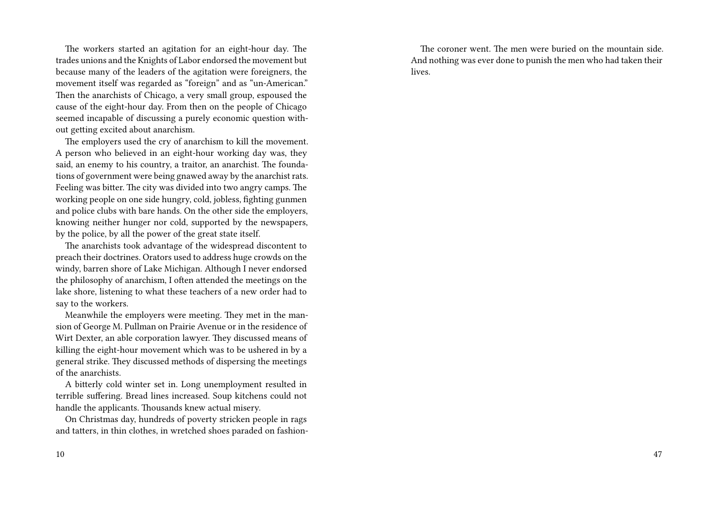The workers started an agitation for an eight-hour day. The trades unions and the Knights of Labor endorsed the movement but because many of the leaders of the agitation were foreigners, the movement itself was regarded as "foreign" and as "un-American." Then the anarchists of Chicago, a very small group, espoused the cause of the eight-hour day. From then on the people of Chicago seemed incapable of discussing a purely economic question without getting excited about anarchism.

The employers used the cry of anarchism to kill the movement. A person who believed in an eight-hour working day was, they said, an enemy to his country, a traitor, an anarchist. The foundations of government were being gnawed away by the anarchist rats. Feeling was bitter. The city was divided into two angry camps. The working people on one side hungry, cold, jobless, fighting gunmen and police clubs with bare hands. On the other side the employers, knowing neither hunger nor cold, supported by the newspapers, by the police, by all the power of the great state itself.

The anarchists took advantage of the widespread discontent to preach their doctrines. Orators used to address huge crowds on the windy, barren shore of Lake Michigan. Although I never endorsed the philosophy of anarchism, I often attended the meetings on the lake shore, listening to what these teachers of a new order had to say to the workers.

Meanwhile the employers were meeting. They met in the mansion of George M. Pullman on Prairie Avenue or in the residence of Wirt Dexter, an able corporation lawyer. They discussed means of killing the eight-hour movement which was to be ushered in by a general strike. They discussed methods of dispersing the meetings of the anarchists.

A bitterly cold winter set in. Long unemployment resulted in terrible suffering. Bread lines increased. Soup kitchens could not handle the applicants. Thousands knew actual misery.

On Christmas day, hundreds of poverty stricken people in rags and tatters, in thin clothes, in wretched shoes paraded on fashion-

The coroner went. The men were buried on the mountain side. And nothing was ever done to punish the men who had taken their lives.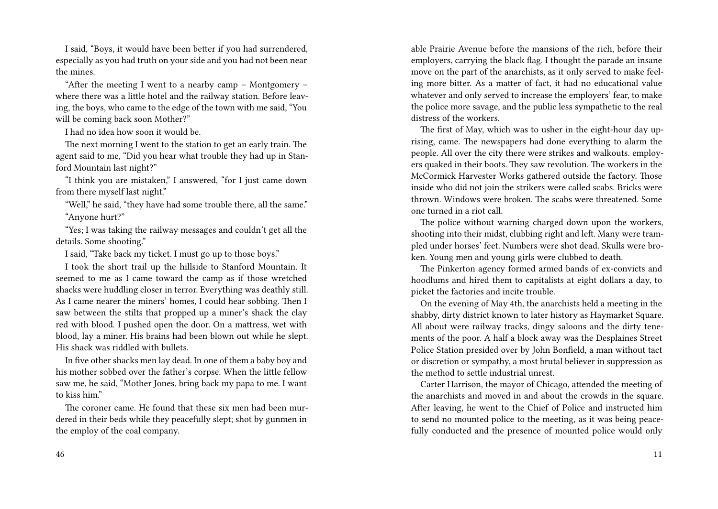I said, "Boys, it would have been better if you had surrendered, especially as you had truth on your side and you had not been near the mines.

"After the meeting I went to a nearby camp – Montgomery – where there was a little hotel and the railway station. Before leaving, the boys, who came to the edge of the town with me said, "You will be coming back soon Mother?"

I had no idea how soon it would be.

The next morning I went to the station to get an early train. The agent said to me, "Did you hear what trouble they had up in Stanford Mountain last night?"

"I think you are mistaken," I answered, "for I just came down from there myself last night."

"Well," he said, "they have had some trouble there, all the same." "Anyone hurt?"

"Yes; I was taking the railway messages and couldn't get all the details. Some shooting."

I said, "Take back my ticket. I must go up to those boys."

I took the short trail up the hillside to Stanford Mountain. It seemed to me as I came toward the camp as if those wretched shacks were huddling closer in terror. Everything was deathly still. As I came nearer the miners' homes, I could hear sobbing. Then I saw between the stilts that propped up a miner's shack the clay red with blood. I pushed open the door. On a mattress, wet with blood, lay a miner. His brains had been blown out while he slept. His shack was riddled with bullets.

In five other shacks men lay dead. In one of them a baby boy and his mother sobbed over the father's corpse. When the little fellow saw me, he said, "Mother Jones, bring back my papa to me. I want to kiss him."

The coroner came. He found that these six men had been murdered in their beds while they peacefully slept; shot by gunmen in the employ of the coal company.

able Prairie Avenue before the mansions of the rich, before their employers, carrying the black flag. I thought the parade an insane move on the part of the anarchists, as it only served to make feeling more bitter. As a matter of fact, it had no educational value whatever and only served to increase the employers' fear, to make the police more savage, and the public less sympathetic to the real distress of the workers.

The first of May, which was to usher in the eight-hour day uprising, came. The newspapers had done everything to alarm the people. All over the city there were strikes and walkouts. employers quaked in their boots. They saw revolution. The workers in the McCormick Harvester Works gathered outside the factory. Those inside who did not join the strikers were called scabs. Bricks were thrown. Windows were broken. The scabs were threatened. Some one turned in a riot call.

The police without warning charged down upon the workers, shooting into their midst, clubbing right and left. Many were trampled under horses' feet. Numbers were shot dead. Skulls were broken. Young men and young girls were clubbed to death.

The Pinkerton agency formed armed bands of ex-convicts and hoodlums and hired them to capitalists at eight dollars a day, to picket the factories and incite trouble.

On the evening of May 4th, the anarchists held a meeting in the shabby, dirty district known to later history as Haymarket Square. All about were railway tracks, dingy saloons and the dirty tenements of the poor. A half a block away was the Desplaines Street Police Station presided over by John Bonfield, a man without tact or discretion or sympathy, a most brutal believer in suppression as the method to settle industrial unrest.

Carter Harrison, the mayor of Chicago, attended the meeting of the anarchists and moved in and about the crowds in the square. After leaving, he went to the Chief of Police and instructed him to send no mounted police to the meeting, as it was being peacefully conducted and the presence of mounted police would only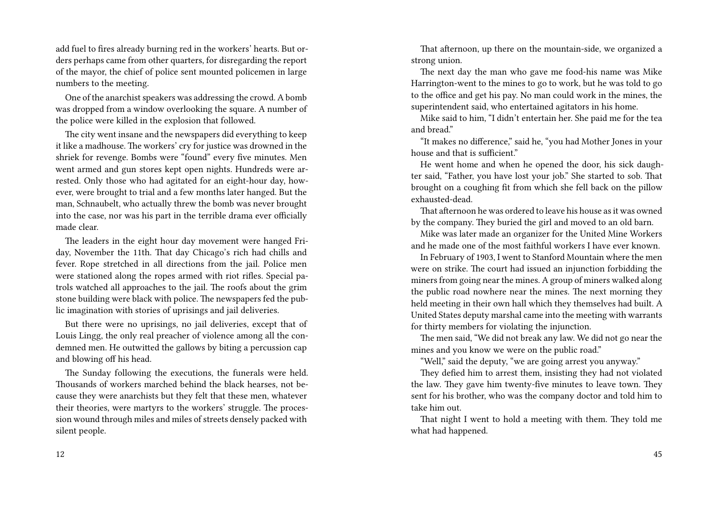add fuel to fires already burning red in the workers' hearts. But orders perhaps came from other quarters, for disregarding the report of the mayor, the chief of police sent mounted policemen in large numbers to the meeting.

One of the anarchist speakers was addressing the crowd. A bomb was dropped from a window overlooking the square. A number of the police were killed in the explosion that followed.

The city went insane and the newspapers did everything to keep it like a madhouse. The workers' cry for justice was drowned in the shriek for revenge. Bombs were "found" every five minutes. Men went armed and gun stores kept open nights. Hundreds were arrested. Only those who had agitated for an eight-hour day, however, were brought to trial and a few months later hanged. But the man, Schnaubelt, who actually threw the bomb was never brought into the case, nor was his part in the terrible drama ever officially made clear.

The leaders in the eight hour day movement were hanged Friday, November the 11th. That day Chicago's rich had chills and fever. Rope stretched in all directions from the jail. Police men were stationed along the ropes armed with riot rifles. Special patrols watched all approaches to the jail. The roofs about the grim stone building were black with police. The newspapers fed the public imagination with stories of uprisings and jail deliveries.

But there were no uprisings, no jail deliveries, except that of Louis Lingg, the only real preacher of violence among all the condemned men. He outwitted the gallows by biting a percussion cap and blowing off his head.

The Sunday following the executions, the funerals were held. Thousands of workers marched behind the black hearses, not because they were anarchists but they felt that these men, whatever their theories, were martyrs to the workers' struggle. The procession wound through miles and miles of streets densely packed with silent people.

That afternoon, up there on the mountain-side, we organized a strong union.

The next day the man who gave me food-his name was Mike Harrington-went to the mines to go to work, but he was told to go to the office and get his pay. No man could work in the mines, the superintendent said, who entertained agitators in his home.

Mike said to him, "I didn't entertain her. She paid me for the tea and bread."

"It makes no difference," said he, "you had Mother Jones in your house and that is sufficient"

He went home and when he opened the door, his sick daughter said, "Father, you have lost your job." She started to sob. That brought on a coughing fit from which she fell back on the pillow exhausted-dead.

That afternoon he was ordered to leave his house as it was owned by the company. They buried the girl and moved to an old barn.

Mike was later made an organizer for the United Mine Workers and he made one of the most faithful workers I have ever known.

In February of 1903, I went to Stanford Mountain where the men were on strike. The court had issued an injunction forbidding the miners from going near the mines. A group of miners walked along the public road nowhere near the mines. The next morning they held meeting in their own hall which they themselves had built. A United States deputy marshal came into the meeting with warrants for thirty members for violating the injunction.

The men said, "We did not break any law. We did not go near the mines and you know we were on the public road."

"Well," said the deputy, "we are going arrest you anyway."

They defied him to arrest them, insisting they had not violated the law. They gave him twenty-five minutes to leave town. They sent for his brother, who was the company doctor and told him to take him out.

That night I went to hold a meeting with them. They told me what had happened.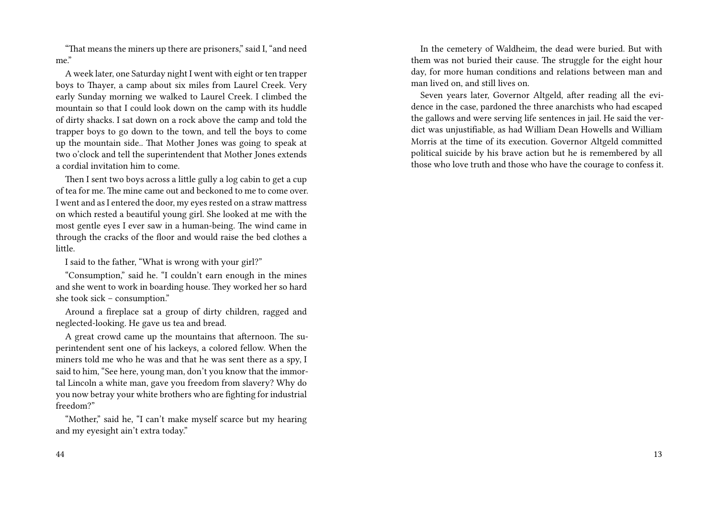"That means the miners up there are prisoners," said I, "and need me."

A week later, one Saturday night I went with eight or ten trapper boys to Thayer, a camp about six miles from Laurel Creek. Very early Sunday morning we walked to Laurel Creek. I climbed the mountain so that I could look down on the camp with its huddle of dirty shacks. I sat down on a rock above the camp and told the trapper boys to go down to the town, and tell the boys to come up the mountain side.. That Mother Jones was going to speak at two o'clock and tell the superintendent that Mother Jones extends a cordial invitation him to come.

Then I sent two boys across a little gully a log cabin to get a cup of tea for me. The mine came out and beckoned to me to come over. I went and as I entered the door, my eyes rested on a straw mattress on which rested a beautiful young girl. She looked at me with the most gentle eyes I ever saw in a human-being. The wind came in through the cracks of the floor and would raise the bed clothes a little.

I said to the father, "What is wrong with your girl?"

"Consumption," said he. "I couldn't earn enough in the mines and she went to work in boarding house. They worked her so hard she took sick – consumption."

Around a fireplace sat a group of dirty children, ragged and neglected-looking. He gave us tea and bread.

A great crowd came up the mountains that afternoon. The superintendent sent one of his lackeys, a colored fellow. When the miners told me who he was and that he was sent there as a spy, I said to him, "See here, young man, don't you know that the immortal Lincoln a white man, gave you freedom from slavery? Why do you now betray your white brothers who are fighting for industrial freedom?"

"Mother," said he, "I can't make myself scarce but my hearing and my eyesight ain't extra today."

In the cemetery of Waldheim, the dead were buried. But with them was not buried their cause. The struggle for the eight hour day, for more human conditions and relations between man and man lived on, and still lives on.

Seven years later, Governor Altgeld, after reading all the evidence in the case, pardoned the three anarchists who had escaped the gallows and were serving life sentences in jail. He said the verdict was unjustifiable, as had William Dean Howells and William Morris at the time of its execution. Governor Altgeld committed political suicide by his brave action but he is remembered by all those who love truth and those who have the courage to confess it.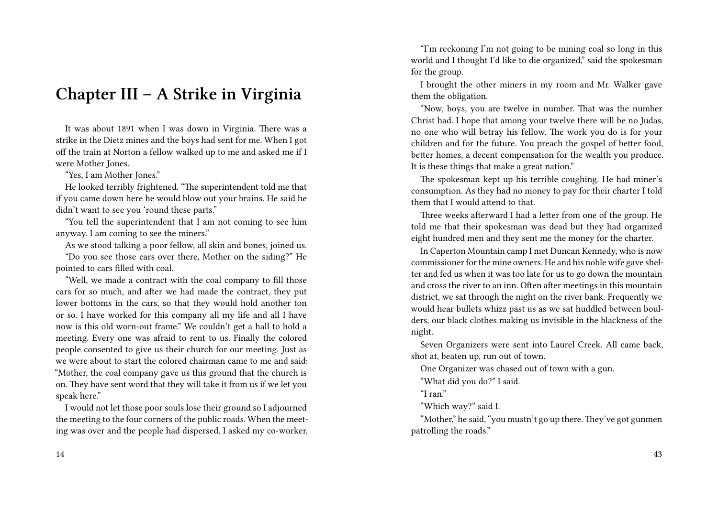#### **Chapter III – A Strike in Virginia**

It was about 1891 when I was down in Virginia. There was a strike in the Dietz mines and the boys had sent for me. When I got off the train at Norton a fellow walked up to me and asked me if I were Mother Jones.

"Yes, I am Mother Jones."

He looked terribly frightened. "The superintendent told me that if you came down here he would blow out your brains. He said he didn't want to see you 'round these parts."

"You tell the superintendent that I am not coming to see him anyway. I am coming to see the miners."

As we stood talking a poor fellow, all skin and bones, joined us.

"Do you see those cars over there, Mother on the siding?" He pointed to cars filled with coal.

"Well, we made a contract with the coal company to fill those cars for so much, and after we had made the contract, they put lower bottoms in the cars, so that they would hold another ton or so. I have worked for this company all my life and all I have now is this old worn-out frame." We couldn't get a hall to hold a meeting. Every one was afraid to rent to us. Finally the colored people consented to give us their church for our meeting. Just as we were about to start the colored chairman came to me and said: "Mother, the coal company gave us this ground that the church is on. They have sent word that they will take it from us if we let you speak here."

I would not let those poor souls lose their ground so I adjourned the meeting to the four corners of the public roads. When the meeting was over and the people had dispersed, I asked my co-worker,

"I'm reckoning I'm not going to be mining coal so long in this world and I thought I'd like to die organized," said the spokesman for the group.

I brought the other miners in my room and Mr. Walker gave them the obligation.

"Now, boys, you are twelve in number. That was the number Christ had. I hope that among your twelve there will be no Judas, no one who will betray his fellow. The work you do is for your children and for the future. You preach the gospel of better food, better homes, a decent compensation for the wealth you produce. It is these things that make a great nation."

The spokesman kept up his terrible coughing. He had miner's consumption. As they had no money to pay for their charter I told them that I would attend to that.

Three weeks afterward I had a letter from one of the group. He told me that their spokesman was dead but they had organized eight hundred men and they sent me the money for the charter.

In Caperton Mountain camp I met Duncan Kennedy, who is now commissioner for the mine owners. He and his noble wife gave shelter and fed us when it was too late for us to go down the mountain and cross the river to an inn. Often after meetings in this mountain district, we sat through the night on the river bank. Frequently we would hear bullets whizz past us as we sat huddled between boulders, our black clothes making us invisible in the blackness of the night.

Seven Organizers were sent into Laurel Creek. All came back, shot at, beaten up, run out of town.

One Organizer was chased out of town with a gun.

"What did you do?" I said.

"I ran."

"Which way?" said I.

"Mother," he said, "you mustn't go up there. They've got gunmen patrolling the roads."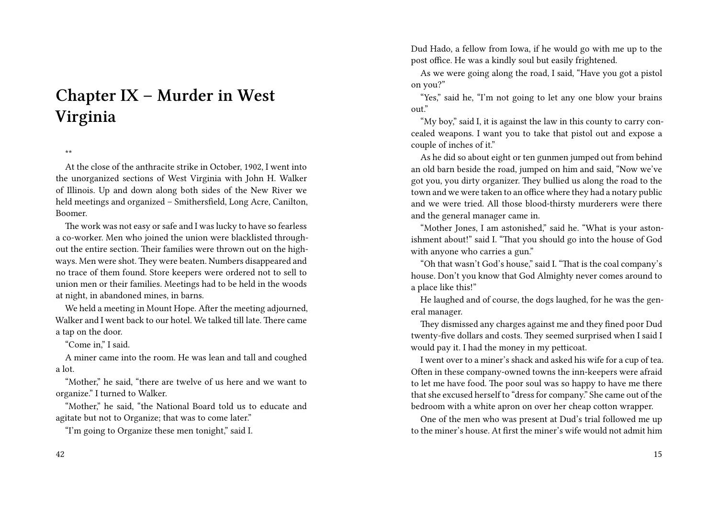# **Chapter IX – Murder in West Virginia**

\*\*

At the close of the anthracite strike in October, 1902, I went into the unorganized sections of West Virginia with John H. Walker of Illinois. Up and down along both sides of the New River we held meetings and organized – Smithersfield, Long Acre, Canilton, Boomer.

The work was not easy or safe and I was lucky to have so fearless a co-worker. Men who joined the union were blacklisted throughout the entire section. Their families were thrown out on the highways. Men were shot. They were beaten. Numbers disappeared and no trace of them found. Store keepers were ordered not to sell to union men or their families. Meetings had to be held in the woods at night, in abandoned mines, in barns.

We held a meeting in Mount Hope. After the meeting adjourned, Walker and I went back to our hotel. We talked till late. There came a tap on the door.

"Come in," I said.

A miner came into the room. He was lean and tall and coughed a lot.

"Mother," he said, "there are twelve of us here and we want to organize." I turned to Walker.

"Mother," he said, "the National Board told us to educate and agitate but not to Organize; that was to come later."

"I'm going to Organize these men tonight," said I.

Dud Hado, a fellow from Iowa, if he would go with me up to the post office. He was a kindly soul but easily frightened.

As we were going along the road, I said, "Have you got a pistol on you?"

"Yes," said he, "I'm not going to let any one blow your brains" out."

"My boy," said I, it is against the law in this county to carry concealed weapons. I want you to take that pistol out and expose a couple of inches of it."

As he did so about eight or ten gunmen jumped out from behind an old barn beside the road, jumped on him and said, "Now we've got you, you dirty organizer. They bullied us along the road to the town and we were taken to an office where they had a notary public and we were tried. All those blood-thirsty murderers were there and the general manager came in.

"Mother Jones, I am astonished," said he. "What is your astonishment about!" said I. "That you should go into the house of God with anyone who carries a gun."

"Oh that wasn't God's house," said I. "That is the coal company's house. Don't you know that God Almighty never comes around to a place like this!"

He laughed and of course, the dogs laughed, for he was the general manager.

They dismissed any charges against me and they fined poor Dud twenty-five dollars and costs. They seemed surprised when I said I would pay it. I had the money in my petticoat.

I went over to a miner's shack and asked his wife for a cup of tea. Often in these company-owned towns the inn-keepers were afraid to let me have food. The poor soul was so happy to have me there that she excused herself to "dress for company." She came out of the bedroom with a white apron on over her cheap cotton wrapper.

One of the men who was present at Dud's trial followed me up to the miner's house. At first the miner's wife would not admit him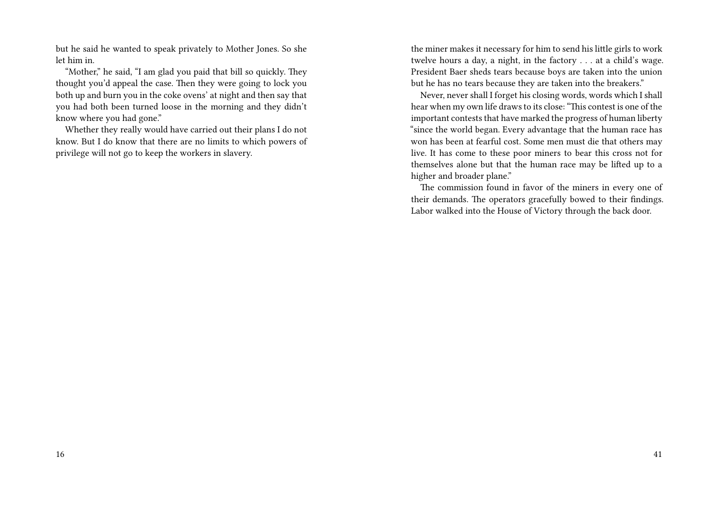but he said he wanted to speak privately to Mother Jones. So she let him in.

"Mother," he said, "I am glad you paid that bill so quickly. They thought you'd appeal the case. Then they were going to lock you both up and burn you in the coke ovens' at night and then say that you had both been turned loose in the morning and they didn't know where you had gone."

Whether they really would have carried out their plans I do not know. But I do know that there are no limits to which powers of privilege will not go to keep the workers in slavery.

the miner makes it necessary for him to send his little girls to work twelve hours a day, a night, in the factory . . . at a child's wage. President Baer sheds tears because boys are taken into the union but he has no tears because they are taken into the breakers."

Never, never shall I forget his closing words, words which I shall hear when my own life draws to its close: "This contest is one of the important contests that have marked the progress of human liberty "since the world began. Every advantage that the human race has won has been at fearful cost. Some men must die that others may live. It has come to these poor miners to bear this cross not for themselves alone but that the human race may be lifted up to a higher and broader plane."

The commission found in favor of the miners in every one of their demands. The operators gracefully bowed to their findings. Labor walked into the House of Victory through the back door.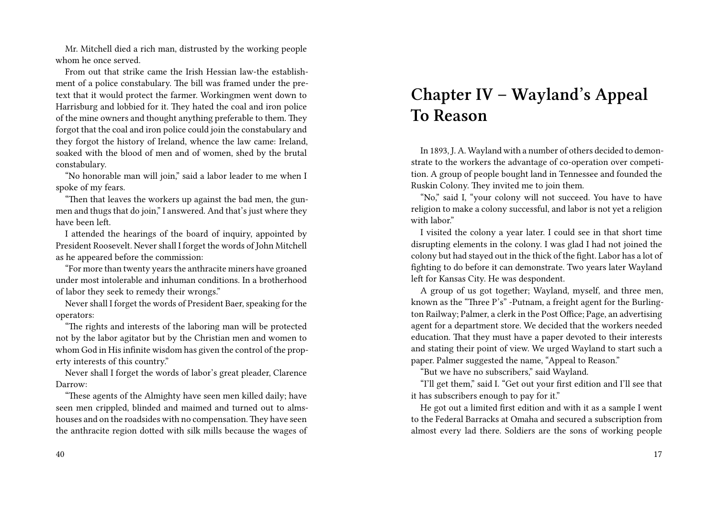Mr. Mitchell died a rich man, distrusted by the working people whom he once served.

From out that strike came the Irish Hessian law-the establishment of a police constabulary. The bill was framed under the pretext that it would protect the farmer. Workingmen went down to Harrisburg and lobbied for it. They hated the coal and iron police of the mine owners and thought anything preferable to them. They forgot that the coal and iron police could join the constabulary and they forgot the history of Ireland, whence the law came: Ireland, soaked with the blood of men and of women, shed by the brutal constabulary.

"No honorable man will join," said a labor leader to me when I spoke of my fears.

"Then that leaves the workers up against the bad men, the gunmen and thugs that do join," I answered. And that's just where they have been left.

I attended the hearings of the board of inquiry, appointed by President Roosevelt. Never shall I forget the words of John Mitchell as he appeared before the commission:

"For more than twenty years the anthracite miners have groaned under most intolerable and inhuman conditions. In a brotherhood of labor they seek to remedy their wrongs."

Never shall I forget the words of President Baer, speaking for the operators:

"The rights and interests of the laboring man will be protected not by the labor agitator but by the Christian men and women to whom God in His infinite wisdom has given the control of the property interests of this country."

Never shall I forget the words of labor's great pleader, Clarence Darrow:

"These agents of the Almighty have seen men killed daily; have seen men crippled, blinded and maimed and turned out to almshouses and on the roadsides with no compensation. They have seen the anthracite region dotted with silk mills because the wages of

#### 40

## **Chapter IV – Wayland's Appeal To Reason**

In 1893, J. A. Wayland with a number of others decided to demonstrate to the workers the advantage of co-operation over competition. A group of people bought land in Tennessee and founded the Ruskin Colony. They invited me to join them.

"No," said I, "your colony will not succeed. You have to have religion to make a colony successful, and labor is not yet a religion with labor."

I visited the colony a year later. I could see in that short time disrupting elements in the colony. I was glad I had not joined the colony but had stayed out in the thick of the fight. Labor has a lot of fighting to do before it can demonstrate. Two years later Wayland left for Kansas City. He was despondent.

A group of us got together; Wayland, myself, and three men, known as the "Three P's" -Putnam, a freight agent for the Burlington Railway; Palmer, a clerk in the Post Office; Page, an advertising agent for a department store. We decided that the workers needed education. That they must have a paper devoted to their interests and stating their point of view. We urged Wayland to start such a paper. Palmer suggested the name, "Appeal to Reason."

"But we have no subscribers," said Wayland.

"I'll get them," said I. "Get out your first edition and I'll see that it has subscribers enough to pay for it."

He got out a limited first edition and with it as a sample I went to the Federal Barracks at Omaha and secured a subscription from almost every lad there. Soldiers are the sons of working people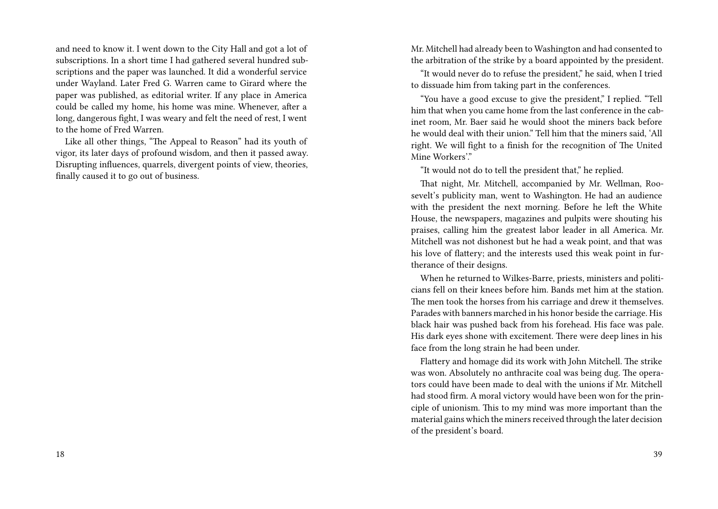and need to know it. I went down to the City Hall and got a lot of subscriptions. In a short time I had gathered several hundred subscriptions and the paper was launched. It did a wonderful service under Wayland. Later Fred G. Warren came to Girard where the paper was published, as editorial writer. If any place in America could be called my home, his home was mine. Whenever, after a long, dangerous fight, I was weary and felt the need of rest, I went to the home of Fred Warren.

Like all other things, "The Appeal to Reason" had its youth of vigor, its later days of profound wisdom, and then it passed away. Disrupting influences, quarrels, divergent points of view, theories, finally caused it to go out of business.

Mr. Mitchell had already been to Washington and had consented to the arbitration of the strike by a board appointed by the president.

"It would never do to refuse the president," he said, when I tried to dissuade him from taking part in the conferences.

"You have a good excuse to give the president," I replied. "Tell him that when you came home from the last conference in the cabinet room, Mr. Baer said he would shoot the miners back before he would deal with their union." Tell him that the miners said, 'All right. We will fight to a finish for the recognition of The United Mine Workers'."

"It would not do to tell the president that," he replied.

That night, Mr. Mitchell, accompanied by Mr. Wellman, Roosevelt's publicity man, went to Washington. He had an audience with the president the next morning. Before he left the White House, the newspapers, magazines and pulpits were shouting his praises, calling him the greatest labor leader in all America. Mr. Mitchell was not dishonest but he had a weak point, and that was his love of flattery; and the interests used this weak point in furtherance of their designs.

When he returned to Wilkes-Barre, priests, ministers and politicians fell on their knees before him. Bands met him at the station. The men took the horses from his carriage and drew it themselves. Parades with banners marched in his honor beside the carriage. His black hair was pushed back from his forehead. His face was pale. His dark eyes shone with excitement. There were deep lines in his face from the long strain he had been under.

Flattery and homage did its work with John Mitchell. The strike was won. Absolutely no anthracite coal was being dug. The operators could have been made to deal with the unions if Mr. Mitchell had stood firm. A moral victory would have been won for the principle of unionism. This to my mind was more important than the material gains which the miners received through the later decision of the president's board.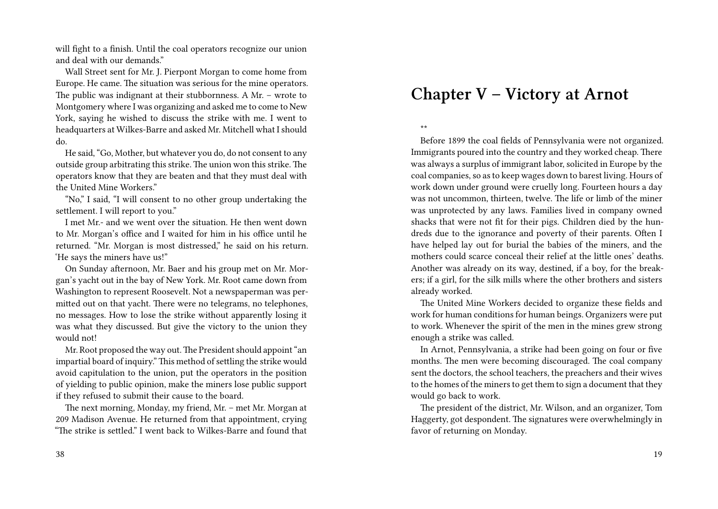will fight to a finish. Until the coal operators recognize our union and deal with our demands."

Wall Street sent for Mr. J. Pierpont Morgan to come home from Europe. He came. The situation was serious for the mine operators. The public was indignant at their stubbornness. A Mr. – wrote to Montgomery where I was organizing and asked me to come to New York, saying he wished to discuss the strike with me. I went to headquarters at Wilkes-Barre and asked Mr. Mitchell what I should do.

He said, "Go, Mother, but whatever you do, do not consent to any outside group arbitrating this strike. The union won this strike. The operators know that they are beaten and that they must deal with the United Mine Workers."

"No," I said, "I will consent to no other group undertaking the settlement. I will report to you."

I met Mr.- and we went over the situation. He then went down to Mr. Morgan's office and I waited for him in his office until he returned. "Mr. Morgan is most distressed," he said on his return. 'He says the miners have us!"

On Sunday afternoon, Mr. Baer and his group met on Mr. Morgan's yacht out in the bay of New York. Mr. Root came down from Washington to represent Roosevelt. Not a newspaperman was permitted out on that yacht. There were no telegrams, no telephones, no messages. How to lose the strike without apparently losing it was what they discussed. But give the victory to the union they would not!

Mr. Root proposed the way out.The President should appoint "an impartial board of inquiry." This method of settling the strike would avoid capitulation to the union, put the operators in the position of yielding to public opinion, make the miners lose public support if they refused to submit their cause to the board.

The next morning, Monday, my friend, Mr. – met Mr. Morgan at 209 Madison Avenue. He returned from that appointment, crying "The strike is settled." I went back to Wilkes-Barre and found that

#### **Chapter V – Victory at Arnot**

\*\*

Before 1899 the coal fields of Pennsylvania were not organized. Immigrants poured into the country and they worked cheap. There was always a surplus of immigrant labor, solicited in Europe by the coal companies, so as to keep wages down to barest living. Hours of work down under ground were cruelly long. Fourteen hours a day was not uncommon, thirteen, twelve. The life or limb of the miner was unprotected by any laws. Families lived in company owned shacks that were not fit for their pigs. Children died by the hundreds due to the ignorance and poverty of their parents. Often I have helped lay out for burial the babies of the miners, and the mothers could scarce conceal their relief at the little ones' deaths. Another was already on its way, destined, if a boy, for the breakers; if a girl, for the silk mills where the other brothers and sisters already worked.

The United Mine Workers decided to organize these fields and work for human conditions for human beings. Organizers were put to work. Whenever the spirit of the men in the mines grew strong enough a strike was called.

In Arnot, Pennsylvania, a strike had been going on four or five months. The men were becoming discouraged. The coal company sent the doctors, the school teachers, the preachers and their wives to the homes of the miners to get them to sign a document that they would go back to work.

The president of the district, Mr. Wilson, and an organizer, Tom Haggerty, got despondent. The signatures were overwhelmingly in favor of returning on Monday.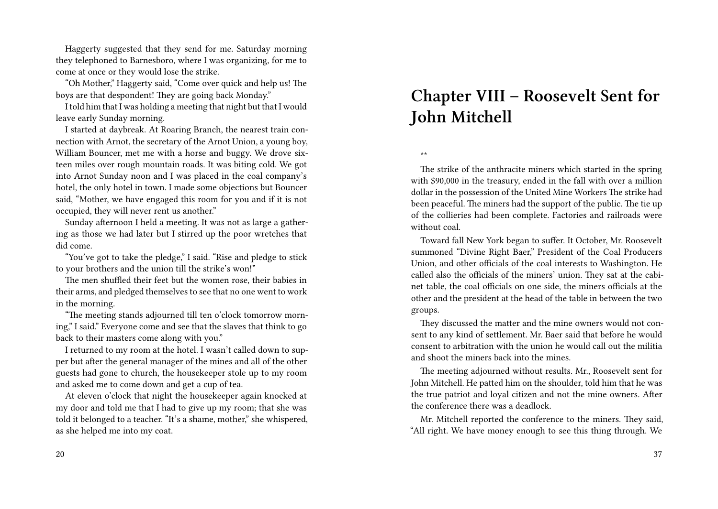Haggerty suggested that they send for me. Saturday morning they telephoned to Barnesboro, where I was organizing, for me to come at once or they would lose the strike.

"Oh Mother," Haggerty said, "Come over quick and help us! The boys are that despondent! They are going back Monday."

I told him that I was holding a meeting that night but that I would leave early Sunday morning.

I started at daybreak. At Roaring Branch, the nearest train connection with Arnot, the secretary of the Arnot Union, a young boy, William Bouncer, met me with a horse and buggy. We drove sixteen miles over rough mountain roads. It was biting cold. We got into Arnot Sunday noon and I was placed in the coal company's hotel, the only hotel in town. I made some objections but Bouncer said, "Mother, we have engaged this room for you and if it is not occupied, they will never rent us another."

Sunday afternoon I held a meeting. It was not as large a gathering as those we had later but I stirred up the poor wretches that did come.

"You've got to take the pledge," I said. "Rise and pledge to stick to your brothers and the union till the strike's won!"

The men shuffled their feet but the women rose, their babies in their arms, and pledged themselves to see that no one went to work in the morning.

"The meeting stands adjourned till ten o'clock tomorrow morning," I said." Everyone come and see that the slaves that think to go back to their masters come along with you."

I returned to my room at the hotel. I wasn't called down to supper but after the general manager of the mines and all of the other guests had gone to church, the housekeeper stole up to my room and asked me to come down and get a cup of tea.

At eleven o'clock that night the housekeeper again knocked at my door and told me that I had to give up my room; that she was told it belonged to a teacher. "It's a shame, mother," she whispered, as she helped me into my coat.

# **Chapter VIII – Roosevelt Sent for John Mitchell**

\*\*

The strike of the anthracite miners which started in the spring with \$90,000 in the treasury, ended in the fall with over a million dollar in the possession of the United Mine Workers The strike had been peaceful. The miners had the support of the public. The tie up of the collieries had been complete. Factories and railroads were without coal.

Toward fall New York began to suffer. It October, Mr. Roosevelt summoned "Divine Right Baer," President of the Coal Producers Union, and other officials of the coal interests to Washington. He called also the officials of the miners' union. They sat at the cabinet table, the coal officials on one side, the miners officials at the other and the president at the head of the table in between the two groups.

They discussed the matter and the mine owners would not consent to any kind of settlement. Mr. Baer said that before he would consent to arbitration with the union he would call out the militia and shoot the miners back into the mines.

The meeting adjourned without results. Mr., Roosevelt sent for John Mitchell. He patted him on the shoulder, told him that he was the true patriot and loyal citizen and not the mine owners. After the conference there was a deadlock.

Mr. Mitchell reported the conference to the miners. They said, "All right. We have money enough to see this thing through. We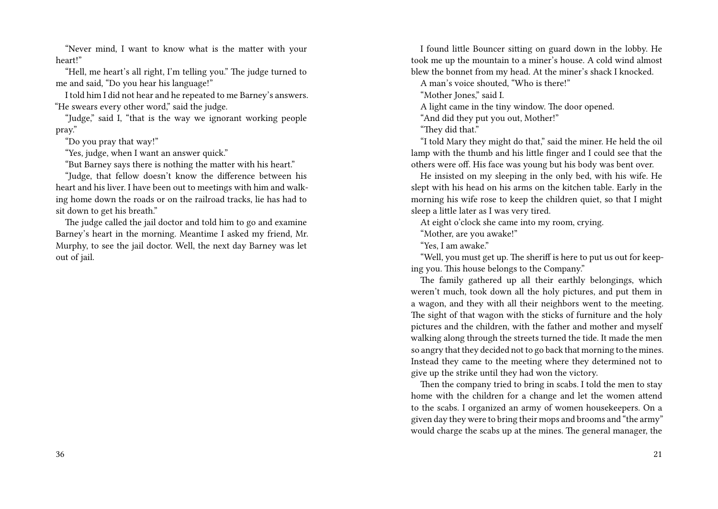"Never mind, I want to know what is the matter with your heart!"

"Hell, me heart's all right, I'm telling you." The judge turned to me and said, "Do you hear his language!"

I told him I did not hear and he repeated to me Barney's answers. "He swears every other word," said the judge.

"Judge," said I, "that is the way we ignorant working people pray."

"Do you pray that way!"

"Yes, judge, when I want an answer quick."

"But Barney says there is nothing the matter with his heart."

"Judge, that fellow doesn't know the difference between his heart and his liver. I have been out to meetings with him and walking home down the roads or on the railroad tracks, lie has had to sit down to get his breath."

The judge called the jail doctor and told him to go and examine Barney's heart in the morning. Meantime I asked my friend, Mr. Murphy, to see the jail doctor. Well, the next day Barney was let out of jail.

I found little Bouncer sitting on guard down in the lobby. He took me up the mountain to a miner's house. A cold wind almost blew the bonnet from my head. At the miner's shack I knocked.

A man's voice shouted, "Who is there!"

"Mother Jones," said I.

A light came in the tiny window. The door opened.

"And did they put you out, Mother!"

"They did that."

"I told Mary they might do that," said the miner. He held the oil lamp with the thumb and his little finger and I could see that the others were off. His face was young but his body was bent over.

He insisted on my sleeping in the only bed, with his wife. He slept with his head on his arms on the kitchen table. Early in the morning his wife rose to keep the children quiet, so that I might sleep a little later as I was very tired.

At eight o'clock she came into my room, crying.

"Mother, are you awake!"

"Yes, I am awake."

"Well, you must get up. The sheriff is here to put us out for keeping you. This house belongs to the Company."

The family gathered up all their earthly belongings, which weren't much, took down all the holy pictures, and put them in a wagon, and they with all their neighbors went to the meeting. The sight of that wagon with the sticks of furniture and the holy pictures and the children, with the father and mother and myself walking along through the streets turned the tide. It made the men so angry that they decided not to go back that morning to the mines. Instead they came to the meeting where they determined not to give up the strike until they had won the victory.

Then the company tried to bring in scabs. I told the men to stay home with the children for a change and let the women attend to the scabs. I organized an army of women housekeepers. On a given day they were to bring their mops and brooms and "the army" would charge the scabs up at the mines. The general manager, the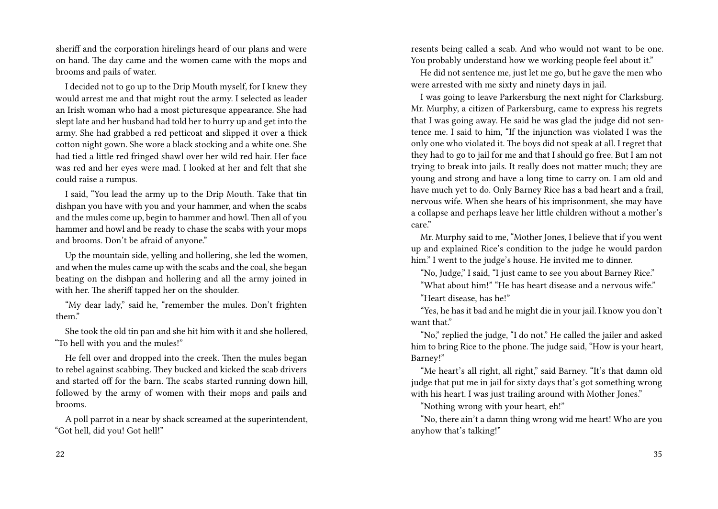sheriff and the corporation hirelings heard of our plans and were on hand. The day came and the women came with the mops and brooms and pails of water.

I decided not to go up to the Drip Mouth myself, for I knew they would arrest me and that might rout the army. I selected as leader an Irish woman who had a most picturesque appearance. She had slept late and her husband had told her to hurry up and get into the army. She had grabbed a red petticoat and slipped it over a thick cotton night gown. She wore a black stocking and a white one. She had tied a little red fringed shawl over her wild red hair. Her face was red and her eyes were mad. I looked at her and felt that she could raise a rumpus.

I said, "You lead the army up to the Drip Mouth. Take that tin dishpan you have with you and your hammer, and when the scabs and the mules come up, begin to hammer and howl. Then all of you hammer and howl and be ready to chase the scabs with your mops and brooms. Don't be afraid of anyone."

Up the mountain side, yelling and hollering, she led the women, and when the mules came up with the scabs and the coal, she began beating on the dishpan and hollering and all the army joined in with her. The sheriff tapped her on the shoulder.

"My dear lady," said he, "remember the mules. Don't frighten them."

She took the old tin pan and she hit him with it and she hollered, "To hell with you and the mules!"

He fell over and dropped into the creek. Then the mules began to rebel against scabbing. They bucked and kicked the scab drivers and started off for the barn. The scabs started running down hill, followed by the army of women with their mops and pails and brooms.

A poll parrot in a near by shack screamed at the superintendent, "Got hell, did you! Got hell!"

22

resents being called a scab. And who would not want to be one. You probably understand how we working people feel about it."

He did not sentence me, just let me go, but he gave the men who were arrested with me sixty and ninety days in jail.

I was going to leave Parkersburg the next night for Clarksburg. Mr. Murphy, a citizen of Parkersburg, came to express his regrets that I was going away. He said he was glad the judge did not sentence me. I said to him, "If the injunction was violated I was the only one who violated it. The boys did not speak at all. I regret that they had to go to jail for me and that I should go free. But I am not trying to break into jails. It really does not matter much; they are young and strong and have a long time to carry on. I am old and have much yet to do. Only Barney Rice has a bad heart and a frail, nervous wife. When she hears of his imprisonment, she may have a collapse and perhaps leave her little children without a mother's care."

Mr. Murphy said to me, "Mother Jones, I believe that if you went up and explained Rice's condition to the judge he would pardon him." I went to the judge's house. He invited me to dinner.

"No, Judge," I said, "I just came to see you about Barney Rice."

"What about him!" "He has heart disease and a nervous wife." "Heart disease, has he!"

"Yes, he has it bad and he might die in your jail. I know you don't want that."

"No," replied the judge, "I do not." He called the jailer and asked him to bring Rice to the phone. The judge said, "How is your heart, Barney!"

"Me heart's all right, all right," said Barney. "It's that damn old judge that put me in jail for sixty days that's got something wrong with his heart. I was just trailing around with Mother Jones."

"Nothing wrong with your heart, eh!"

"No, there ain't a damn thing wrong wid me heart! Who are you anyhow that's talking!"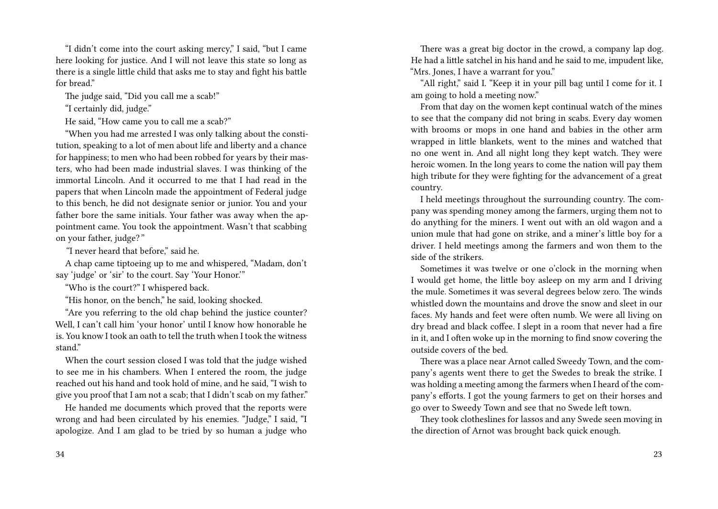"I didn't come into the court asking mercy," I said, "but I came here looking for justice. And I will not leave this state so long as there is a single little child that asks me to stay and fight his battle for bread"

The judge said, "Did you call me a scab!"

"I certainly did, judge."

He said, "How came you to call me a scab?"

"When you had me arrested I was only talking about the constitution, speaking to a lot of men about life and liberty and a chance for happiness; to men who had been robbed for years by their masters, who had been made industrial slaves. I was thinking of the immortal Lincoln. And it occurred to me that I had read in the papers that when Lincoln made the appointment of Federal judge to this bench, he did not designate senior or junior. You and your father bore the same initials. Your father was away when the appointment came. You took the appointment. Wasn't that scabbing on your father, judge?*"*

*"*I never heard that before," said he.

A chap came tiptoeing up to me and whispered, "Madam, don't say 'judge' or 'sir' to the court. Say 'Your Honor.'"

"Who is the court?" I whispered back.

"His honor, on the bench," he said, looking shocked.

"Are you referring to the old chap behind the justice counter? Well, I can't call him 'your honor' until I know how honorable he is. You know I took an oath to tell the truth when I took the witness stand."

When the court session closed I was told that the judge wished to see me in his chambers. When I entered the room, the judge reached out his hand and took hold of mine, and he said, "I wish to give you proof that I am not a scab; that I didn't scab on my father."

He handed me documents which proved that the reports were wrong and had been circulated by his enemies. "Judge," I said, "I apologize. And I am glad to be tried by so human a judge who

There was a great big doctor in the crowd, a company lap dog. He had a little satchel in his hand and he said to me, impudent like, "Mrs. Jones, I have a warrant for you."

"All right," said I. "Keep it in your pill bag until I come for it. I am going to hold a meeting now."

From that day on the women kept continual watch of the mines to see that the company did not bring in scabs. Every day women with brooms or mops in one hand and babies in the other arm wrapped in little blankets, went to the mines and watched that no one went in. And all night long they kept watch. They were heroic women. In the long years to come the nation will pay them high tribute for they were fighting for the advancement of a great country.

I held meetings throughout the surrounding country. The company was spending money among the farmers, urging them not to do anything for the miners. I went out with an old wagon and a union mule that had gone on strike, and a miner's little boy for a driver. I held meetings among the farmers and won them to the side of the strikers.

Sometimes it was twelve or one o'clock in the morning when I would get home, the little boy asleep on my arm and I driving the mule. Sometimes it was several degrees below zero. The winds whistled down the mountains and drove the snow and sleet in our faces. My hands and feet were often numb. We were all living on dry bread and black coffee. I slept in a room that never had a fire in it, and I often woke up in the morning to find snow covering the outside covers of the bed.

There was a place near Arnot called Sweedy Town, and the company's agents went there to get the Swedes to break the strike. I was holding a meeting among the farmers when I heard of the company's efforts. I got the young farmers to get on their horses and go over to Sweedy Town and see that no Swede left town.

They took clotheslines for lassos and any Swede seen moving in the direction of Arnot was brought back quick enough.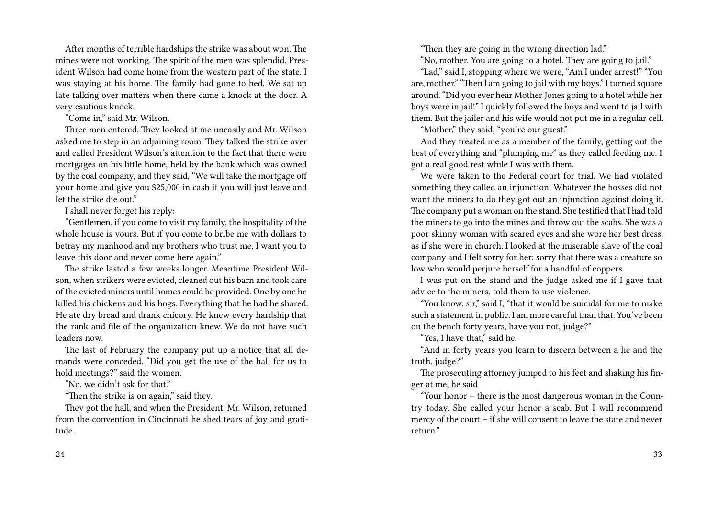After months of terrible hardships the strike was about won. The mines were not working. The spirit of the men was splendid. President Wilson had come home from the western part of the state. I was staying at his home. The family had gone to bed. We sat up late talking over matters when there came a knock at the door. A very cautious knock.

"Come in," said Mr. Wilson.

Three men entered. They looked at me uneasily and Mr. Wilson asked me to step in an adjoining room. They talked the strike over and called President Wilson's attention to the fact that there were mortgages on his little home, held by the bank which was owned by the coal company, and they said, "We will take the mortgage off your home and give you \$25,000 in cash if you will just leave and let the strike die out."

I shall never forget his reply:

"Gentlemen, if you come to visit my family, the hospitality of the whole house is yours. But if you come to bribe me with dollars to betray my manhood and my brothers who trust me, I want you to leave this door and never come here again."

The strike lasted a few weeks longer. Meantime President Wilson, when strikers were evicted, cleaned out his barn and took care of the evicted miners until homes could be provided. One by one he killed his chickens and his hogs. Everything that he had he shared. He ate dry bread and drank chicory. He knew every hardship that the rank and file of the organization knew. We do not have such leaders now.

The last of February the company put up a notice that all demands were conceded. "Did you get the use of the hall for us to hold meetings?" said the women.

"No, we didn't ask for that."

"Then the strike is on again," said they.

They got the hall, and when the President, Mr. Wilson, returned from the convention in Cincinnati he shed tears of joy and gratitude.

24

"Then they are going in the wrong direction lad."

"No, mother. You are going to a hotel. They are going to jail."

"Lad," said I, stopping where we were, "Am I under arrest!" "You are, mother." "Then l am going to jail with my boys." I turned square around. "Did you ever hear Mother Jones going to a hotel while her boys were in jail!" I quickly followed the boys and went to jail with them. But the jailer and his wife would not put me in a regular cell.

"Mother," they said, "you're our guest."

And they treated me as a member of the family, getting out the best of everything and "plumping me" as they called feeding me. I got a real good rest while I was with them.

We were taken to the Federal court for trial. We had violated something they called an injunction. Whatever the bosses did not want the miners to do they got out an injunction against doing it. The company put a woman on the stand. She testified that I had told the miners to go into the mines and throw out the scabs. She was a poor skinny woman with scared eyes and she wore her best dress, as if she were in church. I looked at the miserable slave of the coal company and I felt sorry for her: sorry that there was a creature so low who would perjure herself for a handful of coppers.

I was put on the stand and the judge asked me if I gave that advice to the miners, told them to use violence.

"You know, sir," said I, "that it would be suicidal for me to make such a statement in public. I am more careful than that. You've been on the bench forty years, have you not, judge?"

"Yes, I have that," said he.

"And in forty years you learn to discern between a lie and the truth, judge?"

The prosecuting attorney jumped to his feet and shaking his finger at me, he said

"Your honor – there is the most dangerous woman in the Country today. She called your honor a scab. But I will recommend mercy of the court – if she will consent to leave the state and never return."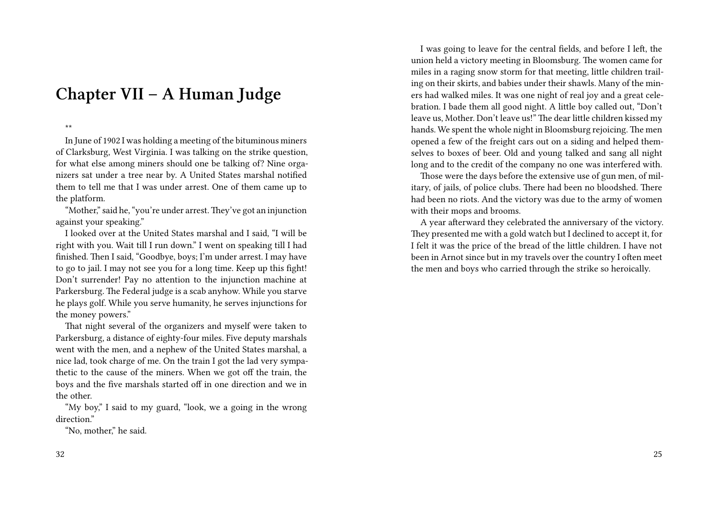## **Chapter VII – A Human Judge**

\*\*

In June of 1902 I was holding a meeting of the bituminous miners of Clarksburg, West Virginia. I was talking on the strike question, for what else among miners should one be talking of? Nine organizers sat under a tree near by. A United States marshal notified them to tell me that I was under arrest. One of them came up to the platform.

"Mother," said he, "you're under arrest.They've got an injunction against your speaking."

I looked over at the United States marshal and I said, "I will be right with you. Wait till I run down." I went on speaking till I had finished. Then I said, "Goodbye, boys; I'm under arrest. I may have to go to jail. I may not see you for a long time. Keep up this fight! Don't surrender! Pay no attention to the injunction machine at Parkersburg. The Federal judge is a scab anyhow. While you starve he plays golf. While you serve humanity, he serves injunctions for the money powers."

That night several of the organizers and myself were taken to Parkersburg, a distance of eighty-four miles. Five deputy marshals went with the men, and a nephew of the United States marshal, a nice lad, took charge of me. On the train I got the lad very sympathetic to the cause of the miners. When we got off the train, the boys and the five marshals started off in one direction and we in the other.

"My boy," I said to my guard, "look, we a going in the wrong direction."

"No, mother," he said.

I was going to leave for the central fields, and before I left, the union held a victory meeting in Bloomsburg. The women came for miles in a raging snow storm for that meeting, little children trailing on their skirts, and babies under their shawls. Many of the miners had walked miles. It was one night of real joy and a great celebration. I bade them all good night. A little boy called out, "Don't leave us, Mother. Don't leave us!" The dear little children kissed my hands. We spent the whole night in Bloomsburg rejoicing. The men opened a few of the freight cars out on a siding and helped themselves to boxes of beer. Old and young talked and sang all night long and to the credit of the company no one was interfered with.

Those were the days before the extensive use of gun men, of military, of jails, of police clubs. There had been no bloodshed. There had been no riots. And the victory was due to the army of women with their mops and brooms.

A year afterward they celebrated the anniversary of the victory. They presented me with a gold watch but I declined to accept it, for I felt it was the price of the bread of the little children. I have not been in Arnot since but in my travels over the country I often meet the men and boys who carried through the strike so heroically.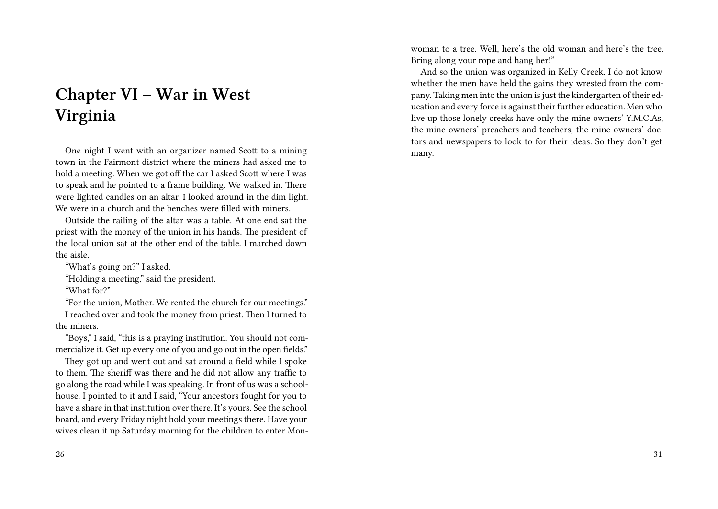# **Chapter VI – War in West Virginia**

One night I went with an organizer named Scott to a mining town in the Fairmont district where the miners had asked me to hold a meeting. When we got off the car I asked Scott where I was to speak and he pointed to a frame building. We walked in. There were lighted candles on an altar. I looked around in the dim light. We were in a church and the benches were filled with miners.

Outside the railing of the altar was a table. At one end sat the priest with the money of the union in his hands. The president of the local union sat at the other end of the table. I marched down the aisle.

"What's going on?" I asked.

"Holding a meeting," said the president.

"What for?"

"For the union, Mother. We rented the church for our meetings." I reached over and took the money from priest. Then I turned to

the miners.

"Boys," I said, "this is a praying institution. You should not commercialize it. Get up every one of you and go out in the open fields."

They got up and went out and sat around a field while I spoke to them. The sheriff was there and he did not allow any traffic to go along the road while I was speaking. In front of us was a schoolhouse. I pointed to it and I said, "Your ancestors fought for you to have a share in that institution over there. It's yours. See the school board, and every Friday night hold your meetings there. Have your wives clean it up Saturday morning for the children to enter Mon-

woman to a tree. Well, here's the old woman and here's the tree. Bring along your rope and hang her!"

And so the union was organized in Kelly Creek. I do not know whether the men have held the gains they wrested from the company. Taking men into the union is just the kindergarten of their education and every force is against their further education. Men who live up those lonely creeks have only the mine owners' Y.M.C.As, the mine owners' preachers and teachers, the mine owners' doctors and newspapers to look to for their ideas. So they don't get many.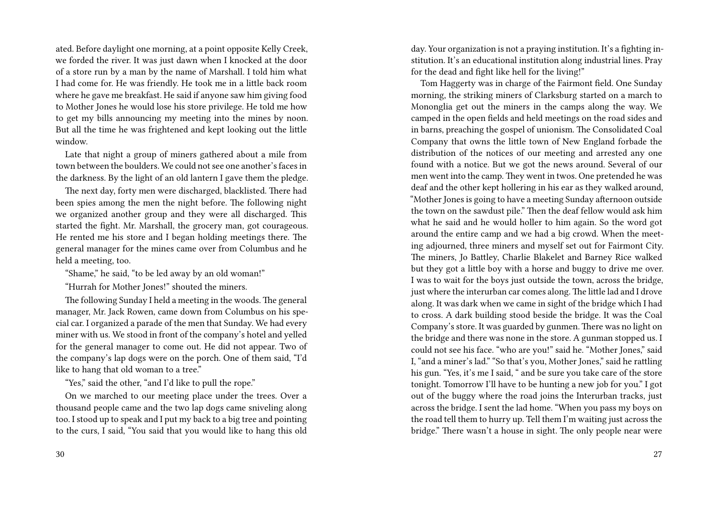ated. Before daylight one morning, at a point opposite Kelly Creek, we forded the river. It was just dawn when I knocked at the door of a store run by a man by the name of Marshall. I told him what I had come for. He was friendly. He took me in a little back room where he gave me breakfast. He said if anyone saw him giving food to Mother Jones he would lose his store privilege. He told me how to get my bills announcing my meeting into the mines by noon. But all the time he was frightened and kept looking out the little window.

Late that night a group of miners gathered about a mile from town between the boulders. We could not see one another's faces in the darkness. By the light of an old lantern I gave them the pledge.

The next day, forty men were discharged, blacklisted. There had been spies among the men the night before. The following night we organized another group and they were all discharged. This started the fight. Mr. Marshall, the grocery man, got courageous. He rented me his store and I began holding meetings there. The general manager for the mines came over from Columbus and he held a meeting, too.

"Shame," he said, "to be led away by an old woman!"

"Hurrah for Mother Jones!" shouted the miners.

The following Sunday I held a meeting in the woods. The general manager, Mr. Jack Rowen, came down from Columbus on his special car. I organized a parade of the men that Sunday. We had every miner with us. We stood in front of the company's hotel and yelled for the general manager to come out. He did not appear. Two of the company's lap dogs were on the porch. One of them said, "I'd like to hang that old woman to a tree."

"Yes," said the other, "and I'd like to pull the rope."

On we marched to our meeting place under the trees. Over a thousand people came and the two lap dogs came sniveling along too. I stood up to speak and I put my back to a big tree and pointing to the curs, I said, "You said that you would like to hang this old

day. Your organization is not a praying institution. It's a fighting institution. It's an educational institution along industrial lines. Pray for the dead and fight like hell for the living!"

Tom Haggerty was in charge of the Fairmont field. One Sunday morning, the striking miners of Clarksburg started on a march to Mononglia get out the miners in the camps along the way. We camped in the open fields and held meetings on the road sides and in barns, preaching the gospel of unionism. The Consolidated Coal Company that owns the little town of New England forbade the distribution of the notices of our meeting and arrested any one found with a notice. But we got the news around. Several of our men went into the camp. They went in twos. One pretended he was deaf and the other kept hollering in his ear as they walked around, "Mother Jones is going to have a meeting Sunday afternoon outside the town on the sawdust pile." Then the deaf fellow would ask him what he said and he would holler to him again. So the word got around the entire camp and we had a big crowd. When the meeting adjourned, three miners and myself set out for Fairmont City. The miners, Jo Battley, Charlie Blakelet and Barney Rice walked but they got a little boy with a horse and buggy to drive me over. I was to wait for the boys just outside the town, across the bridge, just where the interurban car comes along. The little lad and I drove along. It was dark when we came in sight of the bridge which I had to cross. A dark building stood beside the bridge. It was the Coal Company's store. It was guarded by gunmen. There was no light on the bridge and there was none in the store. A gunman stopped us. I could not see his face. "who are you!" said he. "Mother Jones," said I, "and a miner's lad." "So that's you, Mother Jones," said he rattling his gun. "Yes, it's me I said, " and be sure you take care of the store tonight. Tomorrow I'll have to be hunting a new job for you." I got out of the buggy where the road joins the Interurban tracks, just across the bridge. I sent the lad home. "When you pass my boys on the road tell them to hurry up. Tell them I'm waiting just across the bridge." There wasn't a house in sight. The only people near were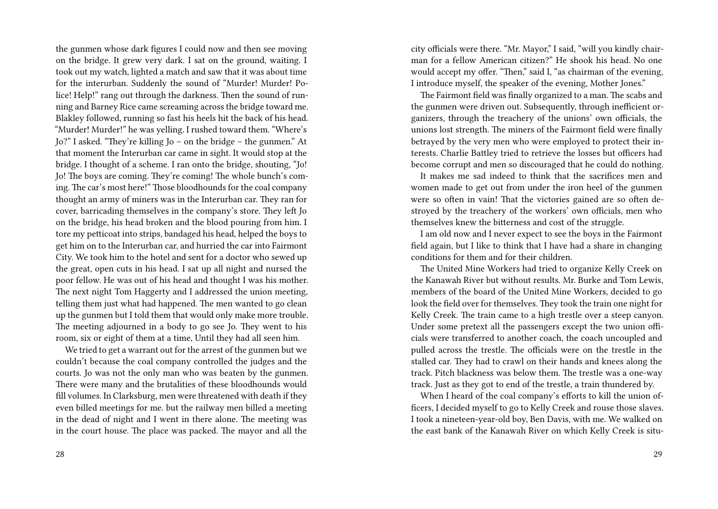the gunmen whose dark figures I could now and then see moving on the bridge. It grew very dark. I sat on the ground, waiting. I took out my watch, lighted a match and saw that it was about time for the interurban. Suddenly the sound of "Murder! Murder! Police! Help!" rang out through the darkness. Then the sound of running and Barney Rice came screaming across the bridge toward me. Blakley followed, running so fast his heels hit the back of his head. "Murder! Murder!" he was yelling. I rushed toward them. "Where's Jo?" I asked. "They're killing Jo – on the bridge – the gunmen." At that moment the Interurban car came in sight. It would stop at the bridge. I thought of a scheme. I ran onto the bridge, shouting, "Jo! Jo! The boys are coming. They're coming! The whole bunch's coming. The car's most here!" Those bloodhounds for the coal company thought an army of miners was in the Interurban car. They ran for cover, barricading themselves in the company's store. They left Jo on the bridge, his head broken and the blood pouring from him. I tore my petticoat into strips, bandaged his head, helped the boys to get him on to the Interurban car, and hurried the car into Fairmont City. We took him to the hotel and sent for a doctor who sewed up the great, open cuts in his head. I sat up all night and nursed the poor fellow. He was out of his head and thought I was his mother. The next night Tom Haggerty and I addressed the union meeting, telling them just what had happened. The men wanted to go clean up the gunmen but I told them that would only make more trouble. The meeting adjourned in a body to go see Jo. They went to his room, six or eight of them at a time, Until they had all seen him.

We tried to get a warrant out for the arrest of the gunmen but we couldn't because the coal company controlled the judges and the courts. Jo was not the only man who was beaten by the gunmen. There were many and the brutalities of these bloodhounds would fill volumes. In Clarksburg, men were threatened with death if they even billed meetings for me. but the railway men billed a meeting in the dead of night and I went in there alone. The meeting was in the court house. The place was packed. The mayor and all the

city officials were there. "Mr. Mayor," I said, "will you kindly chairman for a fellow American citizen?" He shook his head. No one would accept my offer. "Then," said I, "as chairman of the evening, I introduce myself, the speaker of the evening, Mother Jones."

The Fairmont field was finally organized to a man. The scabs and the gunmen were driven out. Subsequently, through inefficient organizers, through the treachery of the unions' own officials, the unions lost strength. The miners of the Fairmont field were finally betrayed by the very men who were employed to protect their interests. Charlie Battley tried to retrieve the losses but officers had become corrupt and men so discouraged that he could do nothing.

It makes me sad indeed to think that the sacrifices men and women made to get out from under the iron heel of the gunmen were so often in vain! That the victories gained are so often destroyed by the treachery of the workers' own officials, men who themselves knew the bitterness and cost of the struggle.

I am old now and I never expect to see the boys in the Fairmont field again, but I like to think that I have had a share in changing conditions for them and for their children.

The United Mine Workers had tried to organize Kelly Creek on the Kanawah River but without results. Mr. Burke and Tom Lewis, members of the board of the United Mine Workers, decided to go look the field over for themselves. They took the train one night for Kelly Creek. The train came to a high trestle over a steep canyon. Under some pretext all the passengers except the two union officials were transferred to another coach, the coach uncoupled and pulled across the trestle. The officials were on the trestle in the stalled car. They had to crawl on their hands and knees along the track. Pitch blackness was below them. The trestle was a one-way track. Just as they got to end of the trestle, a train thundered by.

When I heard of the coal company's efforts to kill the union officers, I decided myself to go to Kelly Creek and rouse those slaves. I took a nineteen-year-old boy, Ben Davis, with me. We walked on the east bank of the Kanawah River on which Kelly Creek is situ-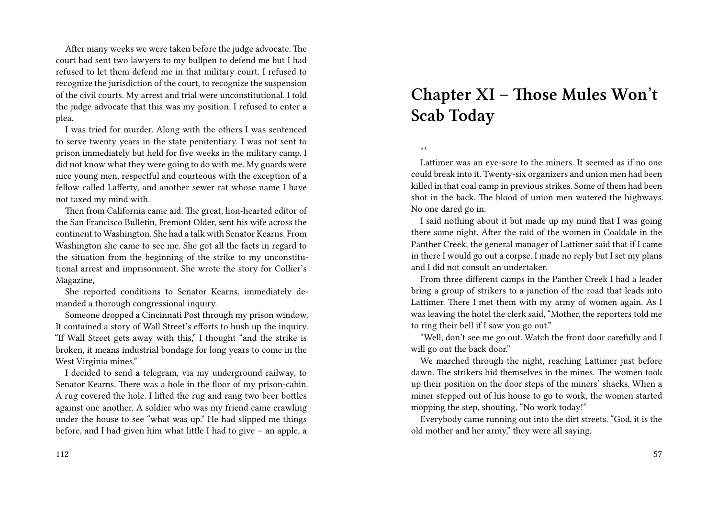After many weeks we were taken before the judge advocate. The court had sent two lawyers to my bullpen to defend me but I had refused to let them defend me in that military court. I refused to recognize the jurisdiction of the court, to recognize the suspension of the civil courts. My arrest and trial were unconstitutional. I told the judge advocate that this was my position. I refused to enter a plea.

I was tried for murder. Along with the others I was sentenced to serve twenty years in the state penitentiary. I was not sent to prison immediately but held for five weeks in the military camp. I did not know what they were going to do with me. My guards were nice young men, respectful and courteous with the exception of a fellow called Lafferty, and another sewer rat whose name I have not taxed my mind with.

Then from California came aid. The great, lion-hearted editor of the San Francisco Bulletin, Fremont Older, sent his wife across the continent to Washington. She had a talk with Senator Kearns. From Washington she came to see me. She got all the facts in regard to the situation from the beginning of the strike to my unconstitutional arrest and imprisonment. She wrote the story for Collier's Magazine,

She reported conditions to Senator Kearns, immediately demanded a thorough congressional inquiry.

Someone dropped a Cincinnati Post through my prison window. It contained a story of Wall Street's efforts to hush up the inquiry. "If Wall Street gets away with this," I thought "and the strike is broken, it means industrial bondage for long years to come in the West Virginia mines."

I decided to send a telegram, via my underground railway, to Senator Kearns. There was a hole in the floor of my prison-cabin. A rug covered the hole. I lifted the rug and rang two beer bottles against one another. A soldier who was my friend came crawling under the house to see "what was up." He had slipped me things before, and I had given him what little I had to give – an apple, a

# **Chapter XI – Those Mules Won't Scab Today**

\*\*

Lattimer was an eye-sore to the miners. It seemed as if no one could break into it. Twenty-six organizers and union men had been killed in that coal camp in previous strikes. Some of them had been shot in the back. The blood of union men watered the highways. No one dared go in.

I said nothing about it but made up my mind that I was going there some night. After the raid of the women in Coaldale in the Panther Creek, the general manager of Lattimer said that if I came in there I would go out a corpse. I made no reply but I set my plans and I did not consult an undertaker.

From three different camps in the Panther Creek I had a leader bring a group of strikers to a junction of the road that leads into Lattimer. There I met them with my army of women again. As I was leaving the hotel the clerk said, "Mother, the reporters told me to ring their bell if I saw you go out."

"Well, don't see me go out. Watch the front door carefully and I will go out the back door."

We marched through the night, reaching Lattimer just before dawn. The strikers hid themselves in the mines. The women took up their position on the door steps of the miners' shacks. When a miner stepped out of his house to go to work, the women started mopping the step, shouting, "No work today!"

Everybody came running out into the dirt streets. "God, it is the old mother and her army," they were all saying.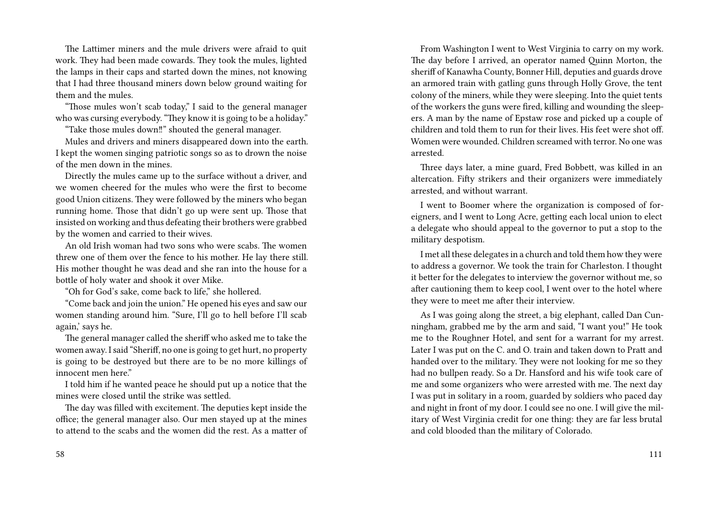The Lattimer miners and the mule drivers were afraid to quit work. They had been made cowards. They took the mules, lighted the lamps in their caps and started down the mines, not knowing that I had three thousand miners down below ground waiting for them and the mules.

"Those mules won't scab today," I said to the general manager who was cursing everybody. "They know it is going to be a holiday."

"Take those mules down‼" shouted the general manager.

Mules and drivers and miners disappeared down into the earth. I kept the women singing patriotic songs so as to drown the noise of the men down in the mines.

Directly the mules came up to the surface without a driver, and we women cheered for the mules who were the first to become good Union citizens. They were followed by the miners who began running home. Those that didn't go up were sent up. Those that insisted on working and thus defeating their brothers were grabbed by the women and carried to their wives.

An old Irish woman had two sons who were scabs. The women threw one of them over the fence to his mother. He lay there still. His mother thought he was dead and she ran into the house for a bottle of holy water and shook it over Mike.

"Oh for God's sake, come back to life," she hollered.

"Come back and join the union." He opened his eyes and saw our women standing around him. "Sure, I'll go to hell before I'll scab again,' says he.

The general manager called the sheriff who asked me to take the women away. I said "Sheriff, no one is going to get hurt, no property is going to be destroyed but there are to be no more killings of innocent men here."

I told him if he wanted peace he should put up a notice that the mines were closed until the strike was settled.

The day was filled with excitement. The deputies kept inside the office; the general manager also. Our men stayed up at the mines to attend to the scabs and the women did the rest. As a matter of

From Washington I went to West Virginia to carry on my work. The day before I arrived, an operator named Quinn Morton, the sheriff of Kanawha County, Bonner Hill, deputies and guards drove an armored train with gatling guns through Holly Grove, the tent colony of the miners, while they were sleeping. Into the quiet tents of the workers the guns were fired, killing and wounding the sleepers. A man by the name of Epstaw rose and picked up a couple of children and told them to run for their lives. His feet were shot off. Women were wounded. Children screamed with terror. No one was arrested.

Three days later, a mine guard, Fred Bobbett, was killed in an altercation. Fifty strikers and their organizers were immediately arrested, and without warrant.

I went to Boomer where the organization is composed of foreigners, and I went to Long Acre, getting each local union to elect a delegate who should appeal to the governor to put a stop to the military despotism.

I met all these delegates in a church and told them how they were to address a governor. We took the train for Charleston. I thought it better for the delegates to interview the governor without me, so after cautioning them to keep cool, I went over to the hotel where they were to meet me after their interview.

As I was going along the street, a big elephant, called Dan Cunningham, grabbed me by the arm and said, "I want you!" He took me to the Roughner Hotel, and sent for a warrant for my arrest. Later I was put on the C. and O. train and taken down to Pratt and handed over to the military. They were not looking for me so they had no bullpen ready. So a Dr. Hansford and his wife took care of me and some organizers who were arrested with me. The next day I was put in solitary in a room, guarded by soldiers who paced day and night in front of my door. I could see no one. I will give the military of West Virginia credit for one thing: they are far less brutal and cold blooded than the military of Colorado.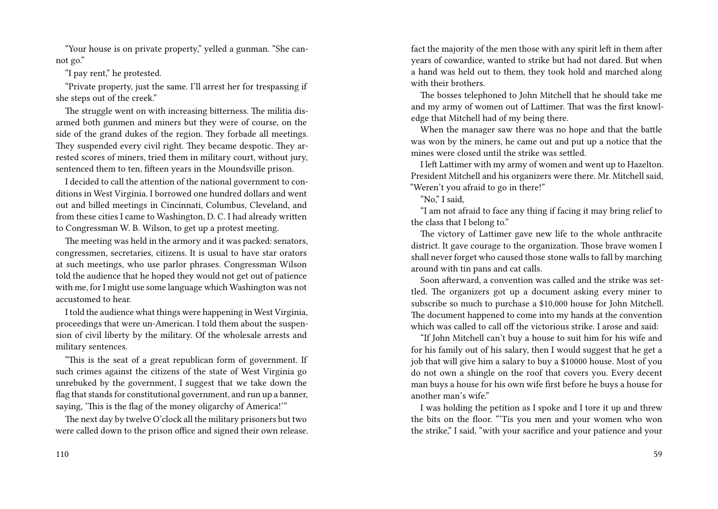"Your house is on private property," yelled a gunman. "She cannot go."

"I pay rent," he protested.

"Private property, just the same. I'll arrest her for trespassing if she steps out of the creek."

The struggle went on with increasing bitterness. The militia disarmed both gunmen and miners but they were of course, on the side of the grand dukes of the region. They forbade all meetings. They suspended every civil right. They became despotic. They arrested scores of miners, tried them in military court, without jury, sentenced them to ten, fifteen years in the Moundsville prison.

I decided to call the attention of the national government to conditions in West Virginia. I borrowed one hundred dollars and went out and billed meetings in Cincinnati, Columbus, Cleveland, and from these cities I came to Washington, D. C. I had already written to Congressman W. B. Wilson, to get up a protest meeting.

The meeting was held in the armory and it was packed: senators, congressmen, secretaries, citizens. It is usual to have star orators at such meetings, who use parlor phrases. Congressman Wilson told the audience that he hoped they would not get out of patience with me, for I might use some language which Washington was not accustomed to hear.

I told the audience what things were happening in West Virginia, proceedings that were un-American. I told them about the suspension of civil liberty by the military. Of the wholesale arrests and military sentences.

"This is the seat of a great republican form of government. If such crimes against the citizens of the state of West Virginia go unrebuked by the government, I suggest that we take down the flag that stands for constitutional government, and run up a banner, saying, 'This is the flag of the money oligarchy of America!'"

The next day by twelve O'clock all the military prisoners but two were called down to the prison office and signed their own release. fact the majority of the men those with any spirit left in them after years of cowardice, wanted to strike but had not dared. But when a hand was held out to them, they took hold and marched along with their brothers.

The bosses telephoned to John Mitchell that he should take me and my army of women out of Lattimer. That was the first knowledge that Mitchell had of my being there.

When the manager saw there was no hope and that the battle was won by the miners, he came out and put up a notice that the mines were closed until the strike was settled.

I left Lattimer with my army of women and went up to Hazelton. President Mitchell and his organizers were there. Mr. Mitchell said, "Weren't you afraid to go in there!"

"No," I said,

"I am not afraid to face any thing if facing it may bring relief to the class that I belong to."

The victory of Lattimer gave new life to the whole anthracite district. It gave courage to the organization. Those brave women I shall never forget who caused those stone walls to fall by marching around with tin pans and cat calls.

Soon afterward, a convention was called and the strike was settled. The organizers got up a document asking every miner to subscribe so much to purchase a \$10,000 house for John Mitchell. The document happened to come into my hands at the convention which was called to call off the victorious strike. I arose and said:

"If John Mitchell can't buy a house to suit him for his wife and for his family out of his salary, then I would suggest that he get a job that will give him a salary to buy a \$10000 house. Most of you do not own a shingle on the roof that covers you. Every decent man buys a house for his own wife first before he buys a house for another man's wife."

I was holding the petition as I spoke and I tore it up and threw the bits on the floor. "'Tis you men and your women who won the strike," I said, "with your sacrifice and your patience and your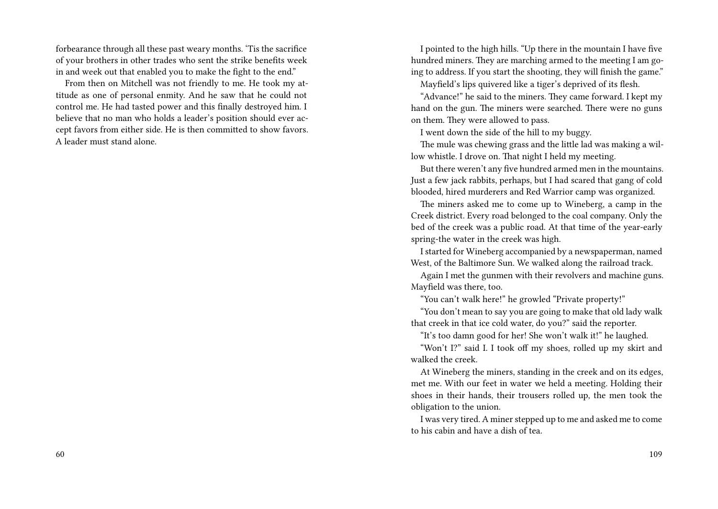forbearance through all these past weary months. 'Tis the sacrifice of your brothers in other trades who sent the strike benefits week in and week out that enabled you to make the fight to the end."

From then on Mitchell was not friendly to me. He took my attitude as one of personal enmity. And he saw that he could not control me. He had tasted power and this finally destroyed him. I believe that no man who holds a leader's position should ever accept favors from either side. He is then committed to show favors. A leader must stand alone.

I pointed to the high hills. "Up there in the mountain I have five hundred miners. They are marching armed to the meeting I am going to address. If you start the shooting, they will finish the game."

Mayfield's lips quivered like a tiger's deprived of its flesh.

"Advance!" he said to the miners. They came forward. I kept my hand on the gun. The miners were searched. There were no guns on them. They were allowed to pass.

I went down the side of the hill to my buggy.

The mule was chewing grass and the little lad was making a willow whistle. I drove on. That night I held my meeting.

But there weren't any five hundred armed men in the mountains. Just a few jack rabbits, perhaps, but I had scared that gang of cold blooded, hired murderers and Red Warrior camp was organized.

The miners asked me to come up to Wineberg, a camp in the Creek district. Every road belonged to the coal company. Only the bed of the creek was a public road. At that time of the year-early spring-the water in the creek was high.

I started for Wineberg accompanied by a newspaperman, named West, of the Baltimore Sun. We walked along the railroad track.

Again I met the gunmen with their revolvers and machine guns. Mayfield was there, too.

"You can't walk here!" he growled "Private property!"

"You don't mean to say you are going to make that old lady walk that creek in that ice cold water, do you?" said the reporter.

"It's too damn good for her! She won't walk it!" he laughed.

"Won't I?" said I. I took off my shoes, rolled up my skirt and walked the creek.

At Wineberg the miners, standing in the creek and on its edges, met me. With our feet in water we held a meeting. Holding their shoes in their hands, their trousers rolled up, the men took the obligation to the union.

I was very tired. A miner stepped up to me and asked me to come to his cabin and have a dish of tea.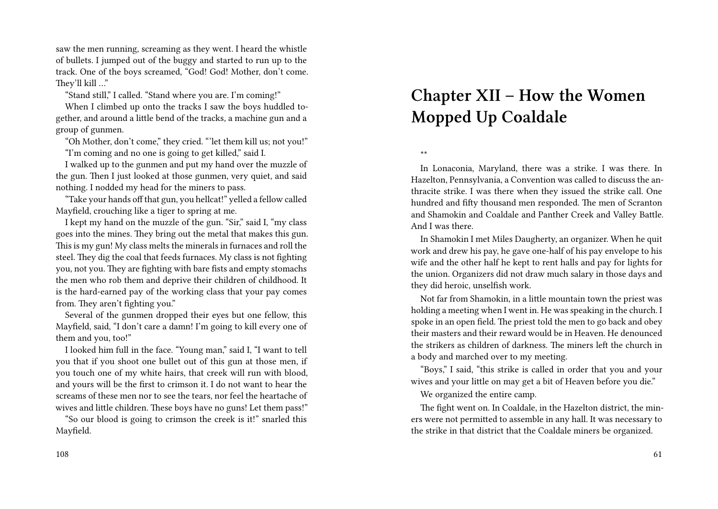saw the men running, screaming as they went. I heard the whistle of bullets. I jumped out of the buggy and started to run up to the track. One of the boys screamed, "God! God! Mother, don't come. They'll kill …"

"Stand still," I called. "Stand where you are. I'm coming!"

When I climbed up onto the tracks I saw the boys huddled together, and around a little bend of the tracks, a machine gun and a group of gunmen.

"Oh Mother, don't come," they cried. "'let them kill us; not you!"

"I'm coming and no one is going to get killed," said I.

I walked up to the gunmen and put my hand over the muzzle of the gun. Then I just looked at those gunmen, very quiet, and said nothing. I nodded my head for the miners to pass.

"Take your hands off that gun, you hellcat!" yelled a fellow called Mayfield, crouching like a tiger to spring at me.

I kept my hand on the muzzle of the gun. "Sir," said I, "my class goes into the mines. They bring out the metal that makes this gun. This is my gun! My class melts the minerals in furnaces and roll the steel. They dig the coal that feeds furnaces. My class is not fighting you, not you. They are fighting with bare fists and empty stomachs the men who rob them and deprive their children of childhood. It is the hard-earned pay of the working class that your pay comes from. They aren't fighting you."

Several of the gunmen dropped their eyes but one fellow, this Mayfield, said, "I don't care a damn! I'm going to kill every one of them and you, too!"

I looked him full in the face. "Young man," said I, "I want to tell you that if you shoot one bullet out of this gun at those men, if you touch one of my white hairs, that creek will run with blood, and yours will be the first to crimson it. I do not want to hear the screams of these men nor to see the tears, nor feel the heartache of wives and little children. These boys have no guns! Let them pass!"

"So our blood is going to crimson the creek is it!" snarled this Mayfield.

# **Chapter XII – How the Women Mopped Up Coaldale**

\*\*

In Lonaconia, Maryland, there was a strike. I was there. In Hazelton, Pennsylvania, a Convention was called to discuss the anthracite strike. I was there when they issued the strike call. One hundred and fifty thousand men responded. The men of Scranton and Shamokin and Coaldale and Panther Creek and Valley Battle. And I was there.

In Shamokin I met Miles Daugherty, an organizer. When he quit work and drew his pay, he gave one-half of his pay envelope to his wife and the other half he kept to rent halls and pay for lights for the union. Organizers did not draw much salary in those days and they did heroic, unselfish work.

Not far from Shamokin, in a little mountain town the priest was holding a meeting when I went in. He was speaking in the church. I spoke in an open field. The priest told the men to go back and obey their masters and their reward would be in Heaven. He denounced the strikers as children of darkness. The miners left the church in a body and marched over to my meeting.

"Boys," I said, "this strike is called in order that you and your wives and your little on may get a bit of Heaven before you die."

We organized the entire camp.

The fight went on. In Coaldale, in the Hazelton district, the miners were not permitted to assemble in any hall. It was necessary to the strike in that district that the Coaldale miners be organized.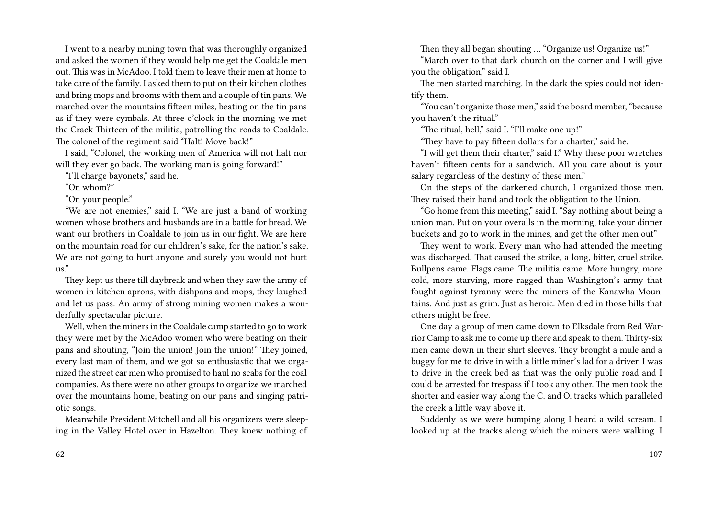I went to a nearby mining town that was thoroughly organized and asked the women if they would help me get the Coaldale men out. This was in McAdoo. I told them to leave their men at home to take care of the family. I asked them to put on their kitchen clothes and bring mops and brooms with them and a couple of tin pans. We marched over the mountains fifteen miles, beating on the tin pans as if they were cymbals. At three o'clock in the morning we met the Crack Thirteen of the militia, patrolling the roads to Coaldale. The colonel of the regiment said "Halt! Move back!"

I said, "Colonel, the working men of America will not halt nor will they ever go back. The working man is going forward!"

"I'll charge bayonets," said he.

"On whom?"

"On your people."

"We are not enemies," said I. "We are just a band of working women whose brothers and husbands are in a battle for bread. We want our brothers in Coaldale to join us in our fight. We are here on the mountain road for our children's sake, for the nation's sake. We are not going to hurt anyone and surely you would not hurt us."

They kept us there till daybreak and when they saw the army of women in kitchen aprons, with dishpans and mops, they laughed and let us pass. An army of strong mining women makes a wonderfully spectacular picture.

Well, when the miners in the Coaldale camp started to go to work they were met by the McAdoo women who were beating on their pans and shouting, "Join the union! Join the union!" They joined, every last man of them, and we got so enthusiastic that we organized the street car men who promised to haul no scabs for the coal companies. As there were no other groups to organize we marched over the mountains home, beating on our pans and singing patriotic songs.

Meanwhile President Mitchell and all his organizers were sleeping in the Valley Hotel over in Hazelton. They knew nothing of Then they all began shouting … "Organize us! Organize us!"

"March over to that dark church on the corner and I will give you the obligation," said I.

The men started marching. In the dark the spies could not identify them.

"You can't organize those men," said the board member, "because you haven't the ritual."

"The ritual, hell," said I. "I'll make one up!"

"They have to pay fifteen dollars for a charter," said he.

"I will get them their charter," said I." Why these poor wretches haven't fifteen cents for a sandwich. All you care about is your salary regardless of the destiny of these men."

On the steps of the darkened church, I organized those men. They raised their hand and took the obligation to the Union.

"Go home from this meeting," said I. "Say nothing about being a union man. Put on your overalls in the morning, take your dinner buckets and go to work in the mines, and get the other men out"

They went to work. Every man who had attended the meeting was discharged. That caused the strike, a long, bitter, cruel strike. Bullpens came. Flags came. The militia came. More hungry, more cold, more starving, more ragged than Washington's army that fought against tyranny were the miners of the Kanawha Mountains. And just as grim. Just as heroic. Men died in those hills that others might be free.

One day a group of men came down to Elksdale from Red Warrior Camp to ask me to come up there and speak to them. Thirty-six men came down in their shirt sleeves. They brought a mule and a buggy for me to drive in with a little miner's lad for a driver. I was to drive in the creek bed as that was the only public road and I could be arrested for trespass if I took any other. The men took the shorter and easier way along the C. and O. tracks which paralleled the creek a little way above it.

Suddenly as we were bumping along I heard a wild scream. I looked up at the tracks along which the miners were walking. I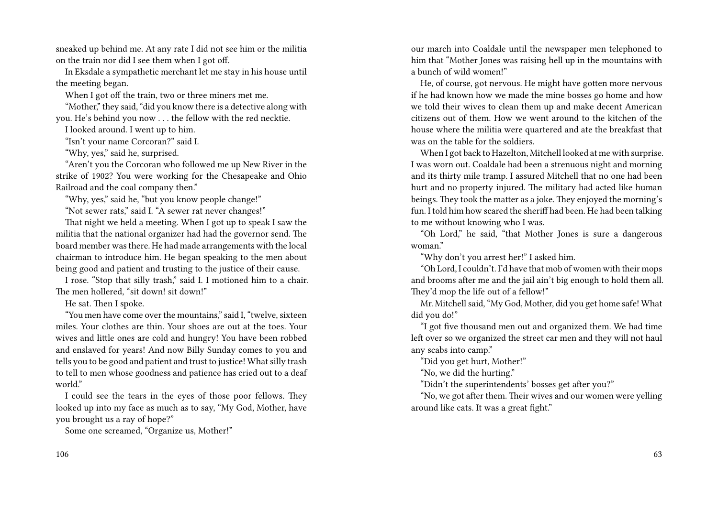sneaked up behind me. At any rate I did not see him or the militia on the train nor did I see them when I got off.

In Eksdale a sympathetic merchant let me stay in his house until the meeting began.

When I got off the train, two or three miners met me.

"Mother," they said, "did you know there is a detective along with you. He's behind you now . . . the fellow with the red necktie.

I looked around. I went up to him.

"Isn't your name Corcoran?" said I.

"Why, yes," said he, surprised.

"Aren't you the Corcoran who followed me up New River in the strike of 1902? You were working for the Chesapeake and Ohio Railroad and the coal company then."

"Why, yes," said he, "but you know people change!"

"Not sewer rats," said I. "A sewer rat never changes!"

That night we held a meeting. When I got up to speak I saw the militia that the national organizer had had the governor send. The board member was there. He had made arrangements with the local chairman to introduce him. He began speaking to the men about being good and patient and trusting to the justice of their cause.

I rose. "Stop that silly trash," said I. I motioned him to a chair. The men hollered, "sit down! sit down!"

He sat. Then I spoke.

"You men have come over the mountains," said I, "twelve, sixteen miles. Your clothes are thin. Your shoes are out at the toes. Your wives and little ones are cold and hungry! You have been robbed and enslaved for years! And now Billy Sunday comes to you and tells you to be good and patient and trust to justice! What silly trash to tell to men whose goodness and patience has cried out to a deaf world"

I could see the tears in the eyes of those poor fellows. They looked up into my face as much as to say, "My God, Mother, have you brought us a ray of hope?"

Some one screamed, "Organize us, Mother!"

our march into Coaldale until the newspaper men telephoned to him that "Mother Jones was raising hell up in the mountains with a bunch of wild women!"

He, of course, got nervous. He might have gotten more nervous if he had known how we made the mine bosses go home and how we told their wives to clean them up and make decent American citizens out of them. How we went around to the kitchen of the house where the militia were quartered and ate the breakfast that was on the table for the soldiers.

When I got back to Hazelton, Mitchell looked at me with surprise. I was worn out. Coaldale had been a strenuous night and morning and its thirty mile tramp. I assured Mitchell that no one had been hurt and no property injured. The military had acted like human beings. They took the matter as a joke. They enjoyed the morning's fun. I told him how scared the sheriff had been. He had been talking to me without knowing who I was.

"Oh Lord," he said, "that Mother Jones is sure a dangerous woman."

"Why don't you arrest her!" I asked him.

"Oh Lord, I couldn't. I'd have that mob of women with their mops and brooms after me and the jail ain't big enough to hold them all. They'd mop the life out of a fellow!"

Mr. Mitchell said, "My God, Mother, did you get home safe! What did you do!"

"I got five thousand men out and organized them. We had time left over so we organized the street car men and they will not haul any scabs into camp."

"Did you get hurt, Mother!"

"No, we did the hurting."

"Didn't the superintendents' bosses get after you?"

"No, we got after them. Their wives and our women were yelling around like cats. It was a great fight."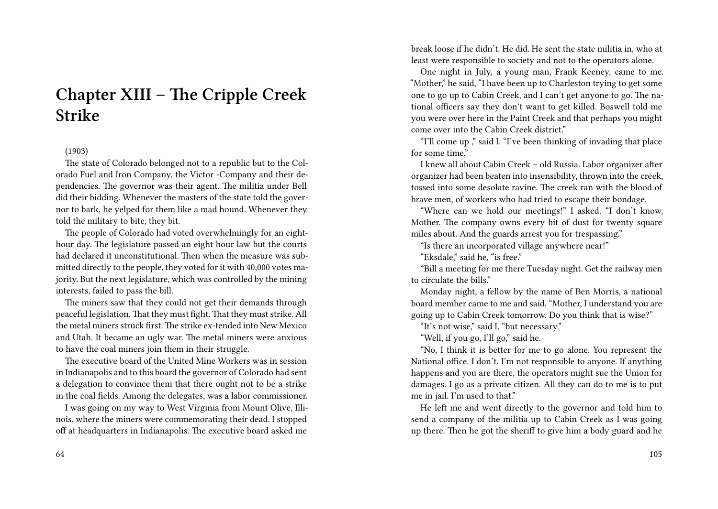# **Chapter XIII – The Cripple Creek Strike**

#### (1903)

The state of Colorado belonged not to a republic but to the Colorado Fuel and Iron Company, the Victor -Company and their dependencies. The governor was their agent. The militia under Bell did their bidding. Whenever the masters of the state told the governor to bark, he yelped for them like a mad hound. Whenever they told the military to bite, they bit.

The people of Colorado had voted overwhelmingly for an eighthour day. The legislature passed an eight hour law but the courts had declared it unconstitutional. Then when the measure was submitted directly to the people, they voted for it with 40,000 votes majority. But the next legislature, which was controlled by the mining interests, failed to pass the bill.

The miners saw that they could not get their demands through peaceful legislation. That they must fight. That they must strike. All the metal miners struck first. The strike ex-tended into New Mexico and Utah. It became an ugly war. The metal miners were anxious to have the coal miners join them in their struggle.

The executive board of the United Mine Workers was in session in Indianapolis and to this board the governor of Colorado had sent a delegation to convince them that there ought not to be a strike in the coal fields. Among the delegates, was a labor commissioner.

I was going on my way to West Virginia from Mount Olive, Illinois, where the miners were commemorating their dead. I stopped off at headquarters in Indianapolis. The executive board asked me

break loose if he didn't. He did. He sent the state militia in, who at least were responsible to society and not to the operators alone.

One night in July, a young man, Frank Keeney, came to me. "Mother," he said, "I have been up to Charleston trying to get some one to go up to Cabin Creek, and I can't get anyone to go. The national officers say they don't want to get killed. Boswell told me you were over here in the Paint Creek and that perhaps you might come over into the Cabin Creek district."

"I'll come up ," said I. "I've been thinking of invading that place for some time"

I knew all about Cabin Creek – old Russia. Labor organizer after organizer had been beaten into insensibility, thrown into the creek, tossed into some desolate ravine. The creek ran with the blood of brave men, of workers who had tried to escape their bondage.

"Where can we hold our meetings!" I asked. "I don't know, Mother. The company owns every bit of dust for twenty square miles about. And the guards arrest you for trespassing."

"Is there an incorporated village anywhere near!"

"Eksdale," said he, "is free."

"Bill a meeting for me there Tuesday night. Get the railway men to circulate the bills."

Monday night, a fellow by the name of Ben Morris, a national board member came to me and said, "Mother, I understand you are going up to Cabin Creek tomorrow. Do you think that is wise?"

"It's not wise," said I, "but necessary."

"Well, if you go, I'll go," said he.

"No, I think it is better for me to go alone. You represent the National office. I don't. I'm not responsible to anyone. If anything happens and you are there, the operators might sue the Union for damages. I go as a private citizen. All they can do to me is to put me in jail. I'm used to that."

He left me and went directly to the governor and told him to send a company of the militia up to Cabin Creek as I was going up there. Then he got the sheriff to give him a body guard and he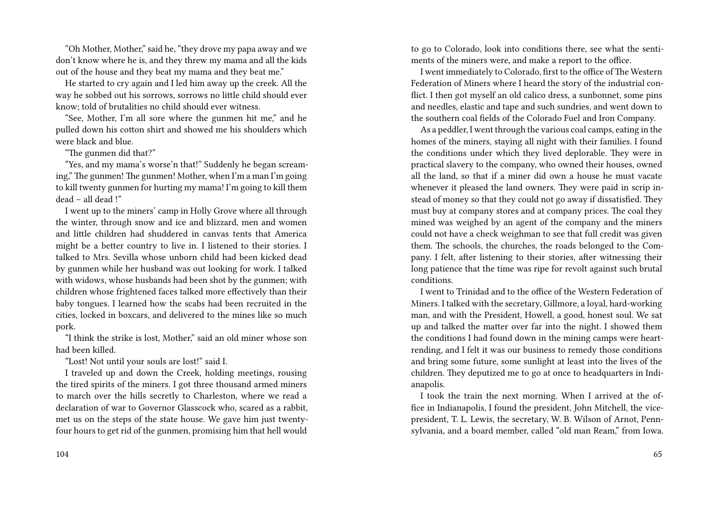"Oh Mother, Mother," said he, "they drove my papa away and we don't know where he is, and they threw my mama and all the kids out of the house and they beat my mama and they beat me."

He started to cry again and I led him away up the creek. All the way he sobbed out his sorrows, sorrows no little child should ever know; told of brutalities no child should ever witness.

"See, Mother, I'm all sore where the gunmen hit me," and he pulled down his cotton shirt and showed me his shoulders which were black and blue.

"The gunmen did that?"

"Yes, and my mama's worse'n that!" Suddenly he began screaming," The gunmen! The gunmen! Mother, when I'm a man I'm going to kill twenty gunmen for hurting my mama! I'm going to kill them dead – all dead !"

I went up to the miners' camp in Holly Grove where all through the winter, through snow and ice and blizzard, men and women and little children had shuddered in canvas tents that America might be a better country to live in. I listened to their stories. I talked to Mrs. Sevilla whose unborn child had been kicked dead by gunmen while her husband was out looking for work. I talked with widows, whose husbands had been shot by the gunmen; with children whose frightened faces talked more effectively than their baby tongues. I learned how the scabs had been recruited in the cities, locked in boxcars, and delivered to the mines like so much pork.

"I think the strike is lost, Mother," said an old miner whose son had been killed.

"Lost! Not until your souls are lost!" said I.

I traveled up and down the Creek, holding meetings, rousing the tired spirits of the miners. I got three thousand armed miners to march over the hills secretly to Charleston, where we read a declaration of war to Governor Glasscock who, scared as a rabbit, met us on the steps of the state house. We gave him just twentyfour hours to get rid of the gunmen, promising him that hell would

to go to Colorado, look into conditions there, see what the sentiments of the miners were, and make a report to the office.

I went immediately to Colorado, first to the office of The Western Federation of Miners where I heard the story of the industrial conflict. I then got myself an old calico dress, a sunbonnet, some pins and needles, elastic and tape and such sundries, and went down to the southern coal fields of the Colorado Fuel and Iron Company.

As a peddler, I went through the various coal camps, eating in the homes of the miners, staying all night with their families. I found the conditions under which they lived deplorable. They were in practical slavery to the company, who owned their houses, owned all the land, so that if a miner did own a house he must vacate whenever it pleased the land owners. They were paid in scrip instead of money so that they could not go away if dissatisfied. They must buy at company stores and at company prices. The coal they mined was weighed by an agent of the company and the miners could not have a check weighman to see that full credit was given them. The schools, the churches, the roads belonged to the Company. I felt, after listening to their stories, after witnessing their long patience that the time was ripe for revolt against such brutal conditions.

I went to Trinidad and to the office of the Western Federation of Miners. I talked with the secretary, Gillmore, a loyal, hard-working man, and with the President, Howell, a good, honest soul. We sat up and talked the matter over far into the night. I showed them the conditions I had found down in the mining camps were heartrending, and I felt it was our business to remedy those conditions and bring some future, some sunlight at least into the lives of the children. They deputized me to go at once to headquarters in Indianapolis.

I took the train the next morning. When I arrived at the office in Indianapolis, I found the president, John Mitchell, the vicepresident, T. L. Lewis, the secretary, W. B. Wilson of Arnot, Pennsylvania, and a board member, called "old man Ream," from Iowa.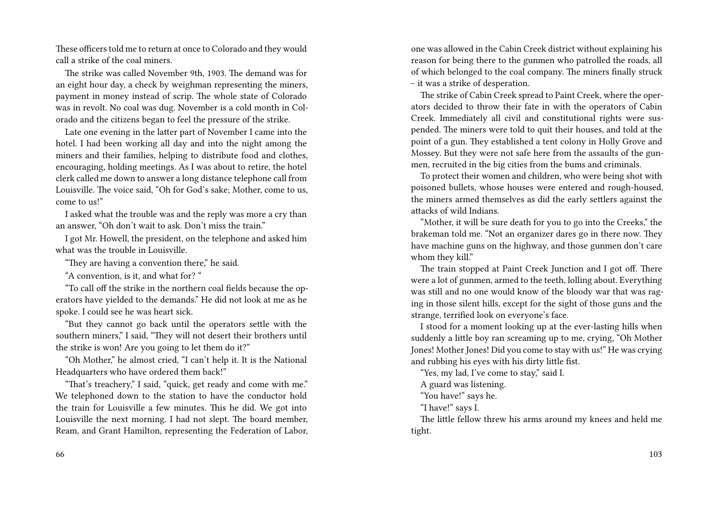These officers told me to return at once to Colorado and they would call a strike of the coal miners.

The strike was called November 9th, 1903. The demand was for an eight hour day, a check by weighman representing the miners, payment in money instead of scrip. The whole state of Colorado was in revolt. No coal was dug. November is a cold month in Colorado and the citizens began to feel the pressure of the strike.

Late one evening in the latter part of November I came into the hotel. I had been working all day and into the night among the miners and their families, helping to distribute food and clothes, encouraging, holding meetings. As I was about to retire, the hotel clerk called me down to answer a long distance telephone call from Louisville. The voice said, "Oh for God's sake; Mother, come to us, come to us!"

I asked what the trouble was and the reply was more a cry than an answer, "Oh don't wait to ask. Don't miss the train."

I got Mr. Howell, the president, on the telephone and asked him what was the trouble in Louisville.

"They are having a convention there," he said.

"A convention, is it, and what for? "

"To call off the strike in the northern coal fields because the operators have yielded to the demands." He did not look at me as he spoke. I could see he was heart sick.

"But they cannot go back until the operators settle with the southern miners," I said, "They will not desert their brothers until the strike is won! Are you going to let them do it?"

"Oh Mother," he almost cried, "I can't help it. It is the National Headquarters who have ordered them back!"

"That's treachery," I said, "quick, get ready and come with me." We telephoned down to the station to have the conductor hold the train for Louisville a few minutes. This he did. We got into Louisville the next morning. I had not slept. The board member, Ream, and Grant Hamilton, representing the Federation of Labor,

one was allowed in the Cabin Creek district without explaining his reason for being there to the gunmen who patrolled the roads, all of which belonged to the coal company. The miners finally struck – it was a strike of desperation.

The strike of Cabin Creek spread to Paint Creek, where the operators decided to throw their fate in with the operators of Cabin Creek. Immediately all civil and constitutional rights were suspended. The miners were told to quit their houses, and told at the point of a gun. They established a tent colony in Holly Grove and Mossey. But they were not safe here from the assaults of the gunmen, recruited in the big cities from the bums and criminals.

To protect their women and children, who were being shot with poisoned bullets, whose houses were entered and rough-housed, the miners armed themselves as did the early settlers against the attacks of wild Indians.

"Mother, it will be sure death for you to go into the Creeks," the brakeman told me. "Not an organizer dares go in there now. They have machine guns on the highway, and those gunmen don't care whom they kill."

The train stopped at Paint Creek Junction and I got off. There were a lot of gunmen, armed to the teeth, lolling about. Everything was still and no one would know of the bloody war that was raging in those silent hills, except for the sight of those guns and the strange, terrified look on everyone's face.

I stood for a moment looking up at the ever-lasting hills when suddenly a little boy ran screaming up to me, crying, "Oh Mother Jones! Mother Jones! Did you come to stay with us!" He was crying and rubbing his eyes with his dirty little fist.

"Yes, my lad, I've come to stay," said I.

A guard was listening.

"You have!" says he.

"I have!" says I.

The little fellow threw his arms around my knees and held me tight.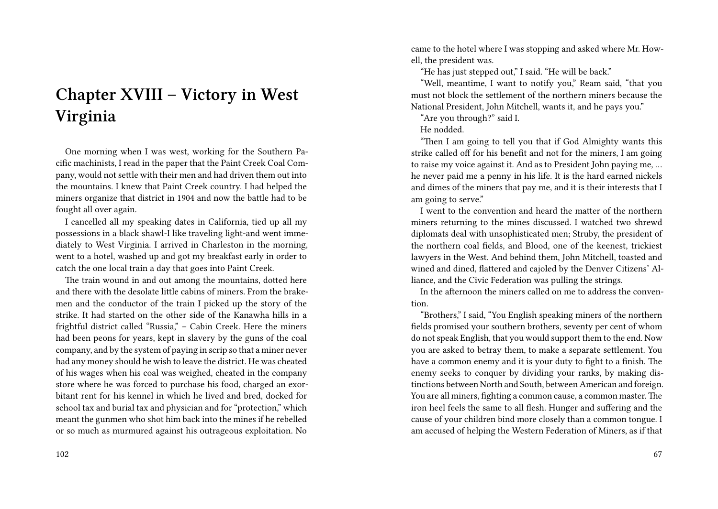# **Chapter XVIII – Victory in West Virginia**

One morning when I was west, working for the Southern Pacific machinists, I read in the paper that the Paint Creek Coal Company, would not settle with their men and had driven them out into the mountains. I knew that Paint Creek country. I had helped the miners organize that district in 1904 and now the battle had to be fought all over again.

I cancelled all my speaking dates in California, tied up all my possessions in a black shawl-I like traveling light-and went immediately to West Virginia. I arrived in Charleston in the morning, went to a hotel, washed up and got my breakfast early in order to catch the one local train a day that goes into Paint Creek.

The train wound in and out among the mountains, dotted here and there with the desolate little cabins of miners. From the brakemen and the conductor of the train I picked up the story of the strike. It had started on the other side of the Kanawha hills in a frightful district called "Russia," – Cabin Creek. Here the miners had been peons for years, kept in slavery by the guns of the coal company, and by the system of paying in scrip so that a miner never had any money should he wish to leave the district. He was cheated of his wages when his coal was weighed, cheated in the company store where he was forced to purchase his food, charged an exorbitant rent for his kennel in which he lived and bred, docked for school tax and burial tax and physician and for "protection," which meant the gunmen who shot him back into the mines if he rebelled or so much as murmured against his outrageous exploitation. No came to the hotel where I was stopping and asked where Mr. Howell, the president was.

"He has just stepped out," I said. "He will be back."

"Well, meantime, I want to notify you," Ream said, "that you must not block the settlement of the northern miners because the National President, John Mitchell, wants it, and he pays you."

"Are you through?" said I.

He nodded.

"Then I am going to tell you that if God Almighty wants this strike called off for his benefit and not for the miners, I am going to raise my voice against it. And as to President John paying me, … he never paid me a penny in his life. It is the hard earned nickels and dimes of the miners that pay me, and it is their interests that I am going to serve."

I went to the convention and heard the matter of the northern miners returning to the mines discussed. I watched two shrewd diplomats deal with unsophisticated men; Struby, the president of the northern coal fields, and Blood, one of the keenest, trickiest lawyers in the West. And behind them, John Mitchell, toasted and wined and dined, flattered and cajoled by the Denver Citizens' Alliance, and the Civic Federation was pulling the strings.

In the afternoon the miners called on me to address the convention.

"Brothers," I said, "You English speaking miners of the northern fields promised your southern brothers, seventy per cent of whom do not speak English, that you would support them to the end. Now you are asked to betray them, to make a separate settlement. You have a common enemy and it is your duty to fight to a finish. The enemy seeks to conquer by dividing your ranks, by making distinctions between North and South, between American and foreign. You are all miners, fighting a common cause, a common master. The iron heel feels the same to all flesh. Hunger and suffering and the cause of your children bind more closely than a common tongue. I am accused of helping the Western Federation of Miners, as if that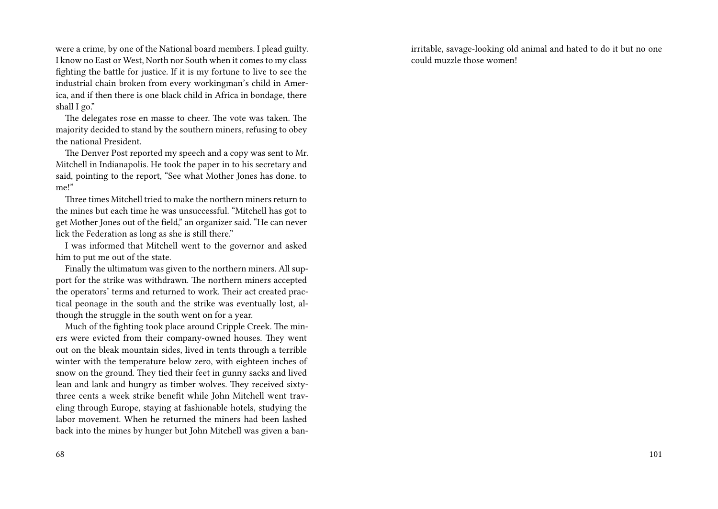were a crime, by one of the National board members. I plead guilty. I know no East or West, North nor South when it comes to my class fighting the battle for justice. If it is my fortune to live to see the industrial chain broken from every workingman's child in America, and if then there is one black child in Africa in bondage, there shall I go."

The delegates rose en masse to cheer. The vote was taken. The majority decided to stand by the southern miners, refusing to obey the national President.

The Denver Post reported my speech and a copy was sent to Mr. Mitchell in Indianapolis. He took the paper in to his secretary and said, pointing to the report, "See what Mother Jones has done. to me!"

Three times Mitchell tried to make the northern miners return to the mines but each time he was unsuccessful. "Mitchell has got to get Mother Jones out of the field," an organizer said. "He can never lick the Federation as long as she is still there."

I was informed that Mitchell went to the governor and asked him to put me out of the state.

Finally the ultimatum was given to the northern miners. All support for the strike was withdrawn. The northern miners accepted the operators' terms and returned to work. Their act created practical peonage in the south and the strike was eventually lost, although the struggle in the south went on for a year.

Much of the fighting took place around Cripple Creek. The miners were evicted from their company-owned houses. They went out on the bleak mountain sides, lived in tents through a terrible winter with the temperature below zero, with eighteen inches of snow on the ground. They tied their feet in gunny sacks and lived lean and lank and hungry as timber wolves. They received sixtythree cents a week strike benefit while John Mitchell went traveling through Europe, staying at fashionable hotels, studying the labor movement. When he returned the miners had been lashed back into the mines by hunger but John Mitchell was given a banirritable, savage-looking old animal and hated to do it but no one could muzzle those women!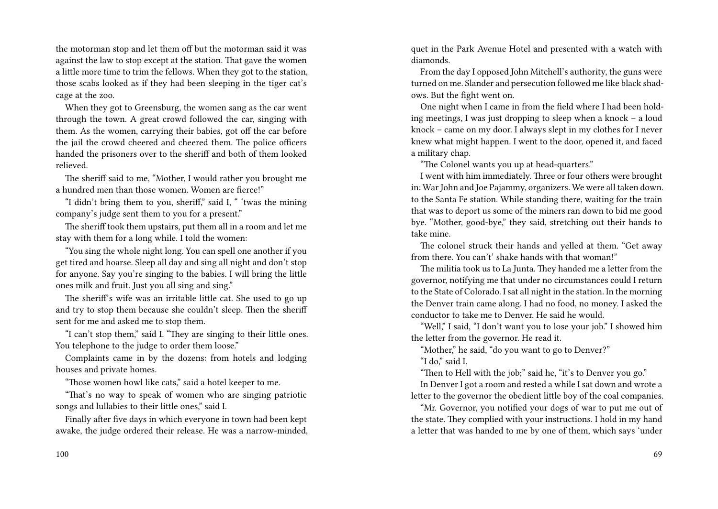the motorman stop and let them off but the motorman said it was against the law to stop except at the station. That gave the women a little more time to trim the fellows. When they got to the station, those scabs looked as if they had been sleeping in the tiger cat's cage at the zoo.

When they got to Greensburg, the women sang as the car went through the town. A great crowd followed the car, singing with them. As the women, carrying their babies, got off the car before the jail the crowd cheered and cheered them. The police officers handed the prisoners over to the sheriff and both of them looked relieved.

The sheriff said to me, "Mother, I would rather you brought me a hundred men than those women. Women are fierce!"

"I didn't bring them to you, sheriff," said I, " 'twas the mining company's judge sent them to you for a present."

The sheriff took them upstairs, put them all in a room and let me stay with them for a long while. I told the women:

"You sing the whole night long. You can spell one another if you get tired and hoarse. Sleep all day and sing all night and don't stop for anyone. Say you're singing to the babies. I will bring the little ones milk and fruit. Just you all sing and sing."

The sheriff's wife was an irritable little cat. She used to go up and try to stop them because she couldn't sleep. Then the sheriff sent for me and asked me to stop them.

"I can't stop them," said I. "They are singing to their little ones. You telephone to the judge to order them loose."

Complaints came in by the dozens: from hotels and lodging houses and private homes.

"Those women howl like cats," said a hotel keeper to me.

"That's no way to speak of women who are singing patriotic songs and lullabies to their little ones," said I.

Finally after five days in which everyone in town had been kept awake, the judge ordered their release. He was a narrow-minded, quet in the Park Avenue Hotel and presented with a watch with diamonds.

From the day I opposed John Mitchell's authority, the guns were turned on me. Slander and persecution followed me like black shadows. But the fight went on.

One night when I came in from the field where I had been holding meetings, I was just dropping to sleep when a knock – a loud knock – came on my door. I always slept in my clothes for I never knew what might happen. I went to the door, opened it, and faced a military chap.

"The Colonel wants you up at head-quarters."

I went with him immediately. Three or four others were brought in: War John and Joe Pajammy, organizers. We were all taken down. to the Santa Fe station. While standing there, waiting for the train that was to deport us some of the miners ran down to bid me good bye. "Mother, good-bye," they said, stretching out their hands to take mine.

The colonel struck their hands and yelled at them. "Get away from there. You can't' shake hands with that woman!"

The militia took us to La Junta. They handed me a letter from the governor, notifying me that under no circumstances could I return to the State of Colorado. I sat all night in the station. In the morning the Denver train came along. I had no food, no money. I asked the conductor to take me to Denver. He said he would.

"Well," I said, "I don't want you to lose your job." I showed him the letter from the governor. He read it.

"Mother," he said, "do you want to go to Denver?"

"I do," said I.

"Then to Hell with the job;" said he, "it's to Denver you go."

In Denver I got a room and rested a while I sat down and wrote a letter to the governor the obedient little boy of the coal companies.

"Mr. Governor, you notified your dogs of war to put me out of the state. They complied with your instructions. I hold in my hand a letter that was handed to me by one of them, which says 'under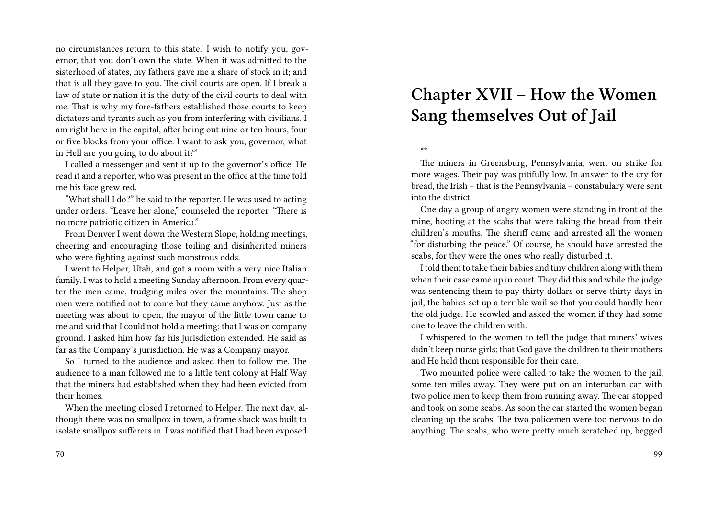no circumstances return to this state.' I wish to notify you, governor, that you don't own the state. When it was admitted to the sisterhood of states, my fathers gave me a share of stock in it; and that is all they gave to you. The civil courts are open. If I break a law of state or nation it is the duty of the civil courts to deal with me. That is why my fore-fathers established those courts to keep dictators and tyrants such as you from interfering with civilians. I am right here in the capital, after being out nine or ten hours, four or five blocks from your office. I want to ask you, governor, what in Hell are you going to do about it?"

I called a messenger and sent it up to the governor's office. He read it and a reporter, who was present in the office at the time told me his face grew red.

"What shall I do?" he said to the reporter. He was used to acting under orders. "Leave her alone," counseled the reporter. "There is no more patriotic citizen in America."

From Denver I went down the Western Slope, holding meetings, cheering and encouraging those toiling and disinherited miners who were fighting against such monstrous odds.

I went to Helper, Utah, and got a room with a very nice Italian family. I was to hold a meeting Sunday afternoon. From every quarter the men came, trudging miles over the mountains. The shop men were notified not to come but they came anyhow. Just as the meeting was about to open, the mayor of the little town came to me and said that I could not hold a meeting; that I was on company ground. I asked him how far his jurisdiction extended. He said as far as the Company's jurisdiction. He was a Company mayor.

So I turned to the audience and asked then to follow me. The audience to a man followed me to a little tent colony at Half Way that the miners had established when they had been evicted from their homes.

When the meeting closed I returned to Helper. The next day, although there was no smallpox in town, a frame shack was built to isolate smallpox sufferers in. I was notified that I had been exposed

#### **Chapter XVII – How the Women Sang themselves Out of Jail**

\*\*

The miners in Greensburg, Pennsylvania, went on strike for more wages. Their pay was pitifully low. In answer to the cry for bread, the Irish – that is the Pennsylvania – constabulary were sent into the district.

One day a group of angry women were standing in front of the mine, hooting at the scabs that were taking the bread from their children's mouths. The sheriff came and arrested all the women "for disturbing the peace." Of course, he should have arrested the scabs, for they were the ones who really disturbed it.

I told them to take their babies and tiny children along with them when their case came up in court. They did this and while the judge was sentencing them to pay thirty dollars or serve thirty days in jail, the babies set up a terrible wail so that you could hardly hear the old judge. He scowled and asked the women if they had some one to leave the children with.

I whispered to the women to tell the judge that miners' wives didn't keep nurse girls; that God gave the children to their mothers and He held them responsible for their care.

Two mounted police were called to take the women to the jail, some ten miles away. They were put on an interurban car with two police men to keep them from running away. The car stopped and took on some scabs. As soon the car started the women began cleaning up the scabs. The two policemen were too nervous to do anything. The scabs, who were pretty much scratched up, begged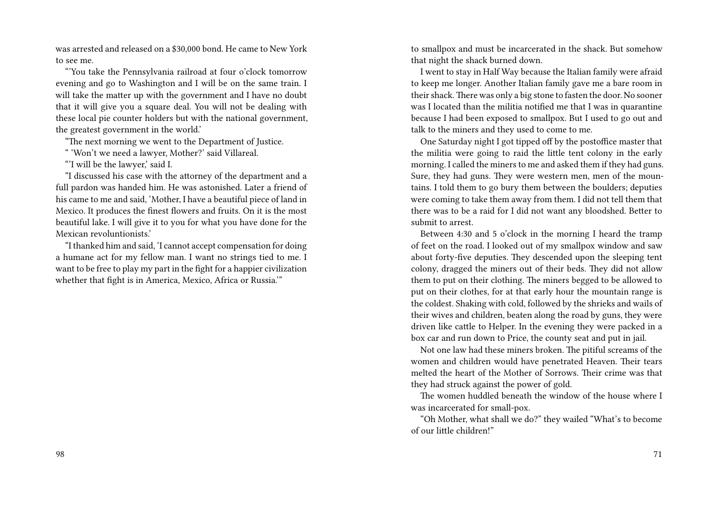was arrested and released on a \$30,000 bond. He came to New York to see me.

"'You take the Pennsylvania railroad at four o'clock tomorrow evening and go to Washington and I will be on the same train. I will take the matter up with the government and I have no doubt that it will give you a square deal. You will not be dealing with these local pie counter holders but with the national government, the greatest government in the world.'

"The next morning we went to the Department of Justice.

" 'Won't we need a lawyer, Mother?' said Villareal.

"'I will be the lawyer,' said I.

"I discussed his case with the attorney of the department and a full pardon was handed him. He was astonished. Later a friend of his came to me and said, 'Mother, I have a beautiful piece of land in Mexico. It produces the finest flowers and fruits. On it is the most beautiful lake. I will give it to you for what you have done for the Mexican revoluntionists.'

"I thanked him and said, 'I cannot accept compensation for doing a humane act for my fellow man. I want no strings tied to me. I want to be free to play my part in the fight for a happier civilization whether that fight is in America, Mexico, Africa or Russia.'"

to smallpox and must be incarcerated in the shack. But somehow that night the shack burned down.

I went to stay in Half Way because the Italian family were afraid to keep me longer. Another Italian family gave me a bare room in their shack.There was only a big stone to fasten the door. No sooner was I located than the militia notified me that I was in quarantine because I had been exposed to smallpox. But I used to go out and talk to the miners and they used to come to me.

One Saturday night I got tipped off by the postoffice master that the militia were going to raid the little tent colony in the early morning. I called the miners to me and asked them if they had guns. Sure, they had guns. They were western men, men of the mountains. I told them to go bury them between the boulders; deputies were coming to take them away from them. I did not tell them that there was to be a raid for I did not want any bloodshed. Better to submit to arrest.

Between 4:30 and 5 o'clock in the morning I heard the tramp of feet on the road. I looked out of my smallpox window and saw about forty-five deputies. They descended upon the sleeping tent colony, dragged the miners out of their beds. They did not allow them to put on their clothing. The miners begged to be allowed to put on their clothes, for at that early hour the mountain range is the coldest. Shaking with cold, followed by the shrieks and wails of their wives and children, beaten along the road by guns, they were driven like cattle to Helper. In the evening they were packed in a box car and run down to Price, the county seat and put in jail.

Not one law had these miners broken. The pitiful screams of the women and children would have penetrated Heaven. Their tears melted the heart of the Mother of Sorrows. Their crime was that they had struck against the power of gold.

The women huddled beneath the window of the house where I was incarcerated for small-pox.

"Oh Mother, what shall we do?" they wailed "What's to become of our little children!"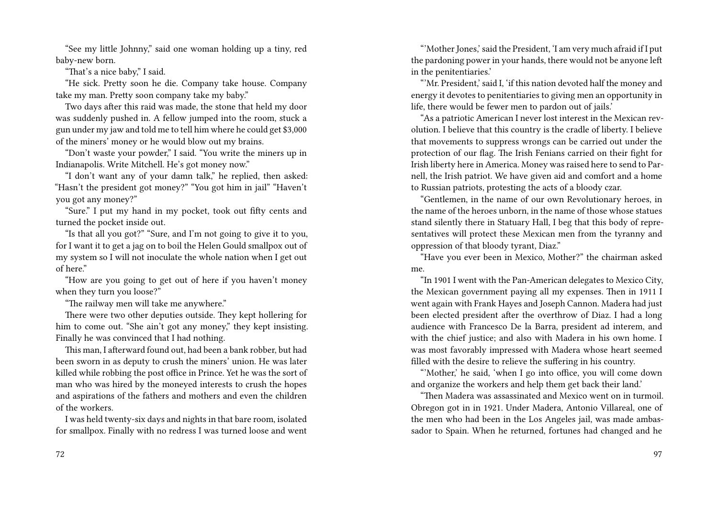"See my little Johnny," said one woman holding up a tiny, red baby-new born.

"That's a nice baby," I said.

"He sick. Pretty soon he die. Company take house. Company take my man. Pretty soon company take my baby."

Two days after this raid was made, the stone that held my door was suddenly pushed in. A fellow jumped into the room, stuck a gun under my jaw and told me to tell him where he could get \$3,000 of the miners' money or he would blow out my brains.

"Don't waste your powder," I said. "You write the miners up in Indianapolis. Write Mitchell. He's got money now."

"I don't want any of your damn talk," he replied, then asked: "Hasn't the president got money?" "You got him in jail" "Haven't you got any money?"

"Sure." I put my hand in my pocket, took out fifty cents and turned the pocket inside out.

"Is that all you got?" "Sure, and I'm not going to give it to you, for I want it to get a jag on to boil the Helen Gould smallpox out of my system so I will not inoculate the whole nation when I get out of here."

"How are you going to get out of here if you haven't money when they turn you loose?"

"The railway men will take me anywhere."

There were two other deputies outside. They kept hollering for him to come out. "She ain't got any money," they kept insisting. Finally he was convinced that I had nothing.

This man, I afterward found out, had been a bank robber, but had been sworn in as deputy to crush the miners' union. He was later killed while robbing the post office in Prince. Yet he was the sort of man who was hired by the moneyed interests to crush the hopes and aspirations of the fathers and mothers and even the children of the workers.

I was held twenty-six days and nights in that bare room, isolated for smallpox. Finally with no redress I was turned loose and went

"'Mother Jones,' said the President, 'I am very much afraid if I put the pardoning power in your hands, there would not be anyone left in the penitentiaries.'

"'Mr. President,' said I, 'if this nation devoted half the money and energy it devotes to penitentiaries to giving men an opportunity in life, there would be fewer men to pardon out of jails.'

"As a patriotic American I never lost interest in the Mexican revolution. I believe that this country is the cradle of liberty. I believe that movements to suppress wrongs can be carried out under the protection of our flag. The Irish Fenians carried on their fight for Irish liberty here in America. Money was raised here to send to Parnell, the Irish patriot. We have given aid and comfort and a home to Russian patriots, protesting the acts of a bloody czar.

"Gentlemen, in the name of our own Revolutionary heroes, in the name of the heroes unborn, in the name of those whose statues stand silently there in Statuary Hall, I beg that this body of representatives will protect these Mexican men from the tyranny and oppression of that bloody tyrant, Diaz."

"Have you ever been in Mexico, Mother?" the chairman asked me.

"In 1901 I went with the Pan-American delegates to Mexico City, the Mexican government paying all my expenses. Then in 1911 I went again with Frank Hayes and Joseph Cannon. Madera had just been elected president after the overthrow of Diaz. I had a long audience with Francesco De la Barra, president ad interem, and with the chief justice; and also with Madera in his own home. I was most favorably impressed with Madera whose heart seemed filled with the desire to relieve the suffering in his country.

"'Mother,' he said, 'when I go into office, you will come down and organize the workers and help them get back their land.'

"Then Madera was assassinated and Mexico went on in turmoil. Obregon got in in 1921. Under Madera, Antonio Villareal, one of the men who had been in the Los Angeles jail, was made ambassador to Spain. When he returned, fortunes had changed and he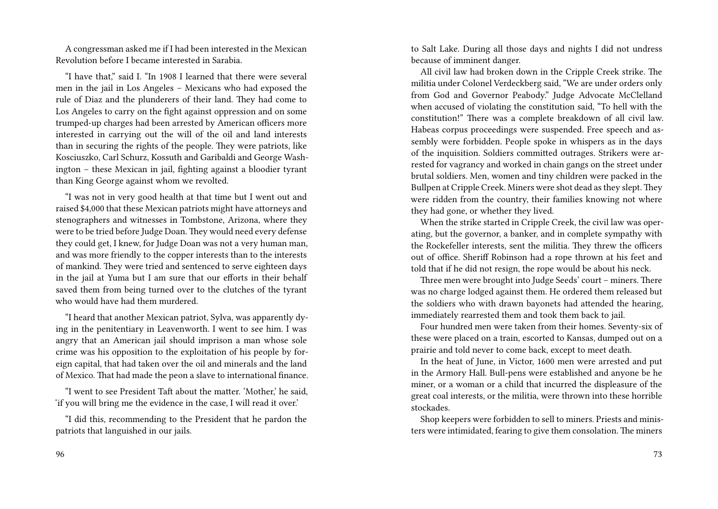A congressman asked me if I had been interested in the Mexican Revolution before I became interested in Sarabia.

"I have that," said I. "In 1908 I learned that there were several men in the jail in Los Angeles – Mexicans who had exposed the rule of Diaz and the plunderers of their land. They had come to Los Angeles to carry on the fight against oppression and on some trumped-up charges had been arrested by American officers more interested in carrying out the will of the oil and land interests than in securing the rights of the people. They were patriots, like Kosciuszko, Carl Schurz, Kossuth and Garibaldi and George Washington – these Mexican in jail, fighting against a bloodier tyrant than King George against whom we revolted.

"I was not in very good health at that time but I went out and raised \$4,000 that these Mexican patriots might have attorneys and stenographers and witnesses in Tombstone, Arizona, where they were to be tried before Judge Doan. They would need every defense they could get, I knew, for Judge Doan was not a very human man, and was more friendly to the copper interests than to the interests of mankind. They were tried and sentenced to serve eighteen days in the jail at Yuma but I am sure that our efforts in their behalf saved them from being turned over to the clutches of the tyrant who would have had them murdered.

"I heard that another Mexican patriot, Sylva, was apparently dying in the penitentiary in Leavenworth. I went to see him. I was angry that an American jail should imprison a man whose sole crime was his opposition to the exploitation of his people by foreign capital, that had taken over the oil and minerals and the land of Mexico. That had made the peon a slave to international finance.

"I went to see President Taft about the matter. 'Mother,' he said, 'if you will bring me the evidence in the case, I will read it over.'

"I did this, recommending to the President that he pardon the patriots that languished in our jails.

to Salt Lake. During all those days and nights I did not undress because of imminent danger.

All civil law had broken down in the Cripple Creek strike. The militia under Colonel Verdeckberg said, "We are under orders only from God and Governor Peabody." Judge Advocate McClelland when accused of violating the constitution said, "To hell with the constitution!" There was a complete breakdown of all civil law. Habeas corpus proceedings were suspended. Free speech and assembly were forbidden. People spoke in whispers as in the days of the inquisition. Soldiers committed outrages. Strikers were arrested for vagrancy and worked in chain gangs on the street under brutal soldiers. Men, women and tiny children were packed in the Bullpen at Cripple Creek. Miners were shot dead as they slept. They were ridden from the country, their families knowing not where they had gone, or whether they lived.

When the strike started in Cripple Creek, the civil law was operating, but the governor, a banker, and in complete sympathy with the Rockefeller interests, sent the militia. They threw the officers out of office. Sheriff Robinson had a rope thrown at his feet and told that if he did not resign, the rope would be about his neck.

Three men were brought into Judge Seeds' court – miners. There was no charge lodged against them. He ordered them released but the soldiers who with drawn bayonets had attended the hearing, immediately rearrested them and took them back to jail.

Four hundred men were taken from their homes. Seventy-six of these were placed on a train, escorted to Kansas, dumped out on a prairie and told never to come back, except to meet death.

In the heat of June, in Victor, 1600 men were arrested and put in the Armory Hall. Bull-pens were established and anyone be he miner, or a woman or a child that incurred the displeasure of the great coal interests, or the militia, were thrown into these horrible stockades.

Shop keepers were forbidden to sell to miners. Priests and ministers were intimidated, fearing to give them consolation. The miners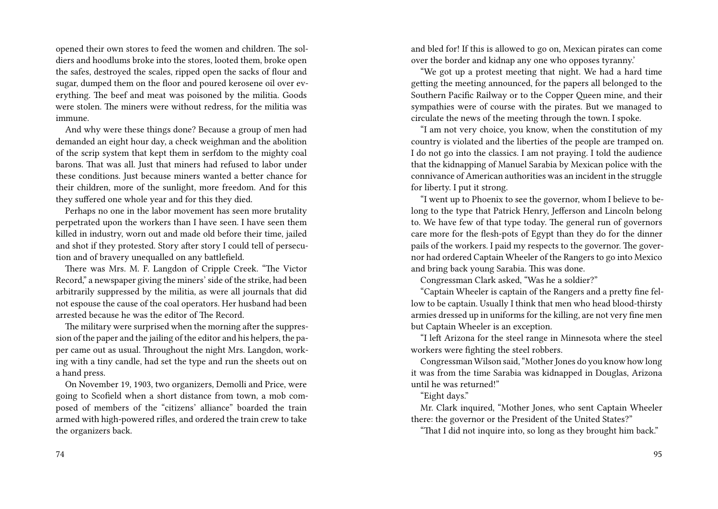opened their own stores to feed the women and children. The soldiers and hoodlums broke into the stores, looted them, broke open the safes, destroyed the scales, ripped open the sacks of flour and sugar, dumped them on the floor and poured kerosene oil over everything. The beef and meat was poisoned by the militia. Goods were stolen. The miners were without redress, for the militia was immune.

And why were these things done? Because a group of men had demanded an eight hour day, a check weighman and the abolition of the scrip system that kept them in serfdom to the mighty coal barons. That was all. Just that miners had refused to labor under these conditions. Just because miners wanted a better chance for their children, more of the sunlight, more freedom. And for this they suffered one whole year and for this they died.

Perhaps no one in the labor movement has seen more brutality perpetrated upon the workers than I have seen. I have seen them killed in industry, worn out and made old before their time, jailed and shot if they protested. Story after story I could tell of persecution and of bravery unequalled on any battlefield.

There was Mrs. M. F. Langdon of Cripple Creek. "The Victor Record," a newspaper giving the miners' side of the strike, had been arbitrarily suppressed by the militia, as were all journals that did not espouse the cause of the coal operators. Her husband had been arrested because he was the editor of The Record.

The military were surprised when the morning after the suppression of the paper and the jailing of the editor and his helpers, the paper came out as usual. Throughout the night Mrs. Langdon, working with a tiny candle, had set the type and run the sheets out on a hand press.

On November 19, 1903, two organizers, Demolli and Price, were going to Scofield when a short distance from town, a mob composed of members of the "citizens' alliance" boarded the train armed with high-powered rifles, and ordered the train crew to take the organizers back.

and bled for! If this is allowed to go on, Mexican pirates can come over the border and kidnap any one who opposes tyranny.'

"We got up a protest meeting that night. We had a hard time getting the meeting announced, for the papers all belonged to the Southern Pacific Railway or to the Copper Queen mine, and their sympathies were of course with the pirates. But we managed to circulate the news of the meeting through the town. I spoke.

"I am not very choice, you know, when the constitution of my country is violated and the liberties of the people are tramped on. I do not go into the classics. I am not praying. I told the audience that the kidnapping of Manuel Sarabia by Mexican police with the connivance of American authorities was an incident in the struggle for liberty. I put it strong.

"I went up to Phoenix to see the governor, whom I believe to belong to the type that Patrick Henry, Jefferson and Lincoln belong to. We have few of that type today. The general run of governors care more for the flesh-pots of Egypt than they do for the dinner pails of the workers. I paid my respects to the governor. The governor had ordered Captain Wheeler of the Rangers to go into Mexico and bring back young Sarabia. This was done.

Congressman Clark asked, "Was he a soldier?"

"Captain Wheeler is captain of the Rangers and a pretty fine fellow to be captain. Usually I think that men who head blood-thirsty armies dressed up in uniforms for the killing, are not very fine men but Captain Wheeler is an exception.

"I left Arizona for the steel range in Minnesota where the steel workers were fighting the steel robbers.

Congressman Wilson said, "Mother Jones do you know how long it was from the time Sarabia was kidnapped in Douglas, Arizona until he was returned!"

"Eight days."

Mr. Clark inquired, "Mother Jones, who sent Captain Wheeler there: the governor or the President of the United States?"

"That I did not inquire into, so long as they brought him back."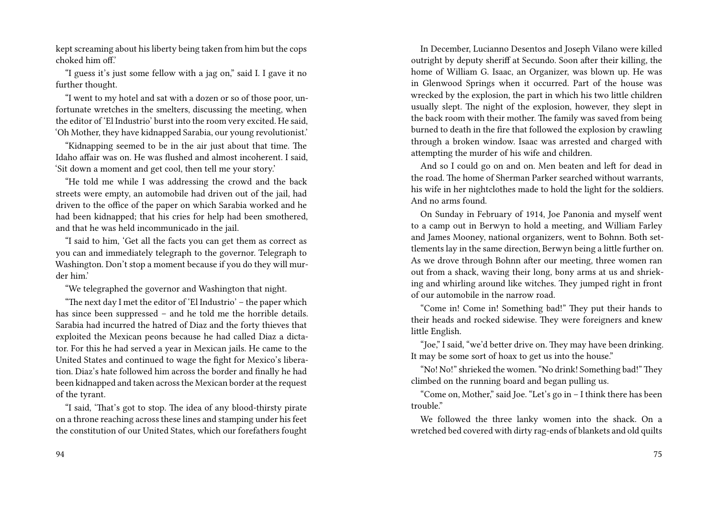kept screaming about his liberty being taken from him but the cops choked him off.'

"I guess it's just some fellow with a jag on," said I. I gave it no further thought.

"I went to my hotel and sat with a dozen or so of those poor, unfortunate wretches in the smelters, discussing the meeting, when the editor of 'El Industrio' burst into the room very excited. He said, 'Oh Mother, they have kidnapped Sarabia, our young revolutionist.'

"Kidnapping seemed to be in the air just about that time. The Idaho affair was on. He was flushed and almost incoherent. I said, 'Sit down a moment and get cool, then tell me your story.'

"He told me while I was addressing the crowd and the back streets were empty, an automobile had driven out of the jail, had driven to the office of the paper on which Sarabia worked and he had been kidnapped; that his cries for help had been smothered, and that he was held incommunicado in the jail.

"I said to him, 'Get all the facts you can get them as correct as you can and immediately telegraph to the governor. Telegraph to Washington. Don't stop a moment because if you do they will murder him.'

"We telegraphed the governor and Washington that night.

"The next day I met the editor of 'El Industrio' – the paper which has since been suppressed – and he told me the horrible details. Sarabia had incurred the hatred of Diaz and the forty thieves that exploited the Mexican peons because he had called Diaz a dictator. For this he had served a year in Mexican jails. He came to the United States and continued to wage the fight for Mexico's liberation. Diaz's hate followed him across the border and finally he had been kidnapped and taken across the Mexican border at the request of the tyrant.

"I said, 'That's got to stop. The idea of any blood-thirsty pirate on a throne reaching across these lines and stamping under his feet the constitution of our United States, which our forefathers fought

In December, Lucianno Desentos and Joseph Vilano were killed outright by deputy sheriff at Secundo. Soon after their killing, the home of William G. Isaac, an Organizer, was blown up. He was in Glenwood Springs when it occurred. Part of the house was wrecked by the explosion, the part in which his two little children usually slept. The night of the explosion, however, they slept in the back room with their mother. The family was saved from being burned to death in the fire that followed the explosion by crawling through a broken window. Isaac was arrested and charged with attempting the murder of his wife and children.

And so I could go on and on. Men beaten and left for dead in the road. The home of Sherman Parker searched without warrants, his wife in her nightclothes made to hold the light for the soldiers. And no arms found.

On Sunday in February of 1914, Joe Panonia and myself went to a camp out in Berwyn to hold a meeting, and William Farley and James Mooney, national organizers, went to Bohnn. Both settlements lay in the same direction, Berwyn being a little further on. As we drove through Bohnn after our meeting, three women ran out from a shack, waving their long, bony arms at us and shrieking and whirling around like witches. They jumped right in front of our automobile in the narrow road.

"Come in! Come in! Something bad!" They put their hands to their heads and rocked sidewise. They were foreigners and knew little English.

"Joe," I said, "we'd better drive on. They may have been drinking. It may be some sort of hoax to get us into the house."

"No! No!" shrieked the women. "No drink! Something bad!"They climbed on the running board and began pulling us.

"Come on, Mother," said Joe. "Let's go in – I think there has been trouble."

We followed the three lanky women into the shack. On a wretched bed covered with dirty rag-ends of blankets and old quilts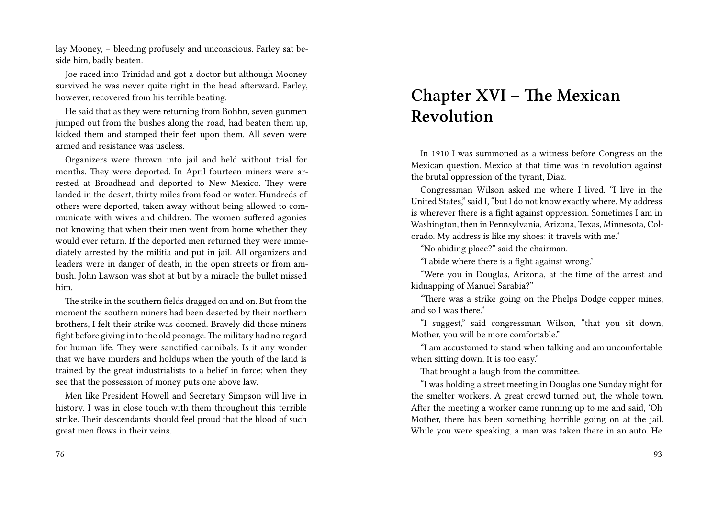lay Mooney, – bleeding profusely and unconscious. Farley sat beside him, badly beaten.

Joe raced into Trinidad and got a doctor but although Mooney survived he was never quite right in the head afterward. Farley, however, recovered from his terrible beating.

He said that as they were returning from Bohhn, seven gunmen jumped out from the bushes along the road, had beaten them up, kicked them and stamped their feet upon them. All seven were armed and resistance was useless.

Organizers were thrown into jail and held without trial for months. They were deported. In April fourteen miners were arrested at Broadhead and deported to New Mexico. They were landed in the desert, thirty miles from food or water. Hundreds of others were deported, taken away without being allowed to communicate with wives and children. The women suffered agonies not knowing that when their men went from home whether they would ever return. If the deported men returned they were immediately arrested by the militia and put in jail. All organizers and leaders were in danger of death, in the open streets or from ambush. John Lawson was shot at but by a miracle the bullet missed him.

The strike in the southern fields dragged on and on. But from the moment the southern miners had been deserted by their northern brothers, I felt their strike was doomed. Bravely did those miners fight before giving in to the old peonage.The military had no regard for human life. They were sanctified cannibals. Is it any wonder that we have murders and holdups when the youth of the land is trained by the great industrialists to a belief in force; when they see that the possession of money puts one above law.

Men like President Howell and Secretary Simpson will live in history. I was in close touch with them throughout this terrible strike. Their descendants should feel proud that the blood of such great men flows in their veins.

# **Chapter XVI – The Mexican Revolution**

In 1910 I was summoned as a witness before Congress on the Mexican question. Mexico at that time was in revolution against the brutal oppression of the tyrant, Diaz.

Congressman Wilson asked me where I lived. "I live in the United States," said I, "but I do not know exactly where. My address is wherever there is a fight against oppression. Sometimes I am in Washington, then in Pennsylvania, Arizona, Texas, Minnesota, Colorado. My address is like my shoes: it travels with me."

"No abiding place?" said the chairman.

"I abide where there is a fight against wrong.'

"Were you in Douglas, Arizona, at the time of the arrest and kidnapping of Manuel Sarabia?"

"There was a strike going on the Phelps Dodge copper mines, and so I was there"

"I suggest," said congressman Wilson, "that you sit down, Mother, you will be more comfortable."

"I am accustomed to stand when talking and am uncomfortable when sitting down. It is too easy."

That brought a laugh from the committee.

"I was holding a street meeting in Douglas one Sunday night for the smelter workers. A great crowd turned out, the whole town. After the meeting a worker came running up to me and said, 'Oh Mother, there has been something horrible going on at the jail. While you were speaking, a man was taken there in an auto. He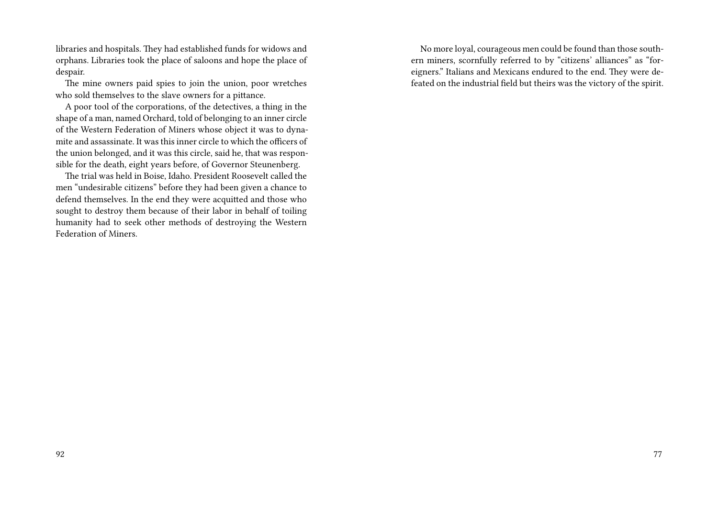libraries and hospitals. They had established funds for widows and orphans. Libraries took the place of saloons and hope the place of despair.

The mine owners paid spies to join the union, poor wretches who sold themselves to the slave owners for a pittance.

A poor tool of the corporations, of the detectives, a thing in the shape of a man, named Orchard, told of belonging to an inner circle of the Western Federation of Miners whose object it was to dynamite and assassinate. It was this inner circle to which the officers of the union belonged, and it was this circle, said he, that was responsible for the death, eight years before, of Governor Steunenberg.

The trial was held in Boise, Idaho. President Roosevelt called the men "undesirable citizens" before they had been given a chance to defend themselves. In the end they were acquitted and those who sought to destroy them because of their labor in behalf of toiling humanity had to seek other methods of destroying the Western Federation of Miners.

No more loyal, courageous men could be found than those southern miners, scornfully referred to by "citizens' alliances" as "foreigners." Italians and Mexicans endured to the end. They were defeated on the industrial field but theirs was the victory of the spirit.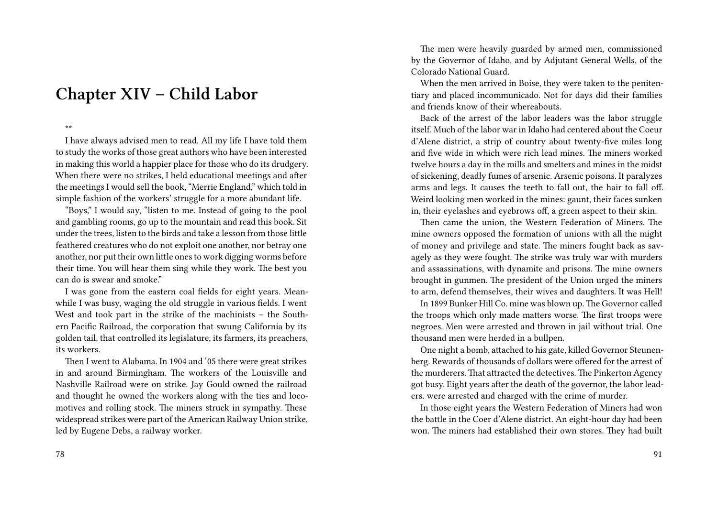#### **Chapter XIV – Child Labor**

\*\*

I have always advised men to read. All my life I have told them to study the works of those great authors who have been interested in making this world a happier place for those who do its drudgery. When there were no strikes, I held educational meetings and after the meetings I would sell the book, "Merrie England," which told in simple fashion of the workers' struggle for a more abundant life.

"Boys," I would say, "listen to me. Instead of going to the pool and gambling rooms, go up to the mountain and read this book. Sit under the trees, listen to the birds and take a lesson from those little feathered creatures who do not exploit one another, nor betray one another, nor put their own little ones to work digging worms before their time. You will hear them sing while they work. The best you can do is swear and smoke."

I was gone from the eastern coal fields for eight years. Meanwhile I was busy, waging the old struggle in various fields. I went West and took part in the strike of the machinists – the Southern Pacific Railroad, the corporation that swung California by its golden tail, that controlled its legislature, its farmers, its preachers, its workers.

Then I went to Alabama. In 1904 and '05 there were great strikes in and around Birmingham. The workers of the Louisville and Nashville Railroad were on strike. Jay Gould owned the railroad and thought he owned the workers along with the ties and locomotives and rolling stock. The miners struck in sympathy. These widespread strikes were part of the American Railway Union strike, led by Eugene Debs, a railway worker.

78

The men were heavily guarded by armed men, commissioned by the Governor of Idaho, and by Adjutant General Wells, of the Colorado National Guard.

When the men arrived in Boise, they were taken to the penitentiary and placed incommunicado. Not for days did their families and friends know of their whereabouts.

Back of the arrest of the labor leaders was the labor struggle itself. Much of the labor war in Idaho had centered about the Coeur d'Alene district, a strip of country about twenty-five miles long and five wide in which were rich lead mines. The miners worked twelve hours a day in the mills and smelters and mines in the midst of sickening, deadly fumes of arsenic. Arsenic poisons. It paralyzes arms and legs. It causes the teeth to fall out, the hair to fall off. Weird looking men worked in the mines: gaunt, their faces sunken in, their eyelashes and eyebrows off, a green aspect to their skin.

Then came the union, the Western Federation of Miners. The mine owners opposed the formation of unions with all the might of money and privilege and state. The miners fought back as savagely as they were fought. The strike was truly war with murders and assassinations, with dynamite and prisons. The mine owners brought in gunmen. The president of the Union urged the miners to arm, defend themselves, their wives and daughters. It was Hell!

In 1899 Bunker Hill Co. mine was blown up. The Governor called the troops which only made matters worse. The first troops were negroes. Men were arrested and thrown in jail without trial. One thousand men were herded in a bullpen.

One night a bomb, attached to his gate, killed Governor Steunenberg. Rewards of thousands of dollars were offered for the arrest of the murderers. That attracted the detectives. The Pinkerton Agency got busy. Eight years after the death of the governor, the labor leaders. were arrested and charged with the crime of murder.

In those eight years the Western Federation of Miners had won the battle in the Coer d'Alene district. An eight-hour day had been won. The miners had established their own stores. They had built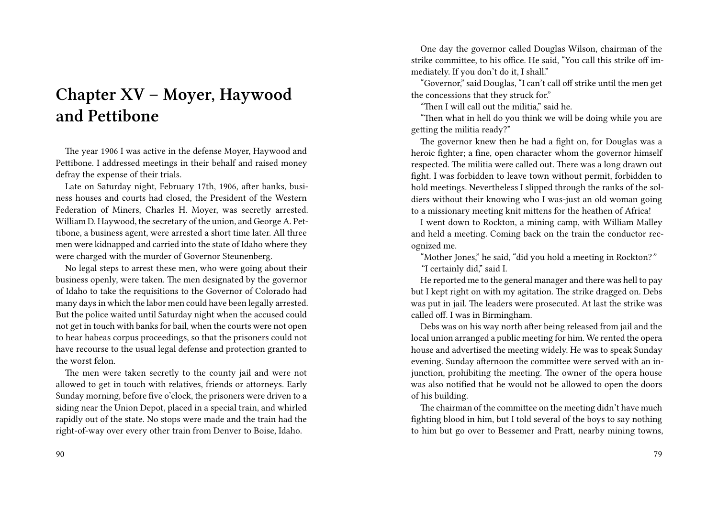### **Chapter XV – Moyer, Haywood and Pettibone**

The year 1906 I was active in the defense Moyer, Haywood and Pettibone. I addressed meetings in their behalf and raised money defray the expense of their trials.

Late on Saturday night, February 17th, 1906, after banks, business houses and courts had closed, the President of the Western Federation of Miners, Charles H. Moyer, was secretly arrested. William D. Haywood, the secretary of the union, and George A. Pettibone, a business agent, were arrested a short time later. All three men were kidnapped and carried into the state of Idaho where they were charged with the murder of Governor Steunenberg.

No legal steps to arrest these men, who were going about their business openly, were taken. The men designated by the governor of Idaho to take the requisitions to the Governor of Colorado had many days in which the labor men could have been legally arrested. But the police waited until Saturday night when the accused could not get in touch with banks for bail, when the courts were not open to hear habeas corpus proceedings, so that the prisoners could not have recourse to the usual legal defense and protection granted to the worst felon.

The men were taken secretly to the county jail and were not allowed to get in touch with relatives, friends or attorneys. Early Sunday morning, before five o'clock, the prisoners were driven to a siding near the Union Depot, placed in a special train, and whirled rapidly out of the state. No stops were made and the train had the right-of-way over every other train from Denver to Boise, Idaho.

90

One day the governor called Douglas Wilson, chairman of the strike committee, to his office. He said, "You call this strike off immediately. If you don't do it, I shall."

"Governor," said Douglas, "I can't call off strike until the men get the concessions that they struck for."

"Then I will call out the militia," said he.

"Then what in hell do you think we will be doing while you are getting the militia ready?"

The governor knew then he had a fight on, for Douglas was a heroic fighter; a fine, open character whom the governor himself respected. The militia were called out. There was a long drawn out fight. I was forbidden to leave town without permit, forbidden to hold meetings. Nevertheless I slipped through the ranks of the soldiers without their knowing who I was-just an old woman going to a missionary meeting knit mittens for the heathen of Africa!

I went down to Rockton, a mining camp, with William Malley and held a meeting. Coming back on the train the conductor recognized me.

"Mother Jones," he said, "did you hold a meeting in Rockton?*" "*I certainly did," said I.

He reported me to the general manager and there was hell to pay but I kept right on with my agitation. The strike dragged on. Debs was put in jail. The leaders were prosecuted. At last the strike was called off. I was in Birmingham.

Debs was on his way north after being released from jail and the local union arranged a public meeting for him. We rented the opera house and advertised the meeting widely. He was to speak Sunday evening. Sunday afternoon the committee were served with an injunction, prohibiting the meeting. The owner of the opera house was also notified that he would not be allowed to open the doors of his building.

The chairman of the committee on the meeting didn't have much fighting blood in him, but I told several of the boys to say nothing to him but go over to Bessemer and Pratt, nearby mining towns,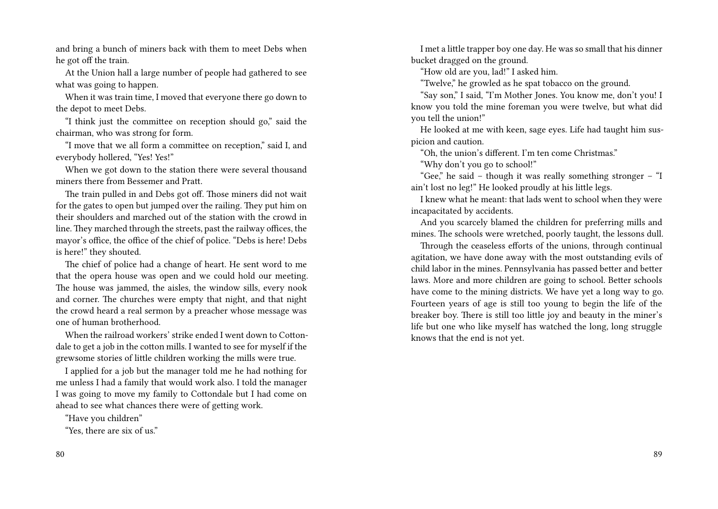and bring a bunch of miners back with them to meet Debs when he got off the train.

At the Union hall a large number of people had gathered to see what was going to happen.

When it was train time, I moved that everyone there go down to the depot to meet Debs.

"I think just the committee on reception should go," said the chairman, who was strong for form.

"I move that we all form a committee on reception," said I, and everybody hollered, "Yes! Yes!"

When we got down to the station there were several thousand miners there from Bessemer and Pratt.

The train pulled in and Debs got off. Those miners did not wait for the gates to open but jumped over the railing. They put him on their shoulders and marched out of the station with the crowd in line. They marched through the streets, past the railway offices, the mayor's office, the office of the chief of police. "Debs is here! Debs is here!" they shouted.

The chief of police had a change of heart. He sent word to me that the opera house was open and we could hold our meeting. The house was jammed, the aisles, the window sills, every nook and corner. The churches were empty that night, and that night the crowd heard a real sermon by a preacher whose message was one of human brotherhood.

When the railroad workers' strike ended I went down to Cottondale to get a job in the cotton mills. I wanted to see for myself if the grewsome stories of little children working the mills were true.

I applied for a job but the manager told me he had nothing for me unless I had a family that would work also. I told the manager I was going to move my family to Cottondale but I had come on ahead to see what chances there were of getting work.

"Have you children"

"Yes, there are six of us."

I met a little trapper boy one day. He was so small that his dinner bucket dragged on the ground.

"How old are you, lad!" I asked him.

"Twelve," he growled as he spat tobacco on the ground.

"Say son," I said, "I'm Mother Jones. You know me, don't you! I know you told the mine foreman you were twelve, but what did you tell the union!"

He looked at me with keen, sage eyes. Life had taught him suspicion and caution.

"Oh, the union's different. I'm ten come Christmas."

"Why don't you go to school!"

"Gee," he said – though it was really something stronger – "I ain't lost no leg!" He looked proudly at his little legs.

I knew what he meant: that lads went to school when they were incapacitated by accidents.

And you scarcely blamed the children for preferring mills and mines. The schools were wretched, poorly taught, the lessons dull.

Through the ceaseless efforts of the unions, through continual agitation, we have done away with the most outstanding evils of child labor in the mines. Pennsylvania has passed better and better laws. More and more children are going to school. Better schools have come to the mining districts. We have yet a long way to go. Fourteen years of age is still too young to begin the life of the breaker boy. There is still too little joy and beauty in the miner's life but one who like myself has watched the long, long struggle knows that the end is not yet.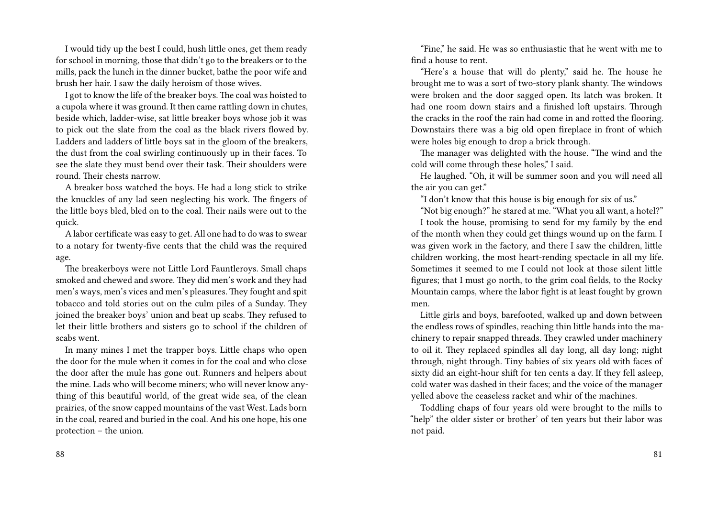I would tidy up the best I could, hush little ones, get them ready for school in morning, those that didn't go to the breakers or to the mills, pack the lunch in the dinner bucket, bathe the poor wife and brush her hair. I saw the daily heroism of those wives.

I got to know the life of the breaker boys. The coal was hoisted to a cupola where it was ground. It then came rattling down in chutes, beside which, ladder-wise, sat little breaker boys whose job it was to pick out the slate from the coal as the black rivers flowed by. Ladders and ladders of little boys sat in the gloom of the breakers, the dust from the coal swirling continuously up in their faces. To see the slate they must bend over their task. Their shoulders were round. Their chests narrow.

A breaker boss watched the boys. He had a long stick to strike the knuckles of any lad seen neglecting his work. The fingers of the little boys bled, bled on to the coal. Their nails were out to the quick.

A labor certificate was easy to get. All one had to do was to swear to a notary for twenty-five cents that the child was the required age.

The breakerboys were not Little Lord Fauntleroys. Small chaps smoked and chewed and swore. They did men's work and they had men's ways, men's vices and men's pleasures. They fought and spit tobacco and told stories out on the culm piles of a Sunday. They joined the breaker boys' union and beat up scabs. They refused to let their little brothers and sisters go to school if the children of scabs went.

In many mines I met the trapper boys. Little chaps who open the door for the mule when it comes in for the coal and who close the door after the mule has gone out. Runners and helpers about the mine. Lads who will become miners; who will never know anything of this beautiful world, of the great wide sea, of the clean prairies, of the snow capped mountains of the vast West. Lads born in the coal, reared and buried in the coal. And his one hope, his one protection – the union.

88

"Fine," he said. He was so enthusiastic that he went with me to find a house to rent.

"Here's a house that will do plenty," said he. The house he brought me to was a sort of two-story plank shanty. The windows were broken and the door sagged open. Its latch was broken. It had one room down stairs and a finished loft upstairs. Through the cracks in the roof the rain had come in and rotted the flooring. Downstairs there was a big old open fireplace in front of which were holes big enough to drop a brick through.

The manager was delighted with the house. "The wind and the cold will come through these holes," I said.

He laughed. "Oh, it will be summer soon and you will need all the air you can get."

"I don't know that this house is big enough for six of us."

"Not big enough?" he stared at me. "What you all want, a hotel?"

I took the house, promising to send for my family by the end of the month when they could get things wound up on the farm. I was given work in the factory, and there I saw the children, little children working, the most heart-rending spectacle in all my life. Sometimes it seemed to me I could not look at those silent little figures; that I must go north, to the grim coal fields, to the Rocky Mountain camps, where the labor fight is at least fought by grown men.

Little girls and boys, barefooted, walked up and down between the endless rows of spindles, reaching thin little hands into the machinery to repair snapped threads. They crawled under machinery to oil it. They replaced spindles all day long, all day long; night through, night through. Tiny babies of six years old with faces of sixty did an eight-hour shift for ten cents a day. If they fell asleep, cold water was dashed in their faces; and the voice of the manager yelled above the ceaseless racket and whir of the machines.

Toddling chaps of four years old were brought to the mills to "help" the older sister or brother' of ten years but their labor was not paid.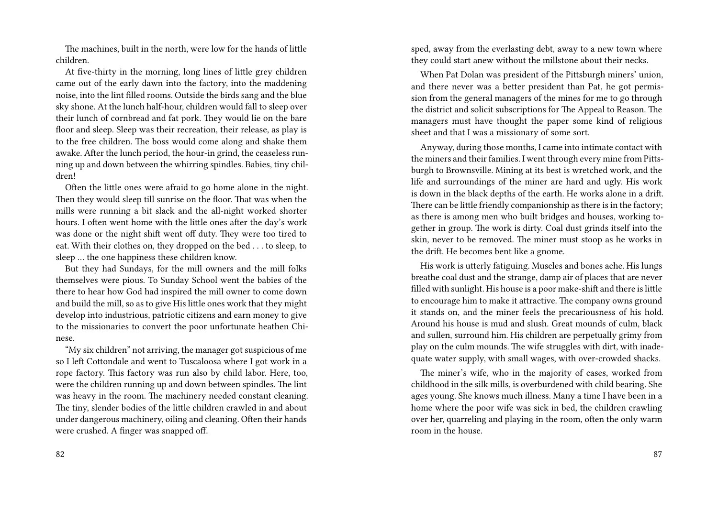The machines, built in the north, were low for the hands of little children.

At five-thirty in the morning, long lines of little grey children came out of the early dawn into the factory, into the maddening noise, into the lint filled rooms. Outside the birds sang and the blue sky shone. At the lunch half-hour, children would fall to sleep over their lunch of cornbread and fat pork. They would lie on the bare floor and sleep. Sleep was their recreation, their release, as play is to the free children. The boss would come along and shake them awake. After the lunch period, the hour-in grind, the ceaseless running up and down between the whirring spindles. Babies, tiny children!

Often the little ones were afraid to go home alone in the night. Then they would sleep till sunrise on the floor. That was when the mills were running a bit slack and the all-night worked shorter hours. I often went home with the little ones after the day's work was done or the night shift went off duty. They were too tired to eat. With their clothes on, they dropped on the bed . . . to sleep, to sleep … the one happiness these children know.

But they had Sundays, for the mill owners and the mill folks themselves were pious. To Sunday School went the babies of the there to hear how God had inspired the mill owner to come down and build the mill, so as to give His little ones work that they might develop into industrious, patriotic citizens and earn money to give to the missionaries to convert the poor unfortunate heathen Chinese.

"My six children" not arriving, the manager got suspicious of me so I left Cottondale and went to Tuscaloosa where I got work in a rope factory. This factory was run also by child labor. Here, too, were the children running up and down between spindles. The lint was heavy in the room. The machinery needed constant cleaning. The tiny, slender bodies of the little children crawled in and about under dangerous machinery, oiling and cleaning. Often their hands were crushed. A finger was snapped off.

82

sped, away from the everlasting debt, away to a new town where they could start anew without the millstone about their necks.

When Pat Dolan was president of the Pittsburgh miners' union, and there never was a better president than Pat, he got permission from the general managers of the mines for me to go through the district and solicit subscriptions for The Appeal to Reason. The managers must have thought the paper some kind of religious sheet and that I was a missionary of some sort.

Anyway, during those months, I came into intimate contact with the miners and their families. I went through every mine from Pittsburgh to Brownsville. Mining at its best is wretched work, and the life and surroundings of the miner are hard and ugly. His work is down in the black depths of the earth. He works alone in a drift. There can be little friendly companionship as there is in the factory; as there is among men who built bridges and houses, working together in group. The work is dirty. Coal dust grinds itself into the skin, never to be removed. The miner must stoop as he works in the drift. He becomes bent like a gnome.

His work is utterly fatiguing. Muscles and bones ache. His lungs breathe coal dust and the strange, damp air of places that are never filled with sunlight. His house is a poor make-shift and there is little to encourage him to make it attractive. The company owns ground it stands on, and the miner feels the precariousness of his hold. Around his house is mud and slush. Great mounds of culm, black and sullen, surround him. His children are perpetually grimy from play on the culm mounds. The wife struggles with dirt, with inadequate water supply, with small wages, with over-crowded shacks.

The miner's wife, who in the majority of cases, worked from childhood in the silk mills, is overburdened with child bearing. She ages young. She knows much illness. Many a time I have been in a home where the poor wife was sick in bed, the children crawling over her, quarreling and playing in the room, often the only warm room in the house.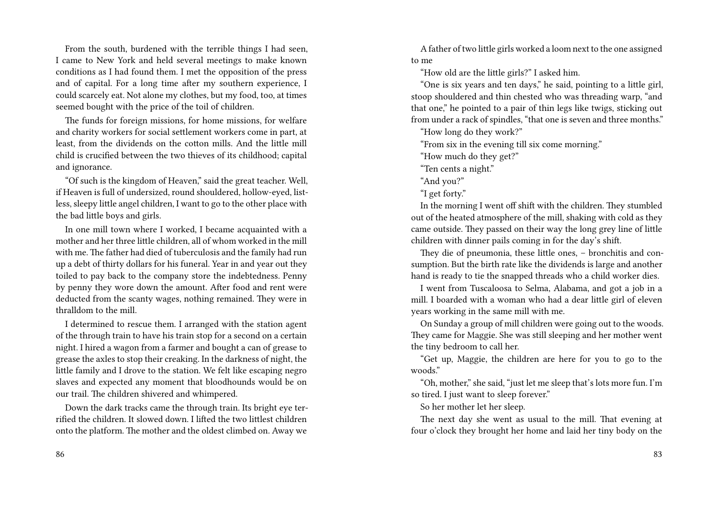From the south, burdened with the terrible things I had seen, I came to New York and held several meetings to make known conditions as I had found them. I met the opposition of the press and of capital. For a long time after my southern experience, I could scarcely eat. Not alone my clothes, but my food, too, at times seemed bought with the price of the toil of children.

The funds for foreign missions, for home missions, for welfare and charity workers for social settlement workers come in part, at least, from the dividends on the cotton mills. And the little mill child is crucified between the two thieves of its childhood; capital and ignorance.

"Of such is the kingdom of Heaven," said the great teacher. Well, if Heaven is full of undersized, round shouldered, hollow-eyed, listless, sleepy little angel children, I want to go to the other place with the bad little boys and girls.

In one mill town where I worked, I became acquainted with a mother and her three little children, all of whom worked in the mill with me. The father had died of tuberculosis and the family had run up a debt of thirty dollars for his funeral. Year in and year out they toiled to pay back to the company store the indebtedness. Penny by penny they wore down the amount. After food and rent were deducted from the scanty wages, nothing remained. They were in thralldom to the mill.

I determined to rescue them. I arranged with the station agent of the through train to have his train stop for a second on a certain night. I hired a wagon from a farmer and bought a can of grease to grease the axles to stop their creaking. In the darkness of night, the little family and I drove to the station. We felt like escaping negro slaves and expected any moment that bloodhounds would be on our trail. The children shivered and whimpered.

Down the dark tracks came the through train. Its bright eye terrified the children. It slowed down. I lifted the two littlest children onto the platform. The mother and the oldest climbed on. Away we

86

A father of two little girls worked a loom next to the one assigned to me

"How old are the little girls?" I asked him.

"One is six years and ten days," he said, pointing to a little girl, stoop shouldered and thin chested who was threading warp, "and that one," he pointed to a pair of thin legs like twigs, sticking out from under a rack of spindles, "that one is seven and three months."

"How long do they work?"

"From six in the evening till six come morning."

"How much do they get?"

"Ten cents a night."

"And you?"

"I get forty."

In the morning I went off shift with the children. They stumbled out of the heated atmosphere of the mill, shaking with cold as they came outside. They passed on their way the long grey line of little children with dinner pails coming in for the day's shift.

They die of pneumonia, these little ones, – bronchitis and consumption. But the birth rate like the dividends is large and another hand is ready to tie the snapped threads who a child worker dies.

I went from Tuscaloosa to Selma, Alabama, and got a job in a mill. I boarded with a woman who had a dear little girl of eleven years working in the same mill with me.

On Sunday a group of mill children were going out to the woods. They came for Maggie. She was still sleeping and her mother went the tiny bedroom to call her.

"Get up, Maggie, the children are here for you to go to the woods."

"Oh, mother," she said, "just let me sleep that's lots more fun. I'm so tired. I just want to sleep forever."

So her mother let her sleep.

The next day she went as usual to the mill. That evening at four o'clock they brought her home and laid her tiny body on the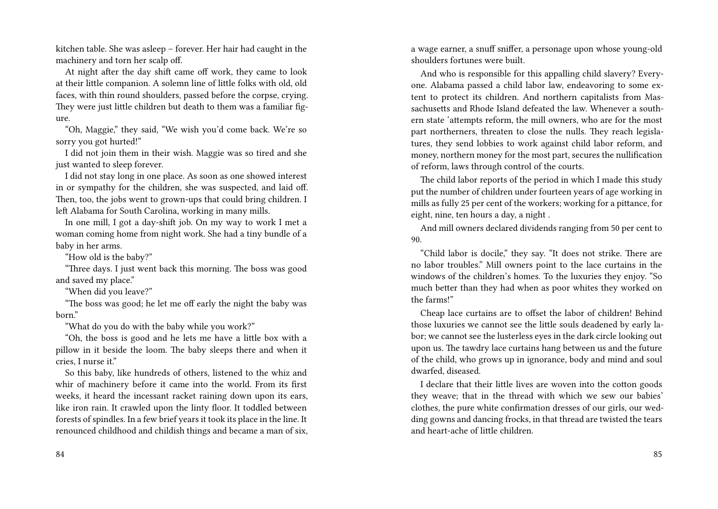kitchen table. She was asleep – forever. Her hair had caught in the machinery and torn her scalp off.

At night after the day shift came off work, they came to look at their little companion. A solemn line of little folks with old, old faces, with thin round shoulders, passed before the corpse, crying. They were just little children but death to them was a familiar figure.

"Oh, Maggie," they said, "We wish you'd come back. We're so sorry you got hurted!"

I did not join them in their wish. Maggie was so tired and she just wanted to sleep forever.

I did not stay long in one place. As soon as one showed interest in or sympathy for the children, she was suspected, and laid off. Then, too, the jobs went to grown-ups that could bring children. I left Alabama for South Carolina, working in many mills.

In one mill, I got a day-shift job. On my way to work I met a woman coming home from night work. She had a tiny bundle of a baby in her arms.

"How old is the baby?"

"Three days. I just went back this morning. The boss was good and saved my place."

"When did you leave?"

"The boss was good; he let me off early the night the baby was born."

"What do you do with the baby while you work?"

"Oh, the boss is good and he lets me have a little box with a pillow in it beside the loom. The baby sleeps there and when it cries, I nurse it."

So this baby, like hundreds of others, listened to the whiz and whir of machinery before it came into the world. From its first weeks, it heard the incessant racket raining down upon its ears, like iron rain. It crawled upon the linty floor. It toddled between forests of spindles. In a few brief years it took its place in the line. It renounced childhood and childish things and became a man of six, a wage earner, a snuff sniffer, a personage upon whose young-old shoulders fortunes were built.

And who is responsible for this appalling child slavery? Everyone. Alabama passed a child labor law, endeavoring to some extent to protect its children. And northern capitalists from Massachusetts and Rhode Island defeated the law. Whenever a southern state 'attempts reform, the mill owners, who are for the most part northerners, threaten to close the nulls. They reach legislatures, they send lobbies to work against child labor reform, and money, northern money for the most part, secures the nullification of reform, laws through control of the courts.

The child labor reports of the period in which I made this study put the number of children under fourteen years of age working in mills as fully 25 per cent of the workers; working for a pittance, for eight, nine, ten hours a day, a night .

And mill owners declared dividends ranging from 50 per cent to 90.

"Child labor is docile," they say. "It does not strike. There are no labor troubles." Mill owners point to the lace curtains in the windows of the children's homes. To the luxuries they enjoy. "So much better than they had when as poor whites they worked on the farms!"

Cheap lace curtains are to offset the labor of children! Behind those luxuries we cannot see the little souls deadened by early labor; we cannot see the lusterless eyes in the dark circle looking out upon us. The tawdry lace curtains hang between us and the future of the child, who grows up in ignorance, body and mind and soul dwarfed, diseased.

I declare that their little lives are woven into the cotton goods they weave; that in the thread with which we sew our babies' clothes, the pure white confirmation dresses of our girls, our wedding gowns and dancing frocks, in that thread are twisted the tears and heart-ache of little children.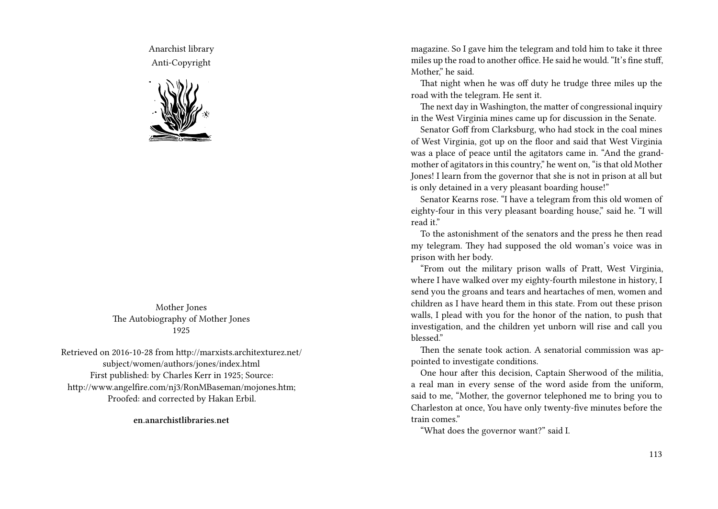Anarchist library Anti-Copyright



Mother Jones The Autobiography of Mother Jones 1925

Retrieved on 2016-10-28 from http://marxists.architexturez.net/ subject/women/authors/jones/index.html First published: by Charles Kerr in 1925; Source: http://www.angelfire.com/nj3/RonMBaseman/mojones.htm; Proofed: and corrected by Hakan Erbil.

**en.anarchistlibraries.net**

magazine. So I gave him the telegram and told him to take it three miles up the road to another office. He said he would. "It's fine stuff, Mother," he said.

That night when he was off duty he trudge three miles up the road with the telegram. He sent it.

The next day in Washington, the matter of congressional inquiry in the West Virginia mines came up for discussion in the Senate.

Senator Goff from Clarksburg, who had stock in the coal mines of West Virginia, got up on the floor and said that West Virginia was a place of peace until the agitators came in. "And the grandmother of agitators in this country," he went on, "is that old Mother Jones! I learn from the governor that she is not in prison at all but is only detained in a very pleasant boarding house!"

Senator Kearns rose. "I have a telegram from this old women of eighty-four in this very pleasant boarding house," said he. "I will read it."

To the astonishment of the senators and the press he then read my telegram. They had supposed the old woman's voice was in prison with her body.

"From out the military prison walls of Pratt, West Virginia, where I have walked over my eighty-fourth milestone in history, I send you the groans and tears and heartaches of men, women and children as I have heard them in this state. From out these prison walls, I plead with you for the honor of the nation, to push that investigation, and the children yet unborn will rise and call you blessed."

Then the senate took action. A senatorial commission was appointed to investigate conditions.

One hour after this decision, Captain Sherwood of the militia, a real man in every sense of the word aside from the uniform, said to me, "Mother, the governor telephoned me to bring you to Charleston at once, You have only twenty-five minutes before the train comes."

"What does the governor want?" said I.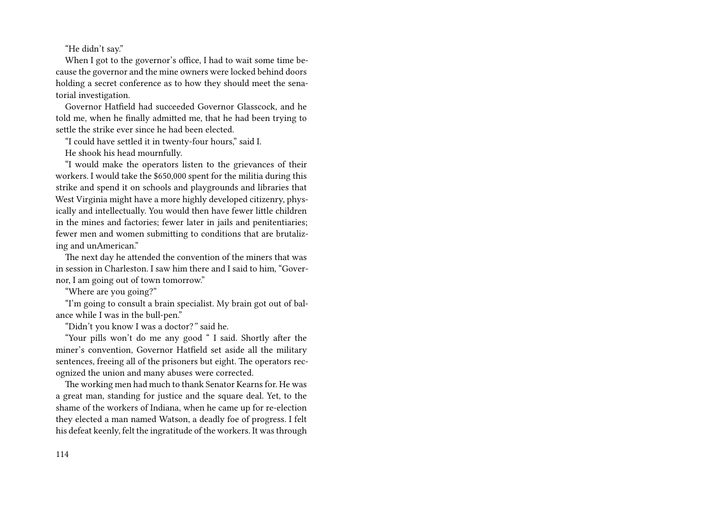"He didn't say."

When I got to the governor's office, I had to wait some time because the governor and the mine owners were locked behind doors holding a secret conference as to how they should meet the senatorial investigation.

Governor Hatfield had succeeded Governor Glasscock, and he told me, when he finally admitted me, that he had been trying to settle the strike ever since he had been elected.

"I could have settled it in twenty-four hours," said I.

He shook his head mournfully.

"I would make the operators listen to the grievances of their workers. I would take the \$650,000 spent for the militia during this strike and spend it on schools and playgrounds and libraries that West Virginia might have a more highly developed citizenry, physically and intellectually. You would then have fewer little children in the mines and factories; fewer later in jails and penitentiaries; fewer men and women submitting to conditions that are brutalizing and unAmerican."

The next day he attended the convention of the miners that was in session in Charleston. I saw him there and I said to him, "Governor, I am going out of town tomorrow."

"Where are you going?"

"I'm going to consult a brain specialist. My brain got out of balance while I was in the bull-pen."

"Didn't you know I was a doctor?*"* said he.

"Your pills won't do me any good " I said. Shortly after the miner's convention, Governor Hatfield set aside all the military sentences, freeing all of the prisoners but eight. The operators recognized the union and many abuses were corrected.

The working men had much to thank Senator Kearns for. He was a great man, standing for justice and the square deal. Yet, to the shame of the workers of Indiana, when he came up for re-election they elected a man named Watson, a deadly foe of progress. I felt his defeat keenly, felt the ingratitude of the workers. It was through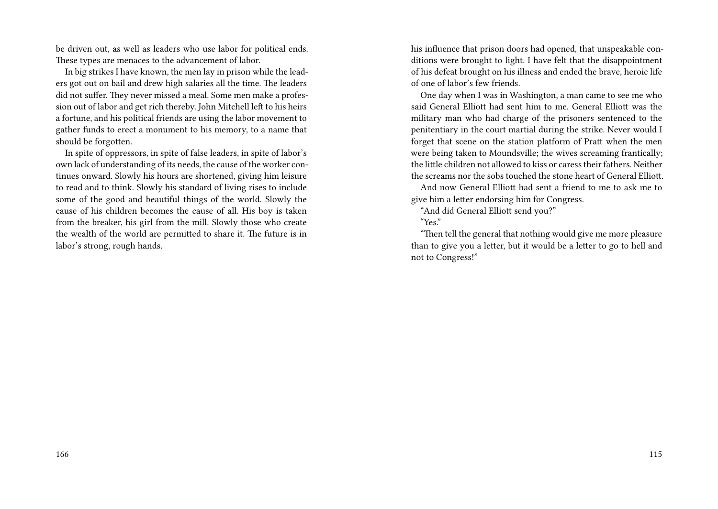be driven out, as well as leaders who use labor for political ends. These types are menaces to the advancement of labor.

In big strikes I have known, the men lay in prison while the leaders got out on bail and drew high salaries all the time. The leaders did not suffer. They never missed a meal. Some men make a profession out of labor and get rich thereby. John Mitchell left to his heirs a fortune, and his political friends are using the labor movement to gather funds to erect a monument to his memory, to a name that should be forgotten.

In spite of oppressors, in spite of false leaders, in spite of labor's own lack of understanding of its needs, the cause of the worker continues onward. Slowly his hours are shortened, giving him leisure to read and to think. Slowly his standard of living rises to include some of the good and beautiful things of the world. Slowly the cause of his children becomes the cause of all. His boy is taken from the breaker, his girl from the mill. Slowly those who create the wealth of the world are permitted to share it. The future is in labor's strong, rough hands.

his influence that prison doors had opened, that unspeakable conditions were brought to light. I have felt that the disappointment of his defeat brought on his illness and ended the brave, heroic life of one of labor's few friends.

One day when I was in Washington, a man came to see me who said General Elliott had sent him to me. General Elliott was the military man who had charge of the prisoners sentenced to the penitentiary in the court martial during the strike. Never would I forget that scene on the station platform of Pratt when the men were being taken to Moundsville; the wives screaming frantically; the little children not allowed to kiss or caress their fathers. Neither the screams nor the sobs touched the stone heart of General Elliott.

And now General Elliott had sent a friend to me to ask me to give him a letter endorsing him for Congress.

"And did General Elliott send you?"

"Yes."

"Then tell the general that nothing would give me more pleasure than to give you a letter, but it would be a letter to go to hell and not to Congress!"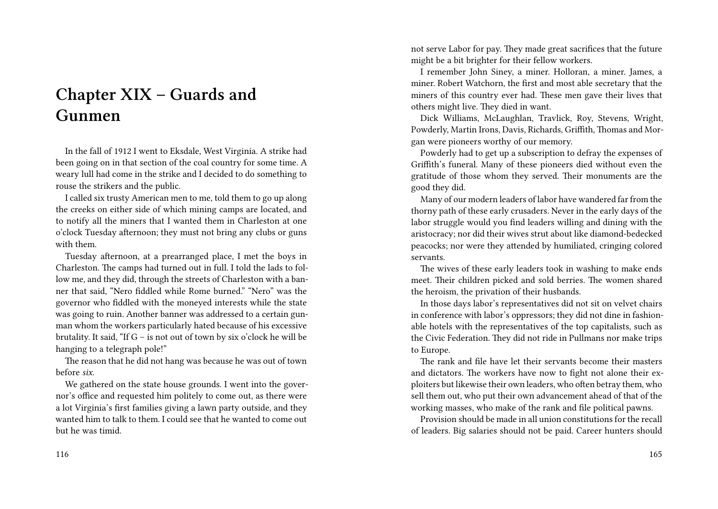# **Chapter XIX – Guards and Gunmen**

In the fall of 1912 I went to Eksdale, West Virginia. A strike had been going on in that section of the coal country for some time. A weary lull had come in the strike and I decided to do something to rouse the strikers and the public.

I called six trusty American men to me, told them to go up along the creeks on either side of which mining camps are located, and to notify all the miners that I wanted them in Charleston at one o'clock Tuesday afternoon; they must not bring any clubs or guns with them.

Tuesday afternoon, at a prearranged place, I met the boys in Charleston. The camps had turned out in full. I told the lads to follow me, and they did, through the streets of Charleston with a banner that said, "Nero fiddled while Rome burned." "Nero" was the governor who fiddled with the moneyed interests while the state was going to ruin. Another banner was addressed to a certain gunman whom the workers particularly hated because of his excessive brutality. It said, "If G – is not out of town by six o'clock he will be hanging to a telegraph pole!"

The reason that he did not hang was because he was out of town before *six.*

We gathered on the state house grounds. I went into the governor's office and requested him politely to come out, as there were a lot Virginia's first families giving a lawn party outside, and they wanted him to talk to them. I could see that he wanted to come out but he was timid.

not serve Labor for pay. They made great sacrifices that the future might be a bit brighter for their fellow workers.

I remember John Siney, a miner. Holloran, a miner. James, a miner. Robert Watchorn, the first and most able secretary that the miners of this country ever had. These men gave their lives that others might live. They died in want.

Dick Williams, McLaughlan, Travlick, Roy, Stevens, Wright, Powderly, Martin Irons, Davis, Richards, Griffith, Thomas and Morgan were pioneers worthy of our memory.

Powderly had to get up a subscription to defray the expenses of Griffith's funeral. Many of these pioneers died without even the gratitude of those whom they served. Their monuments are the good they did.

Many of our modern leaders of labor have wandered far from the thorny path of these early crusaders. Never in the early days of the labor struggle would you find leaders willing and dining with the aristocracy; nor did their wives strut about like diamond-bedecked peacocks; nor were they attended by humiliated, cringing colored servants.

The wives of these early leaders took in washing to make ends meet. Their children picked and sold berries. The women shared the heroism, the privation of their husbands.

In those days labor's representatives did not sit on velvet chairs in conference with labor's oppressors; they did not dine in fashionable hotels with the representatives of the top capitalists, such as the Civic Federation. They did not ride in Pullmans nor make trips to Europe.

The rank and file have let their servants become their masters and dictators. The workers have now to fight not alone their exploiters but likewise their own leaders, who often betray them, who sell them out, who put their own advancement ahead of that of the working masses, who make of the rank and file political pawns.

Provision should be made in all union constitutions for the recall of leaders. Big salaries should not be paid. Career hunters should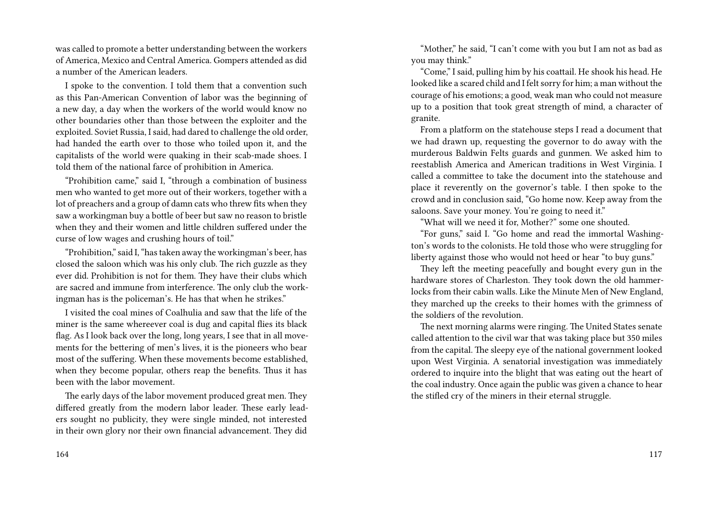was called to promote a better understanding between the workers of America, Mexico and Central America. Gompers attended as did a number of the American leaders.

I spoke to the convention. I told them that a convention such as this Pan-American Convention of labor was the beginning of a new day, a day when the workers of the world would know no other boundaries other than those between the exploiter and the exploited. Soviet Russia, I said, had dared to challenge the old order, had handed the earth over to those who toiled upon it, and the capitalists of the world were quaking in their scab-made shoes. I told them of the national farce of prohibition in America.

"Prohibition came," said I, "through a combination of business men who wanted to get more out of their workers, together with a lot of preachers and a group of damn cats who threw fits when they saw a workingman buy a bottle of beer but saw no reason to bristle when they and their women and little children suffered under the curse of low wages and crushing hours of toil."

"Prohibition," said I, "has taken away the workingman's beer, has closed the saloon which was his only club. The rich guzzle as they ever did. Prohibition is not for them. They have their clubs which are sacred and immune from interference. The only club the workingman has is the policeman's. He has that when he strikes."

I visited the coal mines of Coalhulia and saw that the life of the miner is the same whereever coal is dug and capital flies its black flag. As I look back over the long, long years, I see that in all movements for the bettering of men's lives, it is the pioneers who bear most of the suffering. When these movements become established, when they become popular, others reap the benefits. Thus it has been with the labor movement.

The early days of the labor movement produced great men. They differed greatly from the modern labor leader. These early leaders sought no publicity, they were single minded, not interested in their own glory nor their own financial advancement. They did

"Mother," he said, "I can't come with you but I am not as bad as you may think."

"Come," I said, pulling him by his coattail. He shook his head. He looked like a scared child and I felt sorry for him; a man without the courage of his emotions; a good, weak man who could not measure up to a position that took great strength of mind, a character of granite.

From a platform on the statehouse steps I read a document that we had drawn up, requesting the governor to do away with the murderous Baldwin Felts guards and gunmen. We asked him to reestablish America and American traditions in West Virginia. I called a committee to take the document into the statehouse and place it reverently on the governor's table. I then spoke to the crowd and in conclusion said, "Go home now. Keep away from the saloons. Save your money. You're going to need it."

"What will we need it for, Mother?" some one shouted.

"For guns," said I. "Go home and read the immortal Washington's words to the colonists. He told those who were struggling for liberty against those who would not heed or hear "to buy guns."

They left the meeting peacefully and bought every gun in the hardware stores of Charleston. They took down the old hammerlocks from their cabin walls. Like the Minute Men of New England, they marched up the creeks to their homes with the grimness of the soldiers of the revolution.

The next morning alarms were ringing. The United States senate called attention to the civil war that was taking place but 350 miles from the capital. The sleepy eye of the national government looked upon West Virginia. A senatorial investigation was immediately ordered to inquire into the blight that was eating out the heart of the coal industry. Once again the public was given a chance to hear the stifled cry of the miners in their eternal struggle.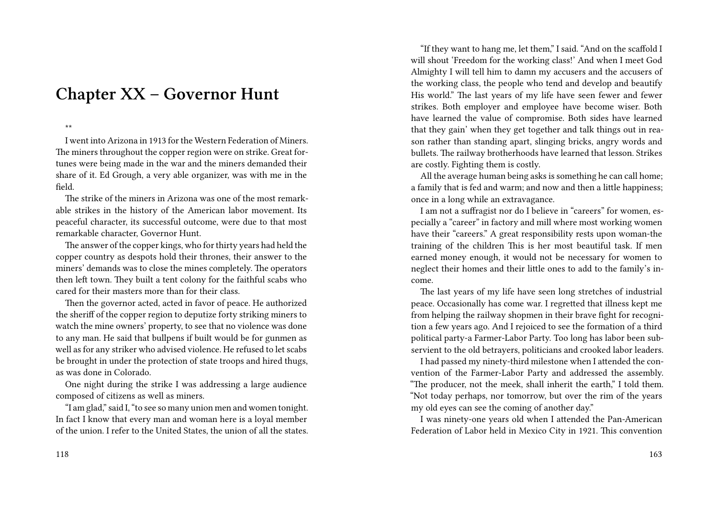### **Chapter XX – Governor Hunt**

\*\*

I went into Arizona in 1913 for the Western Federation of Miners. The miners throughout the copper region were on strike. Great fortunes were being made in the war and the miners demanded their share of it. Ed Grough, a very able organizer, was with me in the field.

The strike of the miners in Arizona was one of the most remarkable strikes in the history of the American labor movement. Its peaceful character, its successful outcome, were due to that most remarkable character, Governor Hunt.

The answer of the copper kings, who for thirty years had held the copper country as despots hold their thrones, their answer to the miners' demands was to close the mines completely. The operators then left town. They built a tent colony for the faithful scabs who cared for their masters more than for their class.

Then the governor acted, acted in favor of peace. He authorized the sheriff of the copper region to deputize forty striking miners to watch the mine owners' property, to see that no violence was done to any man. He said that bullpens if built would be for gunmen as well as for any striker who advised violence. He refused to let scabs be brought in under the protection of state troops and hired thugs, as was done in Colorado.

One night during the strike I was addressing a large audience composed of citizens as well as miners.

"I am glad," said I, "to see so many union men and women tonight. In fact I know that every man and woman here is a loyal member of the union. I refer to the United States, the union of all the states.

"If they want to hang me, let them," I said. "And on the scaffold I will shout 'Freedom for the working class!' And when I meet God Almighty I will tell him to damn my accusers and the accusers of the working class, the people who tend and develop and beautify His world." The last years of my life have seen fewer and fewer strikes. Both employer and employee have become wiser. Both have learned the value of compromise. Both sides have learned that they gain' when they get together and talk things out in reason rather than standing apart, slinging bricks, angry words and bullets. The railway brotherhoods have learned that lesson. Strikes are costly. Fighting them is costly.

All the average human being asks is something he can call home; a family that is fed and warm; and now and then a little happiness; once in a long while an extravagance.

I am not a suffragist nor do I believe in "careers" for women, especially a "career" in factory and mill where most working women have their "careers." A great responsibility rests upon woman-the training of the children This is her most beautiful task. If men earned money enough, it would not be necessary for women to neglect their homes and their little ones to add to the family's income.

The last years of my life have seen long stretches of industrial peace. Occasionally has come war. I regretted that illness kept me from helping the railway shopmen in their brave fight for recognition a few years ago. And I rejoiced to see the formation of a third political party-a Farmer-Labor Party. Too long has labor been subservient to the old betrayers, politicians and crooked labor leaders.

I had passed my ninety-third milestone when I attended the convention of the Farmer-Labor Party and addressed the assembly. "The producer, not the meek, shall inherit the earth," I told them. "Not today perhaps, nor tomorrow, but over the rim of the years my old eyes can see the coming of another day."

I was ninety-one years old when I attended the Pan-American Federation of Labor held in Mexico City in 1921. This convention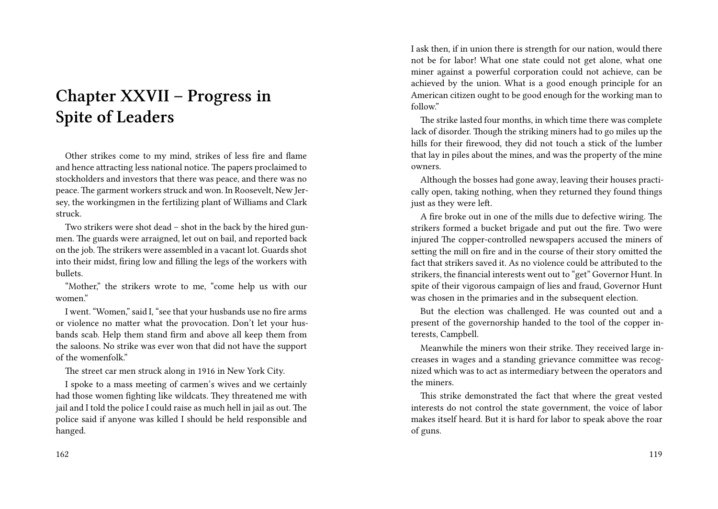# **Chapter XXVII – Progress in Spite of Leaders**

Other strikes come to my mind, strikes of less fire and flame and hence attracting less national notice. The papers proclaimed to stockholders and investors that there was peace, and there was no peace. The garment workers struck and won. In Roosevelt, New Jersey, the workingmen in the fertilizing plant of Williams and Clark struck.

Two strikers were shot dead – shot in the back by the hired gunmen. The guards were arraigned, let out on bail, and reported back on the job. The strikers were assembled in a vacant lot. Guards shot into their midst, firing low and filling the legs of the workers with bullets.

"Mother," the strikers wrote to me, "come help us with our women"

I went. "Women," said I, "see that your husbands use no fire arms or violence no matter what the provocation. Don't let your husbands scab. Help them stand firm and above all keep them from the saloons. No strike was ever won that did not have the support of the womenfolk."

The street car men struck along in 1916 in New York City.

I spoke to a mass meeting of carmen's wives and we certainly had those women fighting like wildcats. They threatened me with jail and I told the police I could raise as much hell in jail as out. The police said if anyone was killed I should be held responsible and hanged.

I ask then, if in union there is strength for our nation, would there not be for labor! What one state could not get alone, what one miner against a powerful corporation could not achieve, can be achieved by the union. What is a good enough principle for an American citizen ought to be good enough for the working man to follow"

The strike lasted four months, in which time there was complete lack of disorder. Though the striking miners had to go miles up the hills for their firewood, they did not touch a stick of the lumber that lay in piles about the mines, and was the property of the mine owners.

Although the bosses had gone away, leaving their houses practically open, taking nothing, when they returned they found things just as they were left.

A fire broke out in one of the mills due to defective wiring. The strikers formed a bucket brigade and put out the fire. Two were injured The copper-controlled newspapers accused the miners of setting the mill on fire and in the course of their story omitted the fact that strikers saved it. As no violence could be attributed to the strikers, the financial interests went out to "get" Governor Hunt. In spite of their vigorous campaign of lies and fraud, Governor Hunt was chosen in the primaries and in the subsequent election.

But the election was challenged. He was counted out and a present of the governorship handed to the tool of the copper interests, Campbell.

Meanwhile the miners won their strike. They received large increases in wages and a standing grievance committee was recognized which was to act as intermediary between the operators and the miners.

This strike demonstrated the fact that where the great vested interests do not control the state government, the voice of labor makes itself heard. But it is hard for labor to speak above the roar of guns.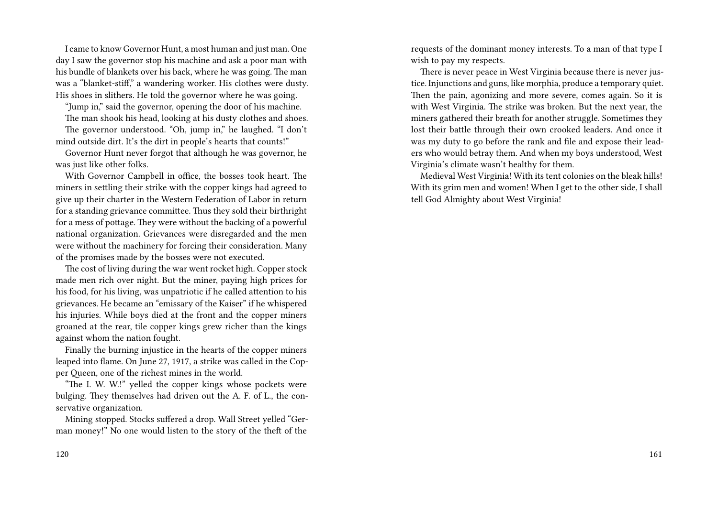I came to know Governor Hunt, a most human and just man. One day I saw the governor stop his machine and ask a poor man with his bundle of blankets over his back, where he was going. The man was a "blanket-stiff," a wandering worker. His clothes were dusty. His shoes in slithers. He told the governor where he was going.

"Jump in," said the governor, opening the door of his machine.

The man shook his head, looking at his dusty clothes and shoes.

The governor understood. "Oh, jump in," he laughed. "I don't mind outside dirt. It's the dirt in people's hearts that counts!"

Governor Hunt never forgot that although he was governor, he was just like other folks.

With Governor Campbell in office, the bosses took heart. The miners in settling their strike with the copper kings had agreed to give up their charter in the Western Federation of Labor in return for a standing grievance committee. Thus they sold their birthright for a mess of pottage. They were without the backing of a powerful national organization. Grievances were disregarded and the men were without the machinery for forcing their consideration. Many of the promises made by the bosses were not executed.

The cost of living during the war went rocket high. Copper stock made men rich over night. But the miner, paying high prices for his food, for his living, was unpatriotic if he called attention to his grievances. He became an "emissary of the Kaiser" if he whispered his injuries. While boys died at the front and the copper miners groaned at the rear, tile copper kings grew richer than the kings against whom the nation fought.

Finally the burning injustice in the hearts of the copper miners leaped into flame. On June 27, 1917, a strike was called in the Copper Queen, one of the richest mines in the world.

"The I. W. W.!" yelled the copper kings whose pockets were bulging. They themselves had driven out the A. F. of L., the conservative organization.

Mining stopped. Stocks suffered a drop. Wall Street yelled "German money!" No one would listen to the story of the theft of the

120

requests of the dominant money interests. To a man of that type I wish to pay my respects.

There is never peace in West Virginia because there is never justice. Injunctions and guns, like morphia, produce a temporary quiet. Then the pain, agonizing and more severe, comes again. So it is with West Virginia. The strike was broken. But the next year, the miners gathered their breath for another struggle. Sometimes they lost their battle through their own crooked leaders. And once it was my duty to go before the rank and file and expose their leaders who would betray them. And when my boys understood, West Virginia's climate wasn't healthy for them.

Medieval West Virginia! With its tent colonies on the bleak hills! With its grim men and women! When I get to the other side, I shall tell God Almighty about West Virginia!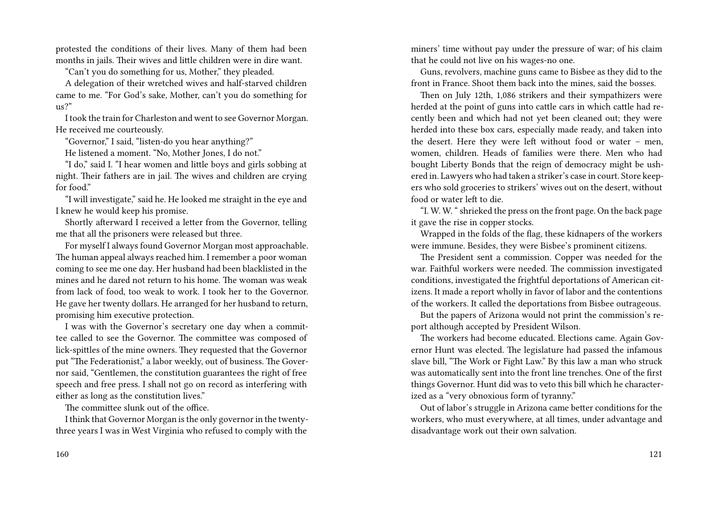protested the conditions of their lives. Many of them had been months in jails. Their wives and little children were in dire want.

"Can't you do something for us, Mother," they pleaded.

A delegation of their wretched wives and half-starved children came to me. "For God's sake, Mother, can't you do something for  $us^2$ 

I took the train for Charleston and went to see Governor Morgan. He received me courteously.

"Governor," I said, "listen-do you hear anything?"

He listened a moment. "No, Mother Jones, I do not."

"I do," said I. "I hear women and little boys and girls sobbing at night. Their fathers are in jail. The wives and children are crying for food."

"I will investigate," said he. He looked me straight in the eye and I knew he would keep his promise.

Shortly afterward I received a letter from the Governor, telling me that all the prisoners were released but three.

For myself I always found Governor Morgan most approachable. The human appeal always reached him. I remember a poor woman coming to see me one day. Her husband had been blacklisted in the mines and he dared not return to his home. The woman was weak from lack of food, too weak to work. I took her to the Governor. He gave her twenty dollars. He arranged for her husband to return, promising him executive protection.

I was with the Governor's secretary one day when a committee called to see the Governor. The committee was composed of lick-spittles of the mine owners. They requested that the Governor put "The Federationist," a labor weekly, out of business. The Governor said, "Gentlemen, the constitution guarantees the right of free speech and free press. I shall not go on record as interfering with either as long as the constitution lives."

The committee slunk out of the office.

I think that Governor Morgan is the only governor in the twentythree years I was in West Virginia who refused to comply with the

miners' time without pay under the pressure of war; of his claim that he could not live on his wages-no one.

Guns, revolvers, machine guns came to Bisbee as they did to the front in France. Shoot them back into the mines, said the bosses.

Then on July 12th, 1,086 strikers and their sympathizers were herded at the point of guns into cattle cars in which cattle had recently been and which had not yet been cleaned out; they were herded into these box cars, especially made ready, and taken into the desert. Here they were left without food or water – men, women, children. Heads of families were there. Men who had bought Liberty Bonds that the reign of democracy might be ushered in. Lawyers who had taken a striker's case in court. Store keepers who sold groceries to strikers' wives out on the desert, without food or water left to die.

"I. W. W. " shrieked the press on the front page. On the back page it gave the rise in copper stocks.

Wrapped in the folds of the flag, these kidnapers of the workers were immune. Besides, they were Bisbee's prominent citizens.

The President sent a commission. Copper was needed for the war. Faithful workers were needed. The commission investigated conditions, investigated the frightful deportations of American citizens. It made a report wholly in favor of labor and the contentions of the workers. It called the deportations from Bisbee outrageous.

But the papers of Arizona would not print the commission's report although accepted by President Wilson.

The workers had become educated. Elections came. Again Governor Hunt was elected. The legislature had passed the infamous slave bill, "The Work or Fight Law." By this law a man who struck was automatically sent into the front line trenches. One of the first things Governor. Hunt did was to veto this bill which he characterized as a "very obnoxious form of tyranny."

Out of labor's struggle in Arizona came better conditions for the workers, who must everywhere, at all times, under advantage and disadvantage work out their own salvation.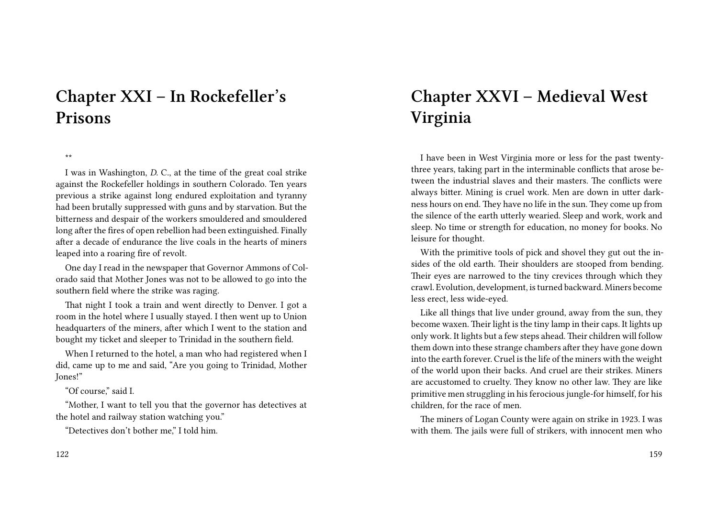# **Chapter XXI – In Rockefeller's Prisons**

\*\*

I was in Washington, *D.* C., at the time of the great coal strike against the Rockefeller holdings in southern Colorado. Ten years previous a strike against long endured exploitation and tyranny had been brutally suppressed with guns and by starvation. But the bitterness and despair of the workers smouldered and smouldered long after the fires of open rebellion had been extinguished. Finally after a decade of endurance the live coals in the hearts of miners leaped into a roaring fire of revolt.

One day I read in the newspaper that Governor Ammons of Colorado said that Mother Jones was not to be allowed to go into the southern field where the strike was raging.

That night I took a train and went directly to Denver. I got a room in the hotel where I usually stayed. I then went up to Union headquarters of the miners, after which I went to the station and bought my ticket and sleeper to Trinidad in the southern field.

When I returned to the hotel, a man who had registered when I did, came up to me and said, "Are you going to Trinidad, Mother Jones!"

"Of course," said I.

"Mother, I want to tell you that the governor has detectives at the hotel and railway station watching you."

"Detectives don't bother me," I told him.

# **Chapter XXVI – Medieval West Virginia**

I have been in West Virginia more or less for the past twentythree years, taking part in the interminable conflicts that arose between the industrial slaves and their masters. The conflicts were always bitter. Mining is cruel work. Men are down in utter darkness hours on end. They have no life in the sun. They come up from the silence of the earth utterly wearied. Sleep and work, work and sleep. No time or strength for education, no money for books. No leisure for thought.

With the primitive tools of pick and shovel they gut out the insides of the old earth. Their shoulders are stooped from bending. Their eyes are narrowed to the tiny crevices through which they crawl. Evolution, development, is turned backward. Miners become less erect, less wide-eyed.

Like all things that live under ground, away from the sun, they become waxen. Their light is the tiny lamp in their caps. It lights up only work. It lights but a few steps ahead. Their children will follow them down into these strange chambers after they have gone down into the earth forever. Cruel is the life of the miners with the weight of the world upon their backs. And cruel are their strikes. Miners are accustomed to cruelty. They know no other law. They are like primitive men struggling in his ferocious jungle-for himself, for his children, for the race of men.

The miners of Logan County were again on strike in 1923. I was with them. The jails were full of strikers, with innocent men who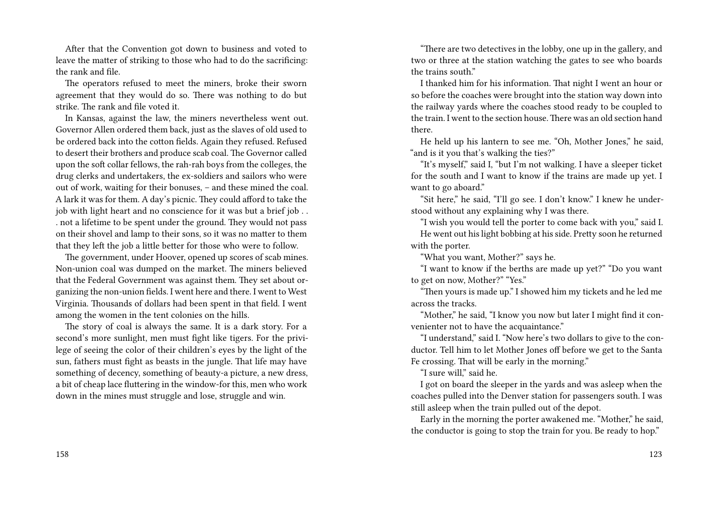After that the Convention got down to business and voted to leave the matter of striking to those who had to do the sacrificing: the rank and file.

The operators refused to meet the miners, broke their sworn agreement that they would do so. There was nothing to do but strike. The rank and file voted it.

In Kansas, against the law, the miners nevertheless went out. Governor Allen ordered them back, just as the slaves of old used to be ordered back into the cotton fields. Again they refused. Refused to desert their brothers and produce scab coal. The Governor called upon the soft collar fellows, the rah-rah boys from the colleges, the drug clerks and undertakers, the ex-soldiers and sailors who were out of work, waiting for their bonuses, – and these mined the coal. A lark it was for them. A day's picnic. They could afford to take the job with light heart and no conscience for it was but a brief job . . . not a lifetime to be spent under the ground. They would not pass on their shovel and lamp to their sons, so it was no matter to them that they left the job a little better for those who were to follow.

The government, under Hoover, opened up scores of scab mines. Non-union coal was dumped on the market. The miners believed that the Federal Government was against them. They set about organizing the non-union fields. I went here and there. I went to West Virginia. Thousands of dollars had been spent in that field. I went among the women in the tent colonies on the hills.

The story of coal is always the same. It is a dark story. For a second's more sunlight, men must fight like tigers. For the privilege of seeing the color of their children's eyes by the light of the sun, fathers must fight as beasts in the jungle. That life may have something of decency, something of beauty-a picture, a new dress, a bit of cheap lace fluttering in the window-for this, men who work down in the mines must struggle and lose, struggle and win.

"There are two detectives in the lobby, one up in the gallery, and two or three at the station watching the gates to see who boards the trains south."

I thanked him for his information. That night I went an hour or so before the coaches were brought into the station way down into the railway yards where the coaches stood ready to be coupled to the train. I went to the section house. There was an old section hand there.

He held up his lantern to see me. "Oh, Mother Jones," he said, "and is it you that's walking the ties?"

"It's myself," said I, "but I'm not walking. I have a sleeper ticket for the south and I want to know if the trains are made up yet. I want to go aboard."

"Sit here," he said, "I'll go see. I don't know." I knew he understood without any explaining why I was there.

"I wish you would tell the porter to come back with you," said I. He went out his light bobbing at his side. Pretty soon he returned with the porter.

"What you want, Mother?" says he.

"I want to know if the berths are made up yet?" "Do you want to get on now, Mother?" "Yes."

"Then yours is made up." I showed him my tickets and he led me across the tracks.

"Mother," he said, "I know you now but later I might find it convenienter not to have the acquaintance."

"I understand," said I. "Now here's two dollars to give to the conductor. Tell him to let Mother Jones off before we get to the Santa Fe crossing. That will be early in the morning."

"I sure will," said he.

I got on board the sleeper in the yards and was asleep when the coaches pulled into the Denver station for passengers south. I was still asleep when the train pulled out of the depot.

Early in the morning the porter awakened me. "Mother," he said, the conductor is going to stop the train for you. Be ready to hop."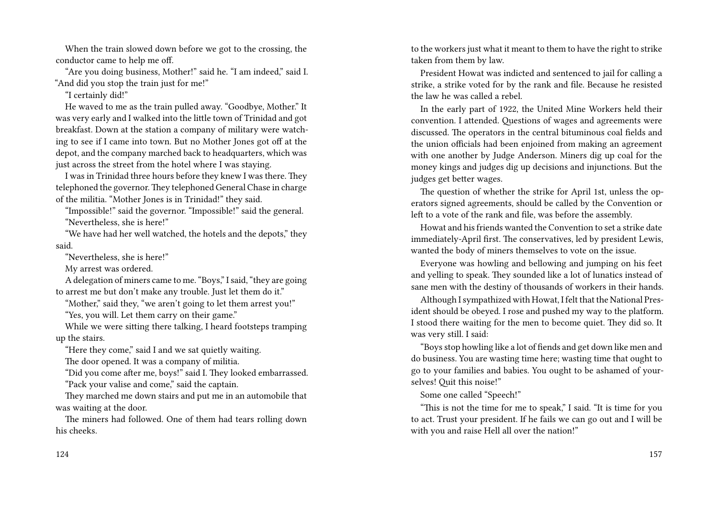When the train slowed down before we got to the crossing, the conductor came to help me off.

"Are you doing business, Mother!" said he. "I am indeed," said I. "And did you stop the train just for me!"

"I certainly did!"

He waved to me as the train pulled away. "Goodbye, Mother." It was very early and I walked into the little town of Trinidad and got breakfast. Down at the station a company of military were watching to see if I came into town. But no Mother Jones got off at the depot, and the company marched back to headquarters, which was just across the street from the hotel where I was staying.

I was in Trinidad three hours before they knew I was there. They telephoned the governor.They telephoned General Chase in charge of the militia. "Mother Jones is in Trinidad!" they said.

"Impossible!" said the governor. "Impossible!" said the general. "Nevertheless, she is here!"

"We have had her well watched, the hotels and the depots," they said.

"Nevertheless, she is here!"

My arrest was ordered.

A delegation of miners came to me. "Boys," I said, "they are going to arrest me but don't make any trouble. Just let them do it."

"Mother," said they, "we aren't going to let them arrest you!"

"Yes, you will. Let them carry on their game."

While we were sitting there talking, I heard footsteps tramping up the stairs.

"Here they come," said I and we sat quietly waiting.

The door opened. It was a company of militia.

"Did you come after me, boys!" said I. They looked embarrassed.

"Pack your valise and come," said the captain.

They marched me down stairs and put me in an automobile that was waiting at the door.

The miners had followed. One of them had tears rolling down his cheeks.

124

to the workers just what it meant to them to have the right to strike taken from them by law.

President Howat was indicted and sentenced to jail for calling a strike, a strike voted for by the rank and file. Because he resisted the law he was called a rebel.

In the early part of 1922, the United Mine Workers held their convention. I attended. Questions of wages and agreements were discussed. The operators in the central bituminous coal fields and the union officials had been enjoined from making an agreement with one another by Judge Anderson. Miners dig up coal for the money kings and judges dig up decisions and injunctions. But the judges get better wages.

The question of whether the strike for April 1st, unless the operators signed agreements, should be called by the Convention or left to a vote of the rank and file, was before the assembly.

Howat and his friends wanted the Convention to set a strike date immediately-April first. The conservatives, led by president Lewis, wanted the body of miners themselves to vote on the issue.

Everyone was howling and bellowing and jumping on his feet and yelling to speak. They sounded like a lot of lunatics instead of sane men with the destiny of thousands of workers in their hands.

Although I sympathized with Howat, I felt that the National President should be obeyed. I rose and pushed my way to the platform. I stood there waiting for the men to become quiet. They did so. It was very still. I said:

"Boys stop howling like a lot of fiends and get down like men and do business. You are wasting time here; wasting time that ought to go to your families and babies. You ought to be ashamed of yourselves! Quit this noise!"

Some one called "Speech!"

"This is not the time for me to speak," I said. "It is time for you to act. Trust your president. If he fails we can go out and I will be with you and raise Hell all over the nation!"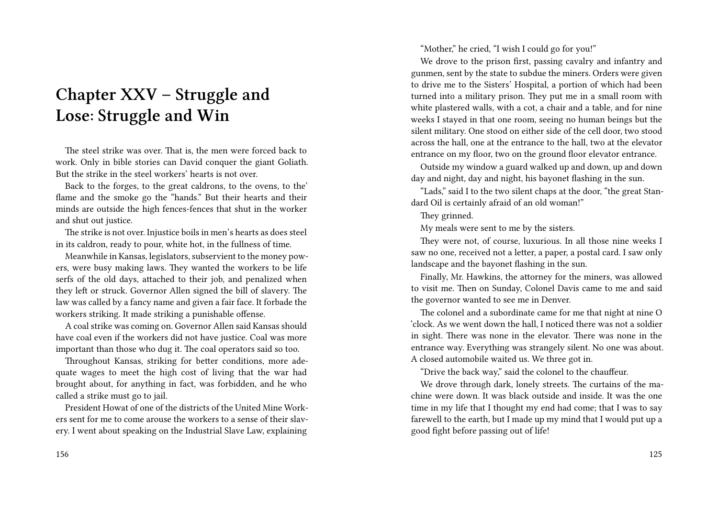# **Chapter XXV – Struggle and Lose: Struggle and Win**

The steel strike was over. That is, the men were forced back to work. Only in bible stories can David conquer the giant Goliath. But the strike in the steel workers' hearts is not over.

Back to the forges, to the great caldrons, to the ovens, to the' flame and the smoke go the "hands." But their hearts and their minds are outside the high fences-fences that shut in the worker and shut out justice.

The strike is not over. Injustice boils in men's hearts as does steel in its caldron, ready to pour, white hot, in the fullness of time.

Meanwhile in Kansas, legislators, subservient to the money powers, were busy making laws. They wanted the workers to be life serfs of the old days, attached to their job, and penalized when they left or struck. Governor Allen signed the bill of slavery. The law was called by a fancy name and given a fair face. It forbade the workers striking. It made striking a punishable offense.

A coal strike was coming on. Governor Allen said Kansas should have coal even if the workers did not have justice. Coal was more important than those who dug it. The coal operators said so too.

Throughout Kansas, striking for better conditions, more adequate wages to meet the high cost of living that the war had brought about, for anything in fact, was forbidden, and he who called a strike must go to jail.

President Howat of one of the districts of the United Mine Workers sent for me to come arouse the workers to a sense of their slavery. I went about speaking on the Industrial Slave Law, explaining "Mother," he cried, "I wish I could go for you!"

We drove to the prison first, passing cavalry and infantry and gunmen, sent by the state to subdue the miners. Orders were given to drive me to the Sisters' Hospital, a portion of which had been turned into a military prison. They put me in a small room with white plastered walls, with a cot, a chair and a table, and for nine weeks I stayed in that one room, seeing no human beings but the silent military. One stood on either side of the cell door, two stood across the hall, one at the entrance to the hall, two at the elevator entrance on my floor, two on the ground floor elevator entrance.

Outside my window a guard walked up and down, up and down day and night, day and night, his bayonet flashing in the sun.

"Lads," said I to the two silent chaps at the door, "the great Standard Oil is certainly afraid of an old woman!"

They grinned.

My meals were sent to me by the sisters.

They were not, of course, luxurious. In all those nine weeks I saw no one, received not a letter, a paper, a postal card. I saw only landscape and the bayonet flashing in the sun.

Finally, Mr. Hawkins, the attorney for the miners, was allowed to visit me. Then on Sunday, Colonel Davis came to me and said the governor wanted to see me in Denver.

The colonel and a subordinate came for me that night at nine O 'clock. As we went down the hall, I noticed there was not a soldier in sight. There was none in the elevator. There was none in the entrance way. Everything was strangely silent. No one was about. A closed automobile waited us. We three got in.

"Drive the back way," said the colonel to the chauffeur.

We drove through dark, lonely streets. The curtains of the machine were down. It was black outside and inside. It was the one time in my life that I thought my end had come; that I was to say farewell to the earth, but I made up my mind that I would put up a good fight before passing out of life!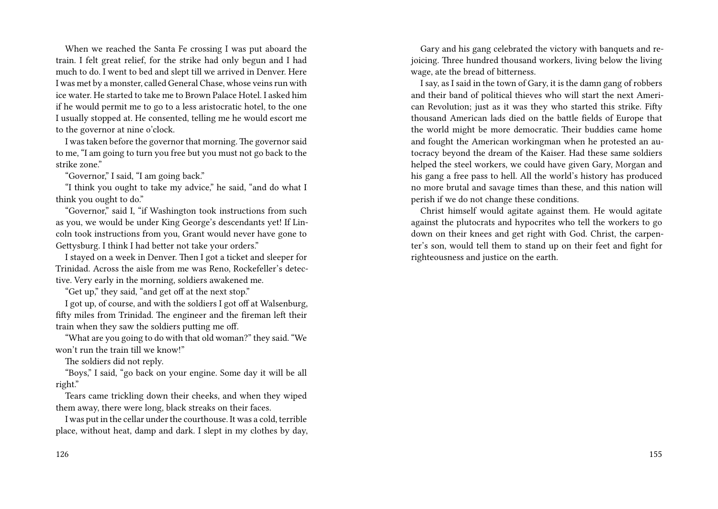When we reached the Santa Fe crossing I was put aboard the train. I felt great relief, for the strike had only begun and I had much to do. I went to bed and slept till we arrived in Denver. Here I was met by a monster, called General Chase, whose veins run with ice water. He started to take me to Brown Palace Hotel. I asked him if he would permit me to go to a less aristocratic hotel, to the one I usually stopped at. He consented, telling me he would escort me to the governor at nine o'clock.

I was taken before the governor that morning. The governor said to me, "I am going to turn you free but you must not go back to the strike zone."

"Governor," I said, "I am going back."

"I think you ought to take my advice," he said, "and do what I think you ought to do."

"Governor," said I, "if Washington took instructions from such as you, we would be under King George's descendants yet! If Lincoln took instructions from you, Grant would never have gone to Gettysburg. I think I had better not take your orders."

I stayed on a week in Denver. Then I got a ticket and sleeper for Trinidad. Across the aisle from me was Reno, Rockefeller's detective. Very early in the morning, soldiers awakened me.

"Get up," they said, "and get off at the next stop."

I got up, of course, and with the soldiers I got off at Walsenburg, fifty miles from Trinidad. The engineer and the fireman left their train when they saw the soldiers putting me off.

"What are you going to do with that old woman?" they said. "We won't run the train till we know!"

The soldiers did not reply.

"Boys," I said, "go back on your engine. Some day it will be all right."

Tears came trickling down their cheeks, and when they wiped them away, there were long, black streaks on their faces.

I was put in the cellar under the courthouse. It was a cold, terrible place, without heat, damp and dark. I slept in my clothes by day,

126

Gary and his gang celebrated the victory with banquets and rejoicing. Three hundred thousand workers, living below the living wage, ate the bread of bitterness.

I say, as I said in the town of Gary, it is the damn gang of robbers and their band of political thieves who will start the next American Revolution; just as it was they who started this strike. Fifty thousand American lads died on the battle fields of Europe that the world might be more democratic. Their buddies came home and fought the American workingman when he protested an autocracy beyond the dream of the Kaiser. Had these same soldiers helped the steel workers, we could have given Gary, Morgan and his gang a free pass to hell. All the world's history has produced no more brutal and savage times than these, and this nation will perish if we do not change these conditions.

Christ himself would agitate against them. He would agitate against the plutocrats and hypocrites who tell the workers to go down on their knees and get right with God. Christ, the carpenter's son, would tell them to stand up on their feet and fight for righteousness and justice on the earth.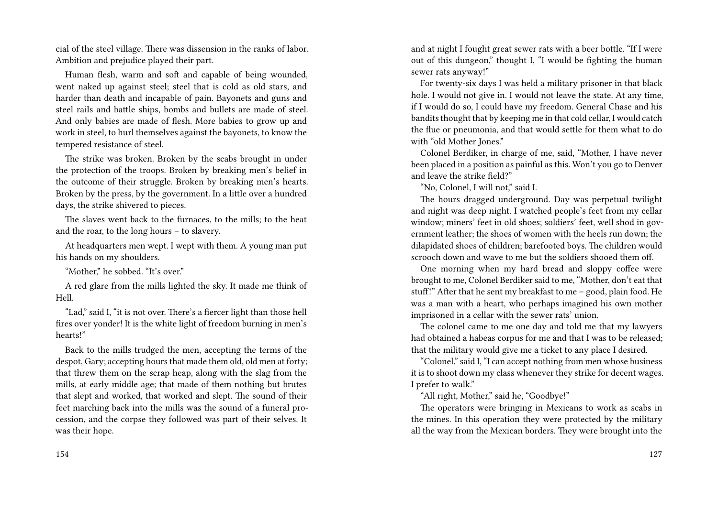cial of the steel village. There was dissension in the ranks of labor. Ambition and prejudice played their part.

Human flesh, warm and soft and capable of being wounded, went naked up against steel; steel that is cold as old stars, and harder than death and incapable of pain. Bayonets and guns and steel rails and battle ships, bombs and bullets are made of steel. And only babies are made of flesh. More babies to grow up and work in steel, to hurl themselves against the bayonets, to know the tempered resistance of steel.

The strike was broken. Broken by the scabs brought in under the protection of the troops. Broken by breaking men's belief in the outcome of their struggle. Broken by breaking men's hearts. Broken by the press, by the government. In a little over a hundred days, the strike shivered to pieces.

The slaves went back to the furnaces, to the mills; to the heat and the roar, to the long hours – to slavery.

At headquarters men wept. I wept with them. A young man put his hands on my shoulders.

"Mother," he sobbed. "It's over."

A red glare from the mills lighted the sky. It made me think of Hell.

"Lad," said I, "it is not over. There's a fiercer light than those hell fires over yonder! It is the white light of freedom burning in men's hearts!"

Back to the mills trudged the men, accepting the terms of the despot, Gary; accepting hours that made them old, old men at forty; that threw them on the scrap heap, along with the slag from the mills, at early middle age; that made of them nothing but brutes that slept and worked, that worked and slept. The sound of their feet marching back into the mills was the sound of a funeral procession, and the corpse they followed was part of their selves. It was their hope.

and at night I fought great sewer rats with a beer bottle. "If I were out of this dungeon," thought I, "I would be fighting the human sewer rats anyway!"

For twenty-six days I was held a military prisoner in that black hole. I would not give in. I would not leave the state. At any time, if I would do so, I could have my freedom. General Chase and his bandits thought that by keeping me in that cold cellar, I would catch the flue or pneumonia, and that would settle for them what to do with "old Mother Jones."

Colonel Berdiker, in charge of me, said, "Mother, I have never been placed in a position as painful as this. Won't you go to Denver and leave the strike field?"

"No, Colonel, I will not," said I.

The hours dragged underground. Day was perpetual twilight and night was deep night. I watched people's feet from my cellar window; miners' feet in old shoes; soldiers' feet, well shod in government leather; the shoes of women with the heels run down; the dilapidated shoes of children; barefooted boys. The children would scrooch down and wave to me but the soldiers shooed them off.

One morning when my hard bread and sloppy coffee were brought to me, Colonel Berdiker said to me, "Mother, don't eat that stuff!" After that he sent my breakfast to me – good, plain food. He was a man with a heart, who perhaps imagined his own mother imprisoned in a cellar with the sewer rats' union.

The colonel came to me one day and told me that my lawyers had obtained a habeas corpus for me and that I was to be released; that the military would give me a ticket to any place I desired.

"Colonel," said I, "I can accept nothing from men whose business it is to shoot down my class whenever they strike for decent wages. I prefer to walk."

"All right, Mother," said he, "Goodbye!"

The operators were bringing in Mexicans to work as scabs in the mines. In this operation they were protected by the military all the way from the Mexican borders. They were brought into the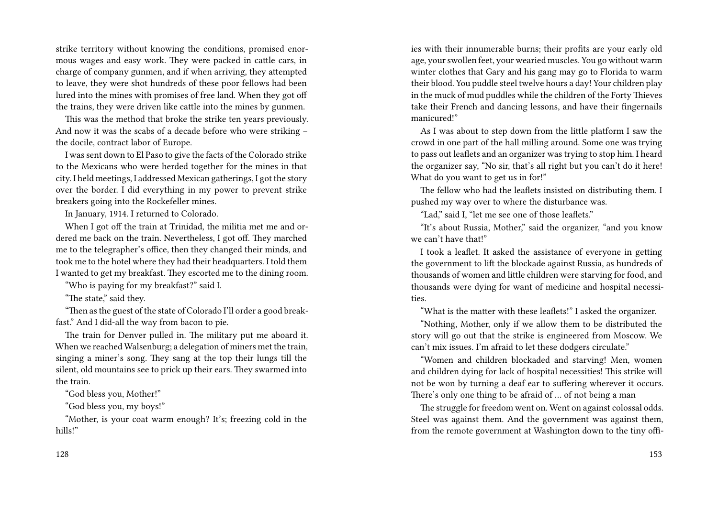strike territory without knowing the conditions, promised enormous wages and easy work. They were packed in cattle cars, in charge of company gunmen, and if when arriving, they attempted to leave, they were shot hundreds of these poor fellows had been lured into the mines with promises of free land. When they got off the trains, they were driven like cattle into the mines by gunmen.

This was the method that broke the strike ten years previously. And now it was the scabs of a decade before who were striking – the docile, contract labor of Europe.

I was sent down to El Paso to give the facts of the Colorado strike to the Mexicans who were herded together for the mines in that city. I held meetings, I addressed Mexican gatherings, I got the story over the border. I did everything in my power to prevent strike breakers going into the Rockefeller mines.

In January, 1914. I returned to Colorado.

When I got off the train at Trinidad, the militia met me and ordered me back on the train. Nevertheless, I got off. They marched me to the telegrapher's office, then they changed their minds, and took me to the hotel where they had their headquarters. I told them I wanted to get my breakfast. They escorted me to the dining room.

"Who is paying for my breakfast?" said I.

"The state," said they.

"Then as the guest of the state of Colorado I'll order a good breakfast." And I did-all the way from bacon to pie.

The train for Denver pulled in. The military put me aboard it. When we reached Walsenburg; a delegation of miners met the train, singing a miner's song. They sang at the top their lungs till the silent, old mountains see to prick up their ears. They swarmed into the train.

"God bless you, Mother!"

"God bless you, my boys!"

"Mother, is your coat warm enough? It's; freezing cold in the hills!"

ies with their innumerable burns; their profits are your early old age, your swollen feet, your wearied muscles. You go without warm winter clothes that Gary and his gang may go to Florida to warm their blood. You puddle steel twelve hours a day! Your children play in the muck of mud puddles while the children of the Forty Thieves take their French and dancing lessons, and have their fingernails manicured!"

As I was about to step down from the little platform I saw the crowd in one part of the hall milling around. Some one was trying to pass out leaflets and an organizer was trying to stop him. I heard the organizer say, "No sir, that's all right but you can't do it here! What do you want to get us in for!"

The fellow who had the leaflets insisted on distributing them. I pushed my way over to where the disturbance was.

"Lad," said I, "let me see one of those leaflets."

"It's about Russia, Mother," said the organizer, "and you know we can't have that!"

I took a leaflet. It asked the assistance of everyone in getting the government to lift the blockade against Russia, as hundreds of thousands of women and little children were starving for food, and thousands were dying for want of medicine and hospital necessities.

"What is the matter with these leaflets!" I asked the organizer.

"Nothing, Mother, only if we allow them to be distributed the story will go out that the strike is engineered from Moscow. We can't mix issues. I'm afraid to let these dodgers circulate."

"Women and children blockaded and starving! Men, women and children dying for lack of hospital necessities! This strike will not be won by turning a deaf ear to suffering wherever it occurs. There's only one thing to be afraid of … of not being a man

The struggle for freedom went on. Went on against colossal odds. Steel was against them. And the government was against them, from the remote government at Washington down to the tiny offi-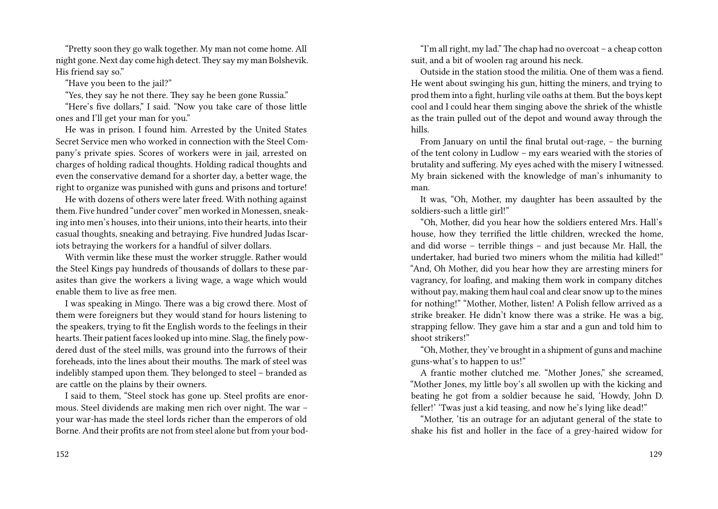"Pretty soon they go walk together. My man not come home. All night gone. Next day come high detect.They say my man Bolshevik. His friend say so."

"Have you been to the jail?"

"Yes, they say he not there. They say he been gone Russia."

"Here's five dollars," I said. "Now you take care of those little ones and I'll get your man for you."

He was in prison. I found him. Arrested by the United States Secret Service men who worked in connection with the Steel Company's private spies. Scores of workers were in jail, arrested on charges of holding radical thoughts. Holding radical thoughts and even the conservative demand for a shorter day, a better wage, the right to organize was punished with guns and prisons and torture!

He with dozens of others were later freed. With nothing against them. Five hundred "under cover" men worked in Monessen, sneaking into men's houses, into their unions, into their hearts, into their casual thoughts, sneaking and betraying. Five hundred Judas Iscariots betraying the workers for a handful of silver dollars.

With vermin like these must the worker struggle. Rather would the Steel Kings pay hundreds of thousands of dollars to these parasites than give the workers a living wage, a wage which would enable them to live as free men.

I was speaking in Mingo. There was a big crowd there. Most of them were foreigners but they would stand for hours listening to the speakers, trying to fit the English words to the feelings in their hearts. Their patient faces looked up into mine. Slag, the finely powdered dust of the steel mills, was ground into the furrows of their foreheads, into the lines about their mouths. The mark of steel was indelibly stamped upon them. They belonged to steel – branded as are cattle on the plains by their owners.

I said to them, "Steel stock has gone up. Steel profits are enormous. Steel dividends are making men rich over night. The war – your war-has made the steel lords richer than the emperors of old Borne. And their profits are not from steel alone but from your bod-

152

"I'm all right, my lad." The chap had no overcoat – a cheap cotton suit, and a bit of woolen rag around his neck.

Outside in the station stood the militia. One of them was a fiend. He went about swinging his gun, hitting the miners, and trying to prod them into a fight, hurling vile oaths at them. But the boys kept cool and I could hear them singing above the shriek of the whistle as the train pulled out of the depot and wound away through the hills.

From January on until the final brutal out-rage, – the burning of the tent colony in Ludlow – my ears wearied with the stories of brutality and suffering. My eyes ached with the misery I witnessed. My brain sickened with the knowledge of man's inhumanity to man.

It was, "Oh, Mother, my daughter has been assaulted by the soldiers-such a little girl!"

"Oh, Mother, did you hear how the soldiers entered Mrs. Hall's house, how they terrified the little children, wrecked the home, and did worse – terrible things – and just because Mr. Hall, the undertaker, had buried two miners whom the militia had killed!" "And, Oh Mother, did you hear how they are arresting miners for vagrancy, for loafing, and making them work in company ditches without pay, making them haul coal and clear snow up to the mines for nothing!" "Mother, Mother, listen! A Polish fellow arrived as a strike breaker. He didn't know there was a strike. He was a big, strapping fellow. They gave him a star and a gun and told him to shoot strikers!"

"Oh, Mother, they've brought in a shipment of guns and machine guns-what's to happen to us!"

A frantic mother clutched me. "Mother Jones," she screamed, "Mother Jones, my little boy's all swollen up with the kicking and beating he got from a soldier because he said, 'Howdy, John D. feller!' 'Twas just a kid teasing, and now he's lying like dead!"

"Mother, 'tis an outrage for an adjutant general of the state to shake his fist and holler in the face of a grey-haired widow for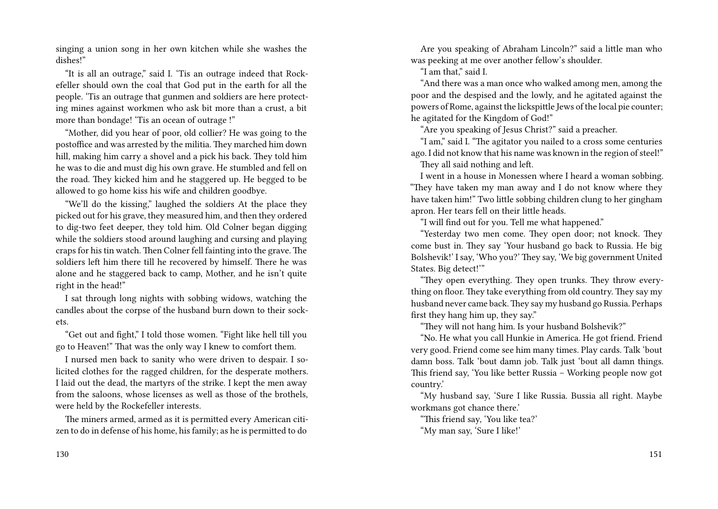singing a union song in her own kitchen while she washes the dishes!"

"It is all an outrage," said I. 'Tis an outrage indeed that Rockefeller should own the coal that God put in the earth for all the people. 'Tis an outrage that gunmen and soldiers are here protecting mines against workmen who ask bit more than a crust, a bit more than bondage! 'Tis an ocean of outrage !"

"Mother, did you hear of poor, old collier? He was going to the postoffice and was arrested by the militia. They marched him down hill, making him carry a shovel and a pick his back. They told him he was to die and must dig his own grave. He stumbled and fell on the road. They kicked him and he staggered up. He begged to be allowed to go home kiss his wife and children goodbye.

"We'll do the kissing," laughed the soldiers At the place they picked out for his grave, they measured him, and then they ordered to dig-two feet deeper, they told him. Old Colner began digging while the soldiers stood around laughing and cursing and playing craps for his tin watch. Then Colner fell fainting into the grave. The soldiers left him there till he recovered by himself. There he was alone and he staggered back to camp, Mother, and he isn't quite right in the head!"

I sat through long nights with sobbing widows, watching the candles about the corpse of the husband burn down to their sockets.

"Get out and fight," I told those women. "Fight like hell till you go to Heaven!" That was the only way I knew to comfort them.

I nursed men back to sanity who were driven to despair. I solicited clothes for the ragged children, for the desperate mothers. I laid out the dead, the martyrs of the strike. I kept the men away from the saloons, whose licenses as well as those of the brothels, were held by the Rockefeller interests.

The miners armed, armed as it is permitted every American citizen to do in defense of his home, his family; as he is permitted to do

Are you speaking of Abraham Lincoln?" said a little man who was peeking at me over another fellow's shoulder.

"I am that," said I.

"And there was a man once who walked among men, among the poor and the despised and the lowly, and he agitated against the powers of Rome, against the lickspittle Jews of the local pie counter; he agitated for the Kingdom of God!"

"Are you speaking of Jesus Christ?" said a preacher.

"I am," said I. "The agitator you nailed to a cross some centuries ago. I did not know that his name was known in the region of steel!"

They all said nothing and left.

I went in a house in Monessen where I heard a woman sobbing. "They have taken my man away and I do not know where they have taken him!" Two little sobbing children clung to her gingham apron. Her tears fell on their little heads.

"I will find out for you. Tell me what happened."

"Yesterday two men come. They open door; not knock. They come bust in. They say 'Your husband go back to Russia. He big Bolshevik!' I say, 'Who you?' They say, 'We big government United States. Big detect!'"

"They open everything. They open trunks. They throw everything on floor. They take everything from old country. They say my husband never came back.They say my husband go Russia. Perhaps first they hang him up, they say."

"They will not hang him. Is your husband Bolshevik?"

"No. He what you call Hunkie in America. He got friend. Friend very good. Friend come see him many times. Play cards. Talk 'bout damn boss. Talk 'bout damn job. Talk just 'bout all damn things. This friend say, 'You like better Russia – Working people now got country.'

"My husband say, 'Sure I like Russia. Bussia all right. Maybe workmans got chance there.'

"This friend say, 'You like tea?'

"My man say, 'Sure I like!'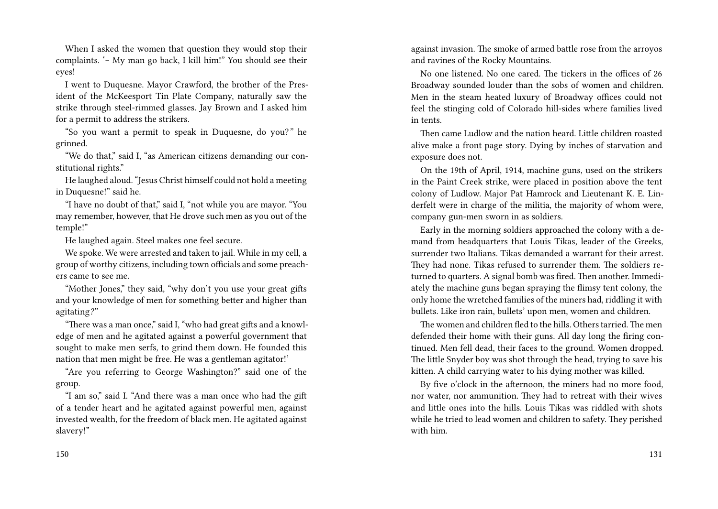When I asked the women that question they would stop their complaints. '~ My man go back, I kill him!" You should see their eyes!

I went to Duquesne. Mayor Crawford, the brother of the President of the McKeesport Tin Plate Company, naturally saw the strike through steel-rimmed glasses. Jay Brown and I asked him for a permit to address the strikers.

"So you want a permit to speak in Duquesne, do you?*"* he grinned.

"We do that," said I, "as American citizens demanding our constitutional rights."

He laughed aloud. "Jesus Christ himself could not hold a meeting in Duquesne!" said he.

"I have no doubt of that," said I, "not while you are mayor. "You may remember, however, that He drove such men as you out of the temple!"

He laughed again. Steel makes one feel secure.

We spoke. We were arrested and taken to jail. While in my cell, a group of worthy citizens, including town officials and some preachers came to see me.

"Mother Jones," they said, "why don't you use your great gifts and your knowledge of men for something better and higher than agitating*?"*

"There was a man once," said I, "who had great gifts and a knowledge of men and he agitated against a powerful government that sought to make men serfs, to grind them down. He founded this nation that men might be free. He was a gentleman agitator!'

"Are you referring to George Washington?" said one of the group.

"I am so," said I. "And there was a man once who had the gift of a tender heart and he agitated against powerful men, against invested wealth, for the freedom of black men. He agitated against slavery!"

against invasion. The smoke of armed battle rose from the arroyos and ravines of the Rocky Mountains.

No one listened. No one cared. The tickers in the offices of 26 Broadway sounded louder than the sobs of women and children. Men in the steam heated luxury of Broadway offices could not feel the stinging cold of Colorado hill-sides where families lived in tents.

Then came Ludlow and the nation heard. Little children roasted alive make a front page story. Dying by inches of starvation and exposure does not.

On the 19th of April, 1914, machine guns, used on the strikers in the Paint Creek strike, were placed in position above the tent colony of Ludlow. Major Pat Hamrock and Lieutenant K. E. Linderfelt were in charge of the militia, the majority of whom were, company gun-men sworn in as soldiers.

Early in the morning soldiers approached the colony with a demand from headquarters that Louis Tikas, leader of the Greeks, surrender two Italians. Tikas demanded a warrant for their arrest. They had none. Tikas refused to surrender them. The soldiers returned to quarters. A signal bomb was fired. Then another. Immediately the machine guns began spraying the flimsy tent colony, the only home the wretched families of the miners had, riddling it with bullets. Like iron rain, bullets' upon men, women and children.

The women and children fled to the hills. Others tarried. The men defended their home with their guns. All day long the firing continued. Men fell dead, their faces to the ground. Women dropped. The little Snyder boy was shot through the head, trying to save his kitten. A child carrying water to his dying mother was killed.

By five o'clock in the afternoon, the miners had no more food, nor water, nor ammunition. They had to retreat with their wives and little ones into the hills. Louis Tikas was riddled with shots while he tried to lead women and children to safety. They perished with him.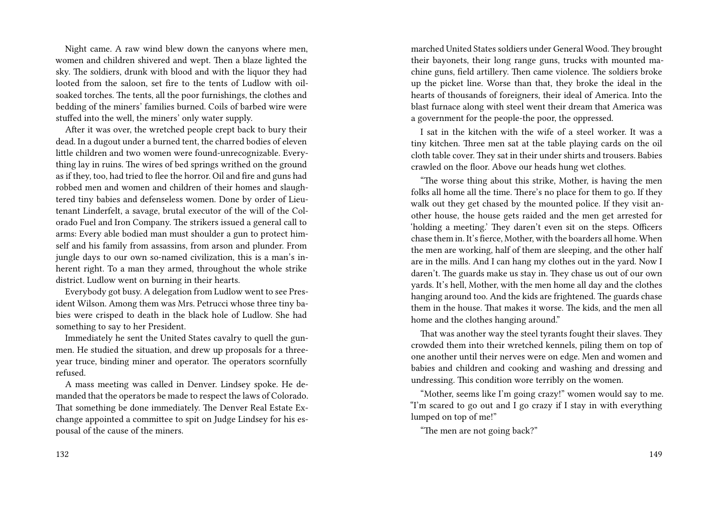Night came. A raw wind blew down the canyons where men, women and children shivered and wept. Then a blaze lighted the sky. The soldiers, drunk with blood and with the liquor they had looted from the saloon, set fire to the tents of Ludlow with oilsoaked torches. The tents, all the poor furnishings, the clothes and bedding of the miners' families burned. Coils of barbed wire were stuffed into the well, the miners' only water supply.

After it was over, the wretched people crept back to bury their dead. In a dugout under a burned tent, the charred bodies of eleven little children and two women were found-unrecognizable. Everything lay in ruins. The wires of bed springs writhed on the ground as if they, too, had tried to flee the horror. Oil and fire and guns had robbed men and women and children of their homes and slaughtered tiny babies and defenseless women. Done by order of Lieutenant Linderfelt, a savage, brutal executor of the will of the Colorado Fuel and Iron Company. The strikers issued a general call to arms: Every able bodied man must shoulder a gun to protect himself and his family from assassins, from arson and plunder. From jungle days to our own so-named civilization, this is a man's inherent right. To a man they armed, throughout the whole strike district. Ludlow went on burning in their hearts.

Everybody got busy. A delegation from Ludlow went to see President Wilson. Among them was Mrs. Petrucci whose three tiny babies were crisped to death in the black hole of Ludlow. She had something to say to her President.

Immediately he sent the United States cavalry to quell the gunmen. He studied the situation, and drew up proposals for a threeyear truce, binding miner and operator. The operators scornfully refused.

A mass meeting was called in Denver. Lindsey spoke. He demanded that the operators be made to respect the laws of Colorado. That something be done immediately. The Denver Real Estate Exchange appointed a committee to spit on Judge Lindsey for his espousal of the cause of the miners.

marched United States soldiers under General Wood. They brought their bayonets, their long range guns, trucks with mounted machine guns, field artillery. Then came violence. The soldiers broke up the picket line. Worse than that, they broke the ideal in the hearts of thousands of foreigners, their ideal of America. Into the blast furnace along with steel went their dream that America was a government for the people-the poor, the oppressed.

I sat in the kitchen with the wife of a steel worker. It was a tiny kitchen. Three men sat at the table playing cards on the oil cloth table cover. They sat in their under shirts and trousers. Babies crawled on the floor. Above our heads hung wet clothes.

"The worse thing about this strike, Mother, is having the men folks all home all the time. There's no place for them to go. If they walk out they get chased by the mounted police. If they visit another house, the house gets raided and the men get arrested for 'holding a meeting.' They daren't even sit on the steps. Officers chase them in. It's fierce, Mother, with the boarders all home. When the men are working, half of them are sleeping, and the other half are in the mills. And I can hang my clothes out in the yard. Now I daren't. The guards make us stay in. They chase us out of our own yards. It's hell, Mother, with the men home all day and the clothes hanging around too. And the kids are frightened. The guards chase them in the house. That makes it worse. The kids, and the men all home and the clothes hanging around."

That was another way the steel tyrants fought their slaves. They crowded them into their wretched kennels, piling them on top of one another until their nerves were on edge. Men and women and babies and children and cooking and washing and dressing and undressing. This condition wore terribly on the women.

"Mother, seems like I'm going crazy!" women would say to me. "I'm scared to go out and I go crazy if I stay in with everything lumped on top of me!"

"The men are not going back?"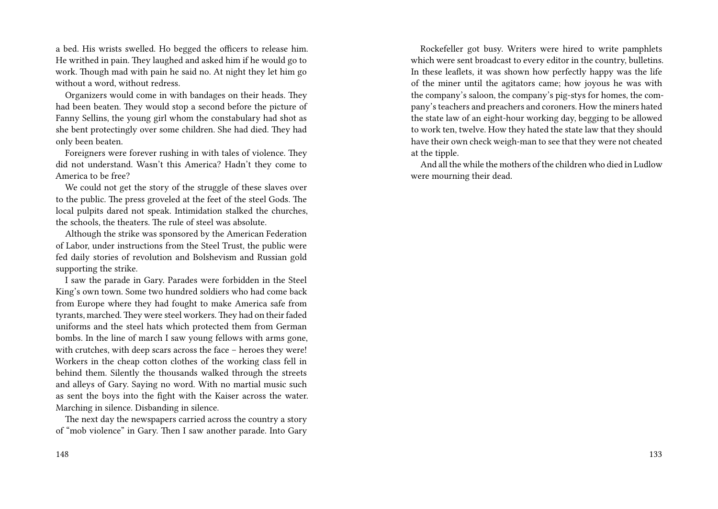a bed. His wrists swelled. Ho begged the officers to release him. He writhed in pain. They laughed and asked him if he would go to work. Though mad with pain he said no. At night they let him go without a word, without redress.

Organizers would come in with bandages on their heads. They had been beaten. They would stop a second before the picture of Fanny Sellins, the young girl whom the constabulary had shot as she bent protectingly over some children. She had died. They had only been beaten.

Foreigners were forever rushing in with tales of violence. They did not understand. Wasn't this America? Hadn't they come to America to be free?

We could not get the story of the struggle of these slaves over to the public. The press groveled at the feet of the steel Gods. The local pulpits dared not speak. Intimidation stalked the churches, the schools, the theaters. The rule of steel was absolute.

Although the strike was sponsored by the American Federation of Labor, under instructions from the Steel Trust, the public were fed daily stories of revolution and Bolshevism and Russian gold supporting the strike.

I saw the parade in Gary. Parades were forbidden in the Steel King's own town. Some two hundred soldiers who had come back from Europe where they had fought to make America safe from tyrants, marched. They were steel workers. They had on their faded uniforms and the steel hats which protected them from German bombs. In the line of march I saw young fellows with arms gone, with crutches, with deep scars across the face – heroes they were! Workers in the cheap cotton clothes of the working class fell in behind them. Silently the thousands walked through the streets and alleys of Gary. Saying no word. With no martial music such as sent the boys into the fight with the Kaiser across the water. Marching in silence. Disbanding in silence.

The next day the newspapers carried across the country a story of "mob violence" in Gary. Then I saw another parade. Into Gary

Rockefeller got busy. Writers were hired to write pamphlets which were sent broadcast to every editor in the country, bulletins. In these leaflets, it was shown how perfectly happy was the life of the miner until the agitators came; how joyous he was with the company's saloon, the company's pig-stys for homes, the company's teachers and preachers and coroners. How the miners hated the state law of an eight-hour working day, begging to be allowed to work ten, twelve. How they hated the state law that they should have their own check weigh-man to see that they were not cheated at the tipple.

And all the while the mothers of the children who died in Ludlow were mourning their dead.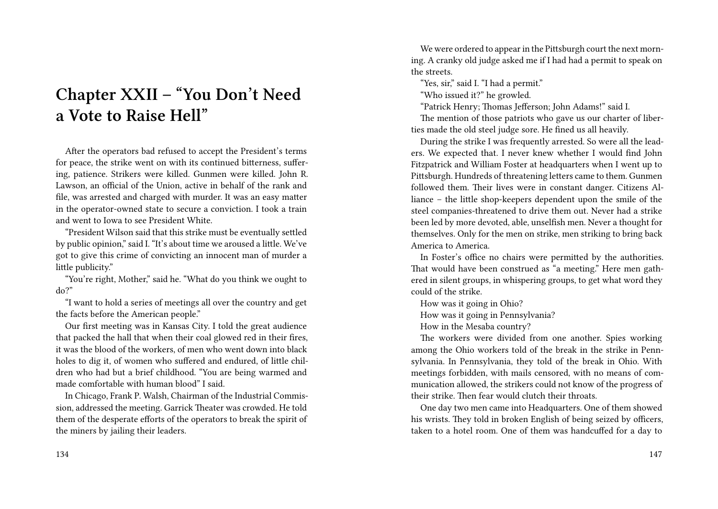## **Chapter XXII – "You Don't Need a Vote to Raise Hell"**

After the operators bad refused to accept the President's terms for peace, the strike went on with its continued bitterness, suffering, patience. Strikers were killed. Gunmen were killed. John R. Lawson, an official of the Union, active in behalf of the rank and file, was arrested and charged with murder. It was an easy matter in the operator-owned state to secure a conviction. I took a train and went to Iowa to see President White.

"President Wilson said that this strike must be eventually settled by public opinion," said I. "It's about time we aroused a little. We've got to give this crime of convicting an innocent man of murder a little publicity."

"You're right, Mother," said he. "What do you think we ought to  $do?$ 

"I want to hold a series of meetings all over the country and get the facts before the American people."

Our first meeting was in Kansas City. I told the great audience that packed the hall that when their coal glowed red in their fires, it was the blood of the workers, of men who went down into black holes to dig it, of women who suffered and endured, of little children who had but a brief childhood. "You are being warmed and made comfortable with human blood" I said.

In Chicago, Frank P. Walsh, Chairman of the Industrial Commission, addressed the meeting. Garrick Theater was crowded. He told them of the desperate efforts of the operators to break the spirit of the miners by jailing their leaders.

134

We were ordered to appear in the Pittsburgh court the next morning. A cranky old judge asked me if I had had a permit to speak on the streets.

"Yes, sir," said I. "I had a permit."

"Who issued it?" he growled.

"Patrick Henry; Thomas Jefferson; John Adams!" said I.

The mention of those patriots who gave us our charter of liberties made the old steel judge sore. He fined us all heavily.

During the strike I was frequently arrested. So were all the leaders. We expected that. I never knew whether I would find John Fitzpatrick and William Foster at headquarters when I went up to Pittsburgh. Hundreds of threatening letters came to them. Gunmen followed them. Their lives were in constant danger. Citizens Alliance – the little shop-keepers dependent upon the smile of the steel companies-threatened to drive them out. Never had a strike been led by more devoted, able, unselfish men. Never a thought for themselves. Only for the men on strike, men striking to bring back America to America.

In Foster's office no chairs were permitted by the authorities. That would have been construed as "a meeting." Here men gathered in silent groups, in whispering groups, to get what word they could of the strike.

How was it going in Ohio?

How was it going in Pennsylvania?

How in the Mesaba country?

The workers were divided from one another. Spies working among the Ohio workers told of the break in the strike in Pennsylvania. In Pennsylvania, they told of the break in Ohio. With meetings forbidden, with mails censored, with no means of communication allowed, the strikers could not know of the progress of their strike. Then fear would clutch their throats.

One day two men came into Headquarters. One of them showed his wrists. They told in broken English of being seized by officers, taken to a hotel room. One of them was handcuffed for a day to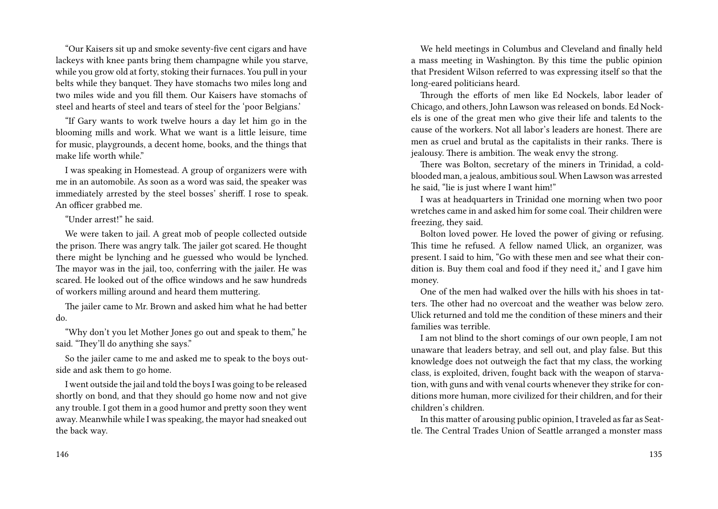"Our Kaisers sit up and smoke seventy-five cent cigars and have lackeys with knee pants bring them champagne while you starve, while you grow old at forty, stoking their furnaces. You pull in your belts while they banquet. They have stomachs two miles long and two miles wide and you fill them. Our Kaisers have stomachs of steel and hearts of steel and tears of steel for the 'poor Belgians.'

"If Gary wants to work twelve hours a day let him go in the blooming mills and work. What we want is a little leisure, time for music, playgrounds, a decent home, books, and the things that make life worth while."

I was speaking in Homestead. A group of organizers were with me in an automobile. As soon as a word was said, the speaker was immediately arrested by the steel bosses' sheriff. I rose to speak. An officer grabbed me.

"Under arrest!" he said.

We were taken to jail. A great mob of people collected outside the prison. There was angry talk. The jailer got scared. He thought there might be lynching and he guessed who would be lynched. The mayor was in the jail, too, conferring with the jailer. He was scared. He looked out of the office windows and he saw hundreds of workers milling around and heard them muttering.

The jailer came to Mr. Brown and asked him what he had better do.

"Why don't you let Mother Jones go out and speak to them," he said. "They'll do anything she says."

So the jailer came to me and asked me to speak to the boys outside and ask them to go home.

I went outside the jail and told the boys I was going to be released shortly on bond, and that they should go home now and not give any trouble. I got them in a good humor and pretty soon they went away. Meanwhile while I was speaking, the mayor had sneaked out the back way.

146

We held meetings in Columbus and Cleveland and finally held a mass meeting in Washington. By this time the public opinion that President Wilson referred to was expressing itself so that the long-eared politicians heard.

Through the efforts of men like Ed Nockels, labor leader of Chicago, and others, John Lawson was released on bonds. Ed Nockels is one of the great men who give their life and talents to the cause of the workers. Not all labor's leaders are honest. There are men as cruel and brutal as the capitalists in their ranks. There is jealousy. There is ambition. The weak envy the strong.

There was Bolton, secretary of the miners in Trinidad, a coldblooded man, a jealous, ambitious soul. When Lawson was arrested he said, "lie is just where I want him!"

I was at headquarters in Trinidad one morning when two poor wretches came in and asked him for some coal. Their children were freezing, they said.

Bolton loved power. He loved the power of giving or refusing. This time he refused. A fellow named Ulick, an organizer, was present. I said to him, "Go with these men and see what their condition is. Buy them coal and food if they need it,' and I gave him money.

One of the men had walked over the hills with his shoes in tatters. The other had no overcoat and the weather was below zero. Ulick returned and told me the condition of these miners and their families was terrible.

I am not blind to the short comings of our own people, I am not unaware that leaders betray, and sell out, and play false. But this knowledge does not outweigh the fact that my class, the working class, is exploited, driven, fought back with the weapon of starvation, with guns and with venal courts whenever they strike for conditions more human, more civilized for their children, and for their children's children.

In this matter of arousing public opinion, I traveled as far as Seattle. The Central Trades Union of Seattle arranged a monster mass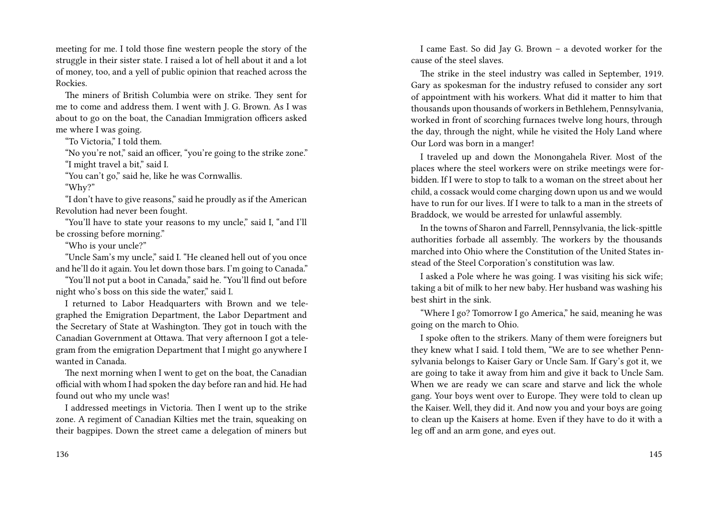meeting for me. I told those fine western people the story of the struggle in their sister state. I raised a lot of hell about it and a lot of money, too, and a yell of public opinion that reached across the Rockies.

The miners of British Columbia were on strike. They sent for me to come and address them. I went with J. G. Brown. As I was about to go on the boat, the Canadian Immigration officers asked me where I was going.

"To Victoria," I told them.

"No you're not," said an officer, "you're going to the strike zone." "I might travel a bit," said I.

"You can't go," said he, like he was Cornwallis.

"Why?"

"I don't have to give reasons," said he proudly as if the American Revolution had never been fought.

"You'll have to state your reasons to my uncle," said I, "and I'll be crossing before morning."

"Who is your uncle?"

"Uncle Sam's my uncle," said I. "He cleaned hell out of you once and he'll do it again. You let down those bars. I'm going to Canada."

"You'll not put a boot in Canada," said he. "You'll find out before night who's boss on this side the water," said I.

I returned to Labor Headquarters with Brown and we telegraphed the Emigration Department, the Labor Department and the Secretary of State at Washington. They got in touch with the Canadian Government at Ottawa. That very afternoon I got a telegram from the emigration Department that I might go anywhere I wanted in Canada.

The next morning when I went to get on the boat, the Canadian official with whom I had spoken the day before ran and hid. He had found out who my uncle was!

I addressed meetings in Victoria. Then I went up to the strike zone. A regiment of Canadian Kilties met the train, squeaking on their bagpipes. Down the street came a delegation of miners but

I came East. So did Jay G. Brown – a devoted worker for the cause of the steel slaves.

The strike in the steel industry was called in September, 1919. Gary as spokesman for the industry refused to consider any sort of appointment with his workers. What did it matter to him that thousands upon thousands of workers in Bethlehem, Pennsylvania, worked in front of scorching furnaces twelve long hours, through the day, through the night, while he visited the Holy Land where Our Lord was born in a manger!

I traveled up and down the Monongahela River. Most of the places where the steel workers were on strike meetings were forbidden. If I were to stop to talk to a woman on the street about her child, a cossack would come charging down upon us and we would have to run for our lives. If I were to talk to a man in the streets of Braddock, we would be arrested for unlawful assembly.

In the towns of Sharon and Farrell, Pennsylvania, the lick-spittle authorities forbade all assembly. The workers by the thousands marched into Ohio where the Constitution of the United States instead of the Steel Corporation's constitution was law.

I asked a Pole where he was going. I was visiting his sick wife; taking a bit of milk to her new baby. Her husband was washing his best shirt in the sink.

"Where I go? Tomorrow I go America," he said, meaning he was going on the march to Ohio.

I spoke often to the strikers. Many of them were foreigners but they knew what I said. I told them, "We are to see whether Pennsylvania belongs to Kaiser Gary or Uncle Sam. If Gary's got it, we are going to take it away from him and give it back to Uncle Sam. When we are ready we can scare and starve and lick the whole gang. Your boys went over to Europe. They were told to clean up the Kaiser. Well, they did it. And now you and your boys are going to clean up the Kaisers at home. Even if they have to do it with a leg off and an arm gone, and eyes out.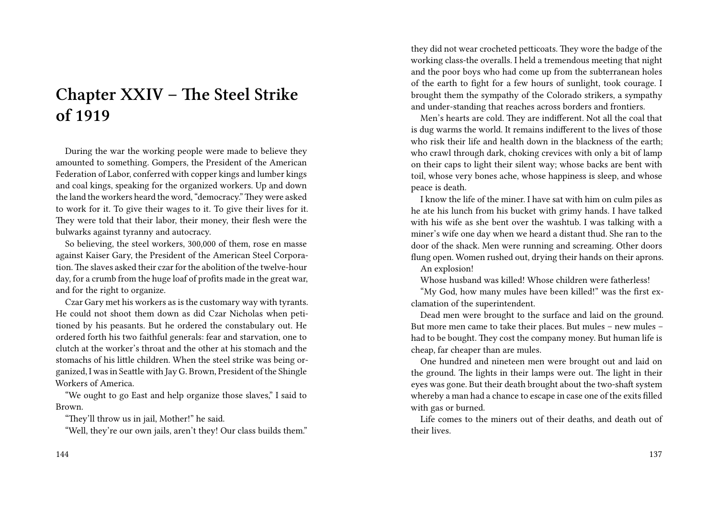## **Chapter XXIV – The Steel Strike of 1919**

During the war the working people were made to believe they amounted to something. Gompers, the President of the American Federation of Labor, conferred with copper kings and lumber kings and coal kings, speaking for the organized workers. Up and down the land the workers heard the word, "democracy."They were asked to work for it. To give their wages to it. To give their lives for it. They were told that their labor, their money, their flesh were the bulwarks against tyranny and autocracy.

So believing, the steel workers, 300,000 of them, rose en masse against Kaiser Gary, the President of the American Steel Corporation. The slaves asked their czar for the abolition of the twelve-hour day, for a crumb from the huge loaf of profits made in the great war, and for the right to organize.

Czar Gary met his workers as is the customary way with tyrants. He could not shoot them down as did Czar Nicholas when petitioned by his peasants. But he ordered the constabulary out. He ordered forth his two faithful generals: fear and starvation, one to clutch at the worker's throat and the other at his stomach and the stomachs of his little children. When the steel strike was being organized, I was in Seattle with Jay G. Brown, President of the Shingle Workers of America.

"We ought to go East and help organize those slaves," I said to Brown.

"They'll throw us in jail, Mother!" he said.

"Well, they're our own jails, aren't they! Our class builds them."

they did not wear crocheted petticoats. They wore the badge of the working class-the overalls. I held a tremendous meeting that night and the poor boys who had come up from the subterranean holes of the earth to fight for a few hours of sunlight, took courage. I brought them the sympathy of the Colorado strikers, a sympathy and under-standing that reaches across borders and frontiers.

Men's hearts are cold. They are indifferent. Not all the coal that is dug warms the world. It remains indifferent to the lives of those who risk their life and health down in the blackness of the earth; who crawl through dark, choking crevices with only a bit of lamp on their caps to light their silent way; whose backs are bent with toil, whose very bones ache, whose happiness is sleep, and whose peace is death.

I know the life of the miner. I have sat with him on culm piles as he ate his lunch from his bucket with grimy hands. I have talked with his wife as she bent over the washtub. I was talking with a miner's wife one day when we heard a distant thud. She ran to the door of the shack. Men were running and screaming. Other doors flung open. Women rushed out, drying their hands on their aprons. An explosion!

Whose husband was killed! Whose children were fatherless!

"My God, how many mules have been killed!" was the first exclamation of the superintendent.

Dead men were brought to the surface and laid on the ground. But more men came to take their places. But mules – new mules – had to be bought. They cost the company money. But human life is cheap, far cheaper than are mules.

One hundred and nineteen men were brought out and laid on the ground. The lights in their lamps were out. The light in their eyes was gone. But their death brought about the two-shaft system whereby a man had a chance to escape in case one of the exits filled with gas or burned.

Life comes to the miners out of their deaths, and death out of their lives.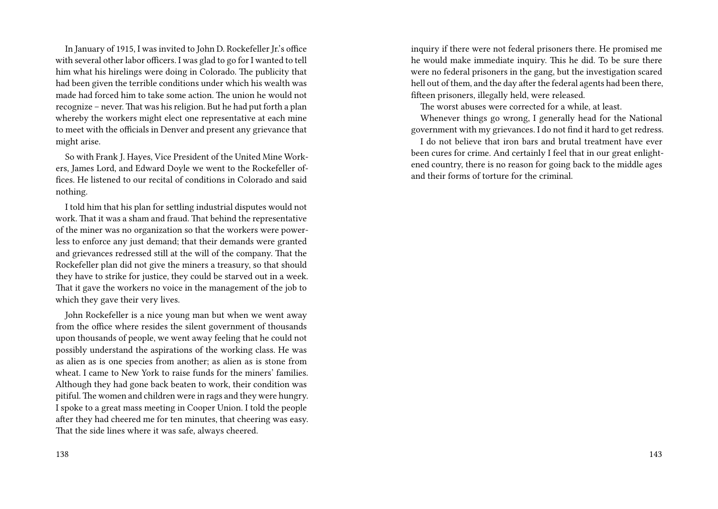In January of 1915, I was invited to John D. Rockefeller Jr.'s office with several other labor officers. I was glad to go for I wanted to tell him what his hirelings were doing in Colorado. The publicity that had been given the terrible conditions under which his wealth was made had forced him to take some action. The union he would not recognize – never. That was his religion. But he had put forth a plan whereby the workers might elect one representative at each mine to meet with the officials in Denver and present any grievance that might arise.

So with Frank J. Hayes, Vice President of the United Mine Workers, James Lord, and Edward Doyle we went to the Rockefeller offices. He listened to our recital of conditions in Colorado and said nothing.

I told him that his plan for settling industrial disputes would not work. That it was a sham and fraud. That behind the representative of the miner was no organization so that the workers were powerless to enforce any just demand; that their demands were granted and grievances redressed still at the will of the company. That the Rockefeller plan did not give the miners a treasury, so that should they have to strike for justice, they could be starved out in a week. That it gave the workers no voice in the management of the job to which they gave their very lives.

John Rockefeller is a nice young man but when we went away from the office where resides the silent government of thousands upon thousands of people, we went away feeling that he could not possibly understand the aspirations of the working class. He was as alien as is one species from another; as alien as is stone from wheat. I came to New York to raise funds for the miners' families. Although they had gone back beaten to work, their condition was pitiful. The women and children were in rags and they were hungry. I spoke to a great mass meeting in Cooper Union. I told the people after they had cheered me for ten minutes, that cheering was easy. That the side lines where it was safe, always cheered.

inquiry if there were not federal prisoners there. He promised me he would make immediate inquiry. This he did. To be sure there were no federal prisoners in the gang, but the investigation scared hell out of them, and the day after the federal agents had been there, fifteen prisoners, illegally held, were released.

The worst abuses were corrected for a while, at least.

Whenever things go wrong, I generally head for the National government with my grievances. I do not find it hard to get redress.

I do not believe that iron bars and brutal treatment have ever been cures for crime. And certainly I feel that in our great enlightened country, there is no reason for going back to the middle ages and their forms of torture for the criminal.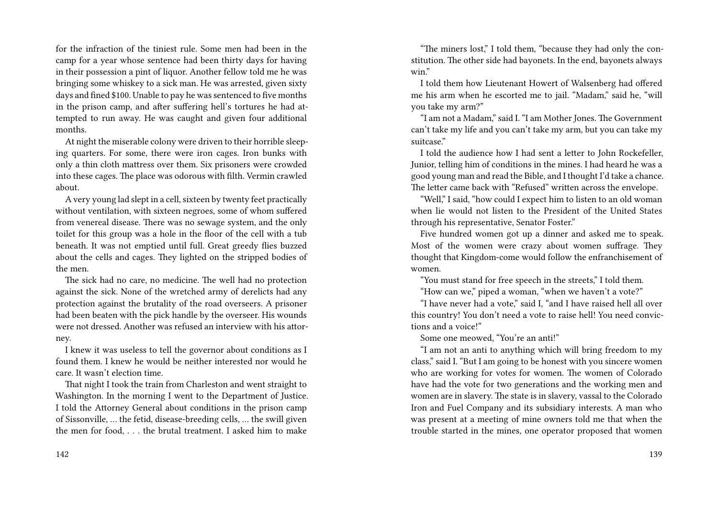for the infraction of the tiniest rule. Some men had been in the camp for a year whose sentence had been thirty days for having in their possession a pint of liquor. Another fellow told me he was bringing some whiskey to a sick man. He was arrested, given sixty days and fined \$100. Unable to pay he was sentenced to five months in the prison camp, and after suffering hell's tortures he had attempted to run away. He was caught and given four additional months.

At night the miserable colony were driven to their horrible sleeping quarters. For some, there were iron cages. Iron bunks with only a thin cloth mattress over them. Six prisoners were crowded into these cages. The place was odorous with filth. Vermin crawled about.

A very young lad slept in a cell, sixteen by twenty feet practically without ventilation, with sixteen negroes, some of whom suffered from venereal disease. There was no sewage system, and the only toilet for this group was a hole in the floor of the cell with a tub beneath. It was not emptied until full. Great greedy flies buzzed about the cells and cages. They lighted on the stripped bodies of the men.

The sick had no care, no medicine. The well had no protection against the sick. None of the wretched army of derelicts had any protection against the brutality of the road overseers. A prisoner had been beaten with the pick handle by the overseer. His wounds were not dressed. Another was refused an interview with his attorney.

I knew it was useless to tell the governor about conditions as I found them. I knew he would be neither interested nor would he care. It wasn't election time.

That night I took the train from Charleston and went straight to Washington. In the morning I went to the Department of Justice. I told the Attorney General about conditions in the prison camp of Sissonville, … the fetid, disease-breeding cells, … the swill given the men for food, . . . the brutal treatment. I asked him to make

"The miners lost," I told them, "because they had only the constitution. The other side had bayonets. In the end, bayonets always win."

I told them how Lieutenant Howert of Walsenberg had offered me his arm when he escorted me to jail. "Madam," said he, "will you take my arm?"

"I am not a Madam," said I. "I am Mother Jones. The Government can't take my life and you can't take my arm, but you can take my suitcase"

I told the audience how I had sent a letter to John Rockefeller, Junior, telling him of conditions in the mines. I had heard he was a good young man and read the Bible, and I thought I'd take a chance. The letter came back with "Refused" written across the envelope.

"Well," I said, "how could I expect him to listen to an old woman when lie would not listen to the President of the United States through his representative, Senator Foster."

Five hundred women got up a dinner and asked me to speak. Most of the women were crazy about women suffrage. They thought that Kingdom-come would follow the enfranchisement of women.

"You must stand for free speech in the streets," I told them.

"How can we," piped a woman, "when we haven't a vote?"

"I have never had a vote," said I, "and I have raised hell all over this country! You don't need a vote to raise hell! You need convictions and a voice!"

Some one meowed, "You're an anti!"

"I am not an anti to anything which will bring freedom to my class," said I. "But I am going to be honest with you sincere women who are working for votes for women. The women of Colorado have had the vote for two generations and the working men and women are in slavery. The state is in slavery, vassal to the Colorado Iron and Fuel Company and its subsidiary interests. A man who was present at a meeting of mine owners told me that when the trouble started in the mines, one operator proposed that women